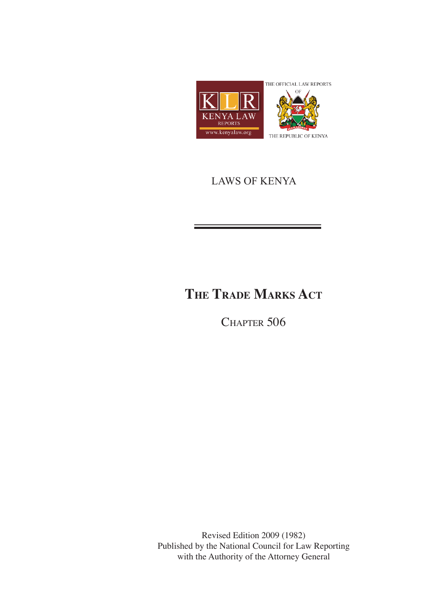

## LAWS OF KENYA

# **The Trade Marks Act**

CHAPTER 506

Revised Edition 2009 (1982) Published by the National Council for Law Reporting with the Authority of the Attorney General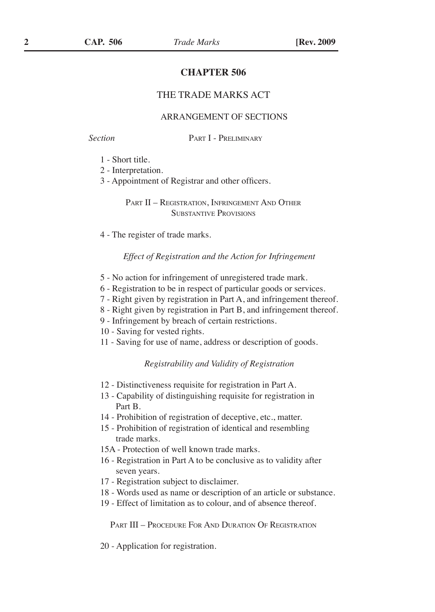### **CHAPTER 506**

#### THE TRADE MARKS ACT

#### ARRANGEMENT OF SECTIONS

*Section* Part I - Preliminary

- 1 Short title.
- 2 Interpretation.
- 3 Appointment of Registrar and other officers.

PART II – REGISTRATION, INFRINGEMENT AND OTHER Substantive Provisions

4 - The register of trade marks.

#### *Effect of Registration and the Action for Infringement*

- 5 No action for infringement of unregistered trade mark.
- 6 Registration to be in respect of particular goods or services.
- 7 Right given by registration in Part A, and infringement thereof.
- 8 Right given by registration in Part B, and infringement thereof.
- 9 Infringement by breach of certain restrictions.

10 - Saving for vested rights.

11 - Saving for use of name, address or description of goods.

#### *Registrability and Validity of Registration*

- 12 Distinctiveness requisite for registration in Part A.
- 13 Capability of distinguishing requisite for registration in Part B.
- 14 Prohibition of registration of deceptive, etc., matter.
- 15 Prohibition of registration of identical and resembling trade marks.
- 15A Protection of well known trade marks.
- 16 Registration in Part A to be conclusive as to validity after seven years.
- 17 Registration subject to disclaimer.
- 18 Words used as name or description of an article or substance.
- 19 Effect of limitation as to colour, and of absence thereof.

Part III – Procedure For And Duration Of Registration

20 - Application for registration.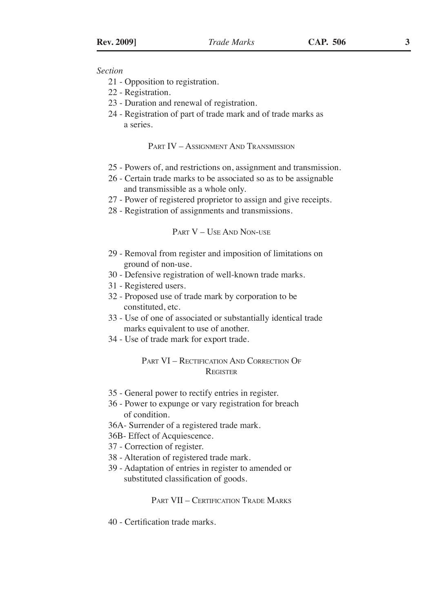#### *Section*

- 21 Opposition to registration.
- 22 Registration.
- 23 Duration and renewal of registration.
- 24 Registration of part of trade mark and of trade marks as a series.

#### PART IV – ASSIGNMENT AND TRANSMISSION

- 25 Powers of, and restrictions on, assignment and transmission.
- 26 Certain trade marks to be associated so as to be assignable and transmissible as a whole only.
- 27 Power of registered proprietor to assign and give receipts.
- 28 Registration of assignments and transmissions.

#### Part V – Use And Non-use

- 29 Removal from register and imposition of limitations on ground of non-use.
- 30 Defensive registration of well-known trade marks.
- 31 Registered users.
- 32 Proposed use of trade mark by corporation to be constituted, etc.
- 33 Use of one of associated or substantially identical trade marks equivalent to use of another.
- 34 Use of trade mark for export trade.

### Part VI – Rectification And Correction Of **REGISTER**

- 35 General power to rectify entries in register.
- 36 Power to expunge or vary registration for breach of condition.
- 36A- Surrender of a registered trade mark.
- 36B- Effect of Acquiescence.
- 37 Correction of register.
- 38 Alteration of registered trade mark.
- 39 Adaptation of entries in register to amended or substituted classification of goods.

#### PART VII – CERTIFICATION TRADE MARKS

40 - Certification trade marks.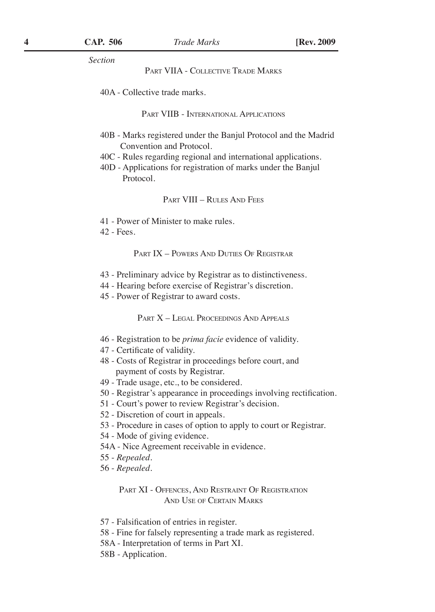*Section*

PART VIIA - COLLECTIVE TRADE MARKS

40A - Collective trade marks.

Part VIIB - International Applications

- 40B Marks registered under the Banjul Protocol and the Madrid Convention and Protocol.
- 40C Rules regarding regional and international applications.
- 40D Applications for registration of marks under the Banjul Protocol.

Part VIII – Rules And Fees

41 - Power of Minister to make rules.

42 - Fees.

PART IX – POWERS AND DUTIES OF REGISTRAR

- 43 Preliminary advice by Registrar as to distinctiveness.
- 44 Hearing before exercise of Registrar's discretion.
- 45 Power of Registrar to award costs.

PART X - LEGAL PROCEEDINGS AND APPEALS

- 46 Registration to be *prima facie* evidence of validity.
- 47 Certificate of validity.
- 48 Costs of Registrar in proceedings before court, and payment of costs by Registrar.
- 49 Trade usage, etc., to be considered.
- 50 Registrar's appearance in proceedings involving rectification.
- 51 Court's power to review Registrar's decision.
- 52 Discretion of court in appeals.
- 53 Procedure in cases of option to apply to court or Registrar.
- 54 Mode of giving evidence.
- 54A Nice Agreement receivable in evidence.
- 55 *Repealed.*
- 56 *Repealed.*

PART XI - OFFENCES, AND RESTRAINT OF REGISTRATION And Use of Certain Marks

- 57 Falsification of entries in register.
- 58 Fine for falsely representing a trade mark as registered.
- 58A Interpretation of terms in Part XI.
- 58B Application.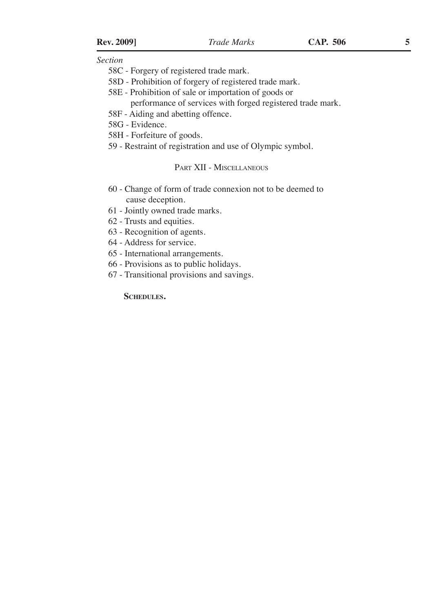*Section*

- 58C Forgery of registered trade mark.
- 58D Prohibition of forgery of registered trade mark.
- 58E Prohibition of sale or importation of goods or

performance of services with forged registered trade mark.

58F - Aiding and abetting offence.

58G - Evidence.

58H - Forfeiture of goods.

59 - Restraint of registration and use of Olympic symbol.

#### Part XII - Miscellaneous

- 60 Change of form of trade connexion not to be deemed to cause deception.
- 61 Jointly owned trade marks.
- 62 Trusts and equities.
- 63 Recognition of agents.

64 - Address for service.

65 - International arrangements.

- 66 Provisions as to public holidays.
- 67 Transitional provisions and savings.

**Schedules.**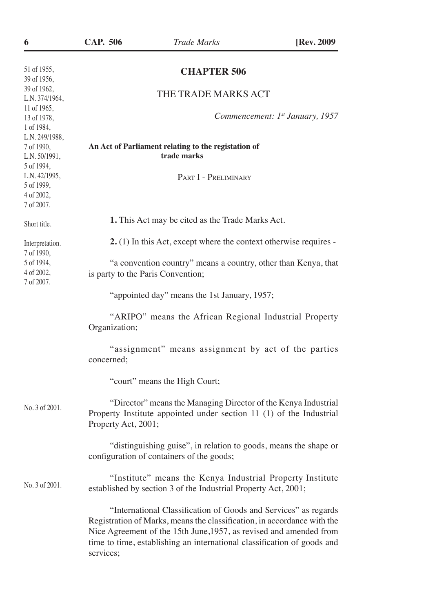| 6                                                                       | <b>CAP. 506</b>                                                                                                                                                                                                                                                                                          | <b>Trade Marks</b>   | [Rev. 2009]                     |
|-------------------------------------------------------------------------|----------------------------------------------------------------------------------------------------------------------------------------------------------------------------------------------------------------------------------------------------------------------------------------------------------|----------------------|---------------------------------|
| 51 of 1955,<br>39 of 1956,                                              | <b>CHAPTER 506</b>                                                                                                                                                                                                                                                                                       |                      |                                 |
| 39 of 1962,<br>L.N. 374/1964,                                           |                                                                                                                                                                                                                                                                                                          | THE TRADE MARKS ACT  |                                 |
| 11 of 1965,<br>13 of 1978,<br>1 of 1984,                                |                                                                                                                                                                                                                                                                                                          |                      | Commencement: 1st January, 1957 |
| L.N. 249/1988,<br>7 of 1990,<br>L.N. 50/1991,<br>5 of 1994,             | An Act of Parliament relating to the registation of<br>trade marks                                                                                                                                                                                                                                       |                      |                                 |
| L.N. 42/1995,<br>5 of 1999,<br>4 of 2002,<br>7 of 2007.                 |                                                                                                                                                                                                                                                                                                          | PART I - PRELIMINARY |                                 |
| Short title.                                                            | 1. This Act may be cited as the Trade Marks Act.                                                                                                                                                                                                                                                         |                      |                                 |
| Interpretation.<br>7 of 1990,<br>5 of 1994,<br>4 of 2002,<br>7 of 2007. | $2.$ (1) In this Act, except where the context otherwise requires -                                                                                                                                                                                                                                      |                      |                                 |
|                                                                         | "a convention country" means a country, other than Kenya, that<br>is party to the Paris Convention;                                                                                                                                                                                                      |                      |                                 |
|                                                                         | "appointed day" means the 1st January, 1957;                                                                                                                                                                                                                                                             |                      |                                 |
|                                                                         | "ARIPO" means the African Regional Industrial Property<br>Organization;                                                                                                                                                                                                                                  |                      |                                 |
|                                                                         | "assignment" means assignment by act of the parties<br>concerned:                                                                                                                                                                                                                                        |                      |                                 |
|                                                                         | "court" means the High Court;                                                                                                                                                                                                                                                                            |                      |                                 |
| No. 3 of 2001.                                                          | "Director" means the Managing Director of the Kenya Industrial<br>Property Institute appointed under section 11 (1) of the Industrial<br>Property Act, 2001;                                                                                                                                             |                      |                                 |
|                                                                         | "distinguishing guise", in relation to goods, means the shape or<br>configuration of containers of the goods;                                                                                                                                                                                            |                      |                                 |
| No. 3 of 2001.                                                          | "Institute" means the Kenya Industrial Property Institute<br>established by section 3 of the Industrial Property Act, 2001;                                                                                                                                                                              |                      |                                 |
|                                                                         | "International Classification of Goods and Services" as regards<br>Registration of Marks, means the classification, in accordance with the<br>Nice Agreement of the 15th June, 1957, as revised and amended from<br>time to time, establishing an international classification of goods and<br>services; |                      |                                 |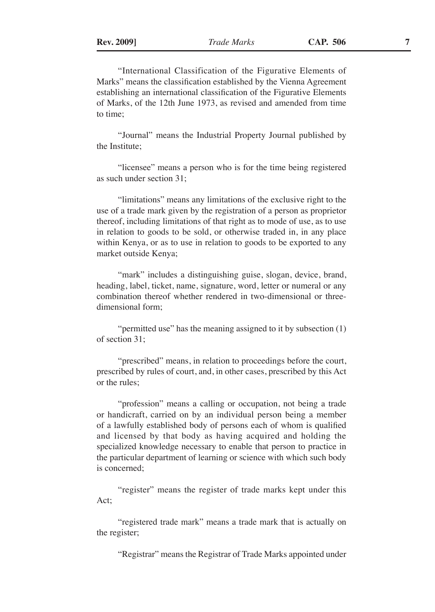"International Classification of the Figurative Elements of Marks" means the classification established by the Vienna Agreement establishing an international classification of the Figurative Elements of Marks, of the 12th June 1973, as revised and amended from time to time;

"Journal" means the Industrial Property Journal published by the Institute;

"licensee" means a person who is for the time being registered as such under section 31;

"limitations" means any limitations of the exclusive right to the use of a trade mark given by the registration of a person as proprietor thereof, including limitations of that right as to mode of use, as to use in relation to goods to be sold, or otherwise traded in, in any place within Kenya, or as to use in relation to goods to be exported to any market outside Kenya;

"mark" includes a distinguishing guise, slogan, device, brand, heading, label, ticket, name, signature, word, letter or numeral or any combination thereof whether rendered in two-dimensional or threedimensional form;

"permitted use" has the meaning assigned to it by subsection (1) of section 31;

"prescribed" means, in relation to proceedings before the court, prescribed by rules of court, and, in other cases, prescribed by this Act or the rules;

"profession" means a calling or occupation, not being a trade or handicraft, carried on by an individual person being a member of a lawfully established body of persons each of whom is qualified and licensed by that body as having acquired and holding the specialized knowledge necessary to enable that person to practice in the particular department of learning or science with which such body is concerned;

"register" means the register of trade marks kept under this Act;

"registered trade mark" means a trade mark that is actually on the register;

"Registrar" means the Registrar of Trade Marks appointed under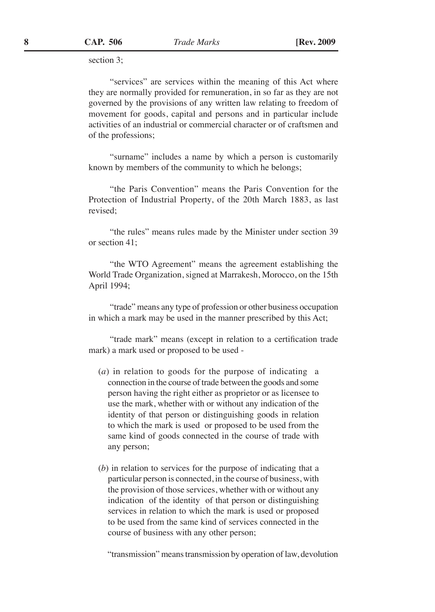section 3;

"services" are services within the meaning of this Act where they are normally provided for remuneration, in so far as they are not governed by the provisions of any written law relating to freedom of movement for goods, capital and persons and in particular include activities of an industrial or commercial character or of craftsmen and of the professions;

"surname" includes a name by which a person is customarily known by members of the community to which he belongs;

"the Paris Convention" means the Paris Convention for the Protection of Industrial Property, of the 20th March 1883, as last revised;

"the rules" means rules made by the Minister under section 39 or section 41;

"the WTO Agreement" means the agreement establishing the World Trade Organization, signed at Marrakesh, Morocco, on the 15th April 1994;

"trade" means any type of profession or other business occupation in which a mark may be used in the manner prescribed by this Act;

"trade mark" means (except in relation to a certification trade mark) a mark used or proposed to be used -

- (*a*) in relation to goods for the purpose of indicating a connection in the course of trade between the goods and some person having the right either as proprietor or as licensee to use the mark, whether with or without any indication of the identity of that person or distinguishing goods in relation to which the mark is used or proposed to be used from the same kind of goods connected in the course of trade with any person;
- (*b*) in relation to services for the purpose of indicating that a particular person is connected, in the course of business, with the provision of those services, whether with or without any indication of the identity of that person or distinguishing services in relation to which the mark is used or proposed to be used from the same kind of services connected in the course of business with any other person;

"transmission" means transmission by operation of law, devolution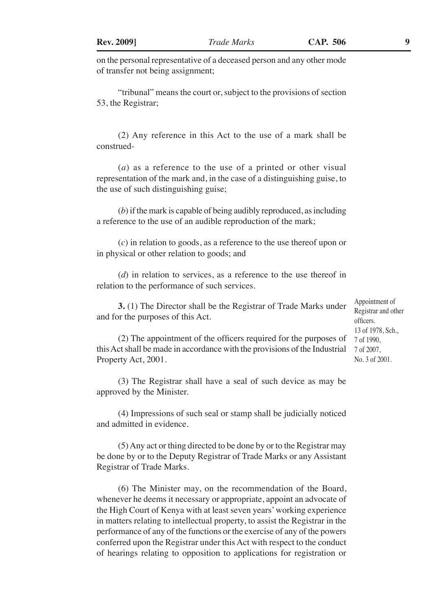on the personal representative of a deceased person and any other mode of transfer not being assignment;

"tribunal" means the court or, subject to the provisions of section 53, the Registrar;

(2) Any reference in this Act to the use of a mark shall be construed-

(*a*) as a reference to the use of a printed or other visual representation of the mark and, in the case of a distinguishing guise, to the use of such distinguishing guise;

(*b*) if the mark is capable of being audibly reproduced, as including a reference to the use of an audible reproduction of the mark;

(*c*) in relation to goods, as a reference to the use thereof upon or in physical or other relation to goods; and

(*d*) in relation to services, as a reference to the use thereof in relation to the performance of such services.

**3.** (1) The Director shall be the Registrar of Trade Marks under and for the purposes of this Act.

Appointment of Registrar and other officers. 13 of 1978, Sch., 7 of 1990, 7 of 2007, No. 3 of 2001.

(2) The appointment of the officers required for the purposes of this Act shall be made in accordance with the provisions of the Industrial Property Act, 2001.

(3) The Registrar shall have a seal of such device as may be approved by the Minister.

(4) Impressions of such seal or stamp shall be judicially noticed and admitted in evidence.

(5) Any act or thing directed to be done by or to the Registrar may be done by or to the Deputy Registrar of Trade Marks or any Assistant Registrar of Trade Marks.

(6) The Minister may, on the recommendation of the Board, whenever he deems it necessary or appropriate, appoint an advocate of the High Court of Kenya with at least seven years' working experience in matters relating to intellectual property, to assist the Registrar in the performance of any of the functions or the exercise of any of the powers conferred upon the Registrar under this Act with respect to the conduct of hearings relating to opposition to applications for registration or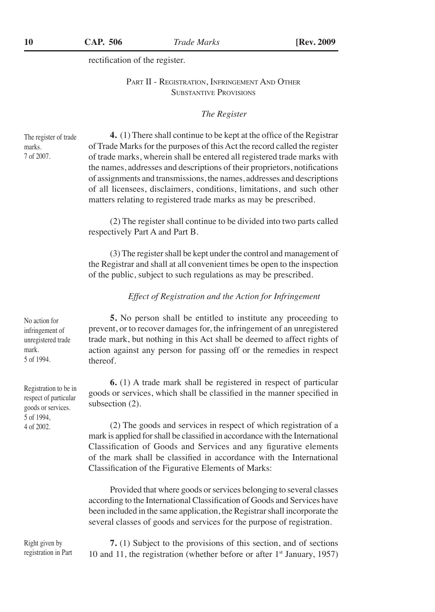rectification of the register.

#### PART II - REGISTRATION, INFRINGEMENT AND OTHER Substantive Provisions

#### *The Register*

The register of trade marks. 7 of 2007.

**4.** (1) There shall continue to be kept at the office of the Registrar of Trade Marks for the purposes of this Act the record called the register of trade marks, wherein shall be entered all registered trade marks with the names, addresses and descriptions of their proprietors, notifications of assignments and transmissions, the names, addresses and descriptions of all licensees, disclaimers, conditions, limitations, and such other matters relating to registered trade marks as may be prescribed.

(2) The register shall continue to be divided into two parts called respectively Part A and Part B.

(3) The register shall be kept under the control and management of the Registrar and shall at all convenient times be open to the inspection of the public, subject to such regulations as may be prescribed.

#### *Effect of Registration and the Action for Infringement*

**5.** No person shall be entitled to institute any proceeding to prevent, or to recover damages for, the infringement of an unregistered trade mark, but nothing in this Act shall be deemed to affect rights of action against any person for passing off or the remedies in respect thereof.

**6.** (1) A trade mark shall be registered in respect of particular goods or services, which shall be classified in the manner specified in subsection (2).

(2) The goods and services in respect of which registration of a mark is applied for shall be classified in accordance with the International Classification of Goods and Services and any figurative elements of the mark shall be classified in accordance with the International Classification of the Figurative Elements of Marks:

Provided that where goods or services belonging to several classes according to the International Classification of Goods and Services have been included in the same application, the Registrar shall incorporate the several classes of goods and services for the purpose of registration.

Right given by registration in Part

**7.** (1) Subject to the provisions of this section, and of sections 10 and 11, the registration (whether before or after  $1<sup>st</sup>$  January, 1957)

No action for infringement of unregistered trade mark. 5 of 1994.

Registration to be in respect of particular goods or services. 5 of 1994, 4 of 2002.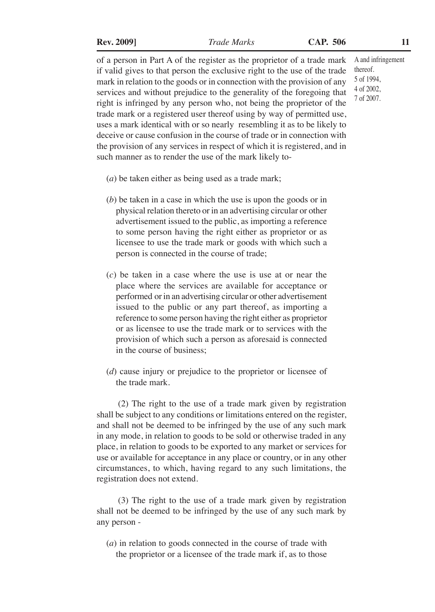of a person in Part A of the register as the proprietor of a trade mark if valid gives to that person the exclusive right to the use of the trade mark in relation to the goods or in connection with the provision of any services and without prejudice to the generality of the foregoing that right is infringed by any person who, not being the proprietor of the trade mark or a registered user thereof using by way of permitted use, uses a mark identical with or so nearly resembling it as to be likely to deceive or cause confusion in the course of trade or in connection with the provision of any services in respect of which it is registered, and in such manner as to render the use of the mark likely to-

- (*a*) be taken either as being used as a trade mark;
- (*b*) be taken in a case in which the use is upon the goods or in physical relation thereto or in an advertising circular or other advertisement issued to the public, as importing a reference to some person having the right either as proprietor or as licensee to use the trade mark or goods with which such a person is connected in the course of trade;
- (*c*) be taken in a case where the use is use at or near the place where the services are available for acceptance or performed or in an advertising circular or other advertisement issued to the public or any part thereof, as importing a reference to some person having the right either as proprietor or as licensee to use the trade mark or to services with the provision of which such a person as aforesaid is connected in the course of business;
- (*d*) cause injury or prejudice to the proprietor or licensee of the trade mark.

(2) The right to the use of a trade mark given by registration shall be subject to any conditions or limitations entered on the register, and shall not be deemed to be infringed by the use of any such mark in any mode, in relation to goods to be sold or otherwise traded in any place, in relation to goods to be exported to any market or services for use or available for acceptance in any place or country, or in any other circumstances, to which, having regard to any such limitations, the registration does not extend.

(3) The right to the use of a trade mark given by registration shall not be deemed to be infringed by the use of any such mark by any person -

(*a*) in relation to goods connected in the course of trade with the proprietor or a licensee of the trade mark if, as to those A and infringement thereof. 5 of 1994, 4 of 2002, 7 of 2007.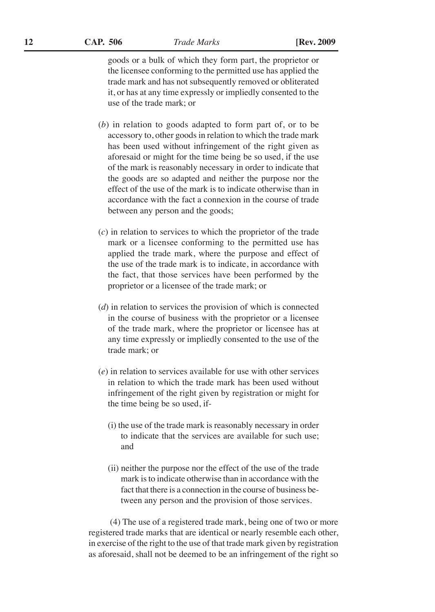goods or a bulk of which they form part, the proprietor or the licensee conforming to the permitted use has applied the trade mark and has not subsequently removed or obliterated it, or has at any time expressly or impliedly consented to the use of the trade mark; or

- (*b*) in relation to goods adapted to form part of, or to be accessory to, other goods in relation to which the trade mark has been used without infringement of the right given as aforesaid or might for the time being be so used, if the use of the mark is reasonably necessary in order to indicate that the goods are so adapted and neither the purpose nor the effect of the use of the mark is to indicate otherwise than in accordance with the fact a connexion in the course of trade between any person and the goods;
- (*c*) in relation to services to which the proprietor of the trade mark or a licensee conforming to the permitted use has applied the trade mark, where the purpose and effect of the use of the trade mark is to indicate, in accordance with the fact, that those services have been performed by the proprietor or a licensee of the trade mark; or
- (*d*) in relation to services the provision of which is connected in the course of business with the proprietor or a licensee of the trade mark, where the proprietor or licensee has at any time expressly or impliedly consented to the use of the trade mark; or
- (*e*) in relation to services available for use with other services in relation to which the trade mark has been used without infringement of the right given by registration or might for the time being be so used, if-
	- (i) the use of the trade mark is reasonably necessary in order to indicate that the services are available for such use; and
	- (ii) neither the purpose nor the effect of the use of the trade mark is to indicate otherwise than in accordance with the fact that there is a connection in the course of business between any person and the provision of those services.

(4) The use of a registered trade mark, being one of two or more registered trade marks that are identical or nearly resemble each other, in exercise of the right to the use of that trade mark given by registration as aforesaid, shall not be deemed to be an infringement of the right so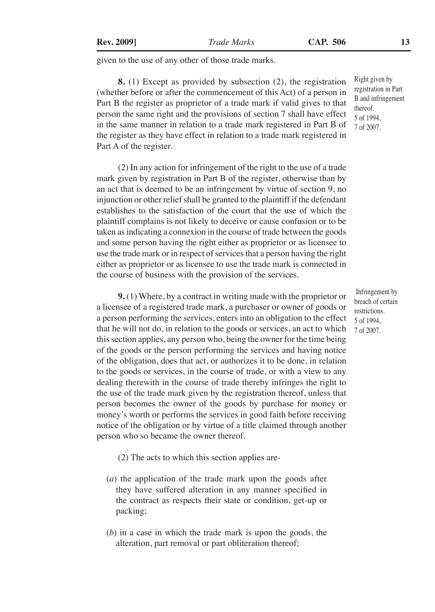given to the use of any other of those trade marks.

**8.** (1) Except as provided by subsection (2), the registration (whether before or after the commencement of this Act) of a person in Part B the register as proprietor of a trade mark if valid gives to that person the same right and the provisions of section 7 shall have effect in the same manner in relation to a trade mark registered in Part B of the register as they have effect in relation to a trade mark registered in Part A of the register.

(2) In any action for infringement of the right to the use of a trade mark given by registration in Part B of the register, otherwise than by an act that is deemed to be an infringement by virtue of section 9, no injunction or other relief shall be granted to the plaintiff if the defendant establishes to the satisfaction of the court that the use of which the plaintiff complains is not likely to deceive or cause confusion or to be taken as indicating a connexion in the course of trade between the goods and some person having the right either as proprietor or as licensee to use the trade mark or in respect of services that a person having the right either as proprietor or as licensee to use the trade mark is connected in the course of business with the provision of the services.

**9.** (1) Where, by a contract in writing made with the proprietor or a licensee of a registered trade mark, a purchaser or owner of goods or a person performing the services, enters into an obligation to the effect that he will not do, in relation to the goods or services, an act to which this section applies, any person who, being the owner for the time being of the goods or the person performing the services and having notice of the obligation, does that act, or authorizes it to be done, in relation to the goods or services, in the course of trade, or with a view to any dealing therewith in the course of trade thereby infringes the right to the use of the trade mark given by the registration thereof, unless that person becomes the owner of the goods by purchase for money or money's worth or performs the services in good faith before receiving notice of the obligation or by virtue of a title claimed through another person who so became the owner thereof.

- (2) The acts to which this section applies are-
- (*a*) the application of the trade mark upon the goods after they have suffered alteration in any manner specified in the contract as respects their state or condition, get-up or packing;
- (*b*) in a case in which the trade mark is upon the goods, the alteration, part removal or part obliteration thereof;

Right given by registration in Part B and infringement thereof. 5 of 1994, 7 of 2007.

 Infringement by breach of certain restrictions. 5 of 1994, 7 of 2007.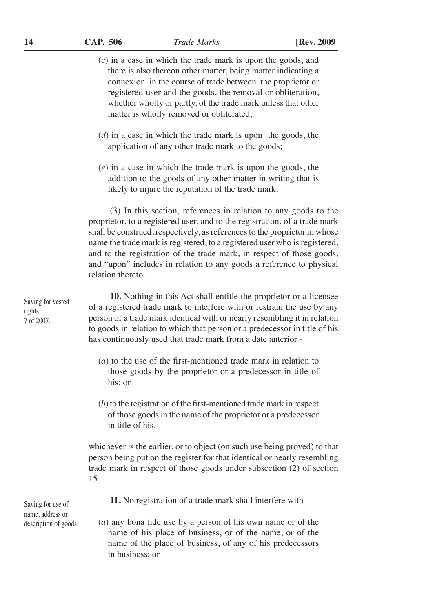- (*c*) in a case in which the trade mark is upon the goods, and there is also thereon other matter, being matter indicating a connexion in the course of trade between the proprietor or registered user and the goods, the removal or obliteration, whether wholly or partly, of the trade mark unless that other matter is wholly removed or obliterated;
	- (*d*) in a case in which the trade mark is upon the goods, the application of any other trade mark to the goods;
	- (*e*) in a case in which the trade mark is upon the goods, the addition to the goods of any other matter in writing that is likely to injure the reputation of the trade mark.

(3) In this section, references in relation to any goods to the proprietor, to a registered user, and to the registration, of a trade mark shall be construed, respectively, as references to the proprietor in whose name the trade mark is registered, to a registered user who is registered, and to the registration of the trade mark, in respect of those goods, and "upon" includes in relation to any goods a reference to physical relation thereto.

**10.** Nothing in this Act shall entitle the proprietor or a licensee of a registered trade mark to interfere with or restrain the use by any person of a trade mark identical with or nearly resembling it in relation to goods in relation to which that person or a predecessor in title of his has continuously used that trade mark from a date anterior -

- (*a*) to the use of the first-mentioned trade mark in relation to those goods by the proprietor or a predecessor in title of his; or
- (*b*) to the registration of the first-mentioned trade mark in respect of those goods in the name of the proprietor or a predecessor in title of his,

whichever is the earlier, or to object (on such use being proved) to that person being put on the register for that identical or nearly resembling trade mark in respect of those goods under subsection (2) of section 15.

Saving for use of name, address or description of goods.

- **11.** No registration of a trade mark shall interfere with -
- (*a*) any bona fide use by a person of his own name or of the name of his place of business, or of the name, or of the name of the place of business, of any of his predecessors in business; or

Saving for vested rights. 7 of 2007.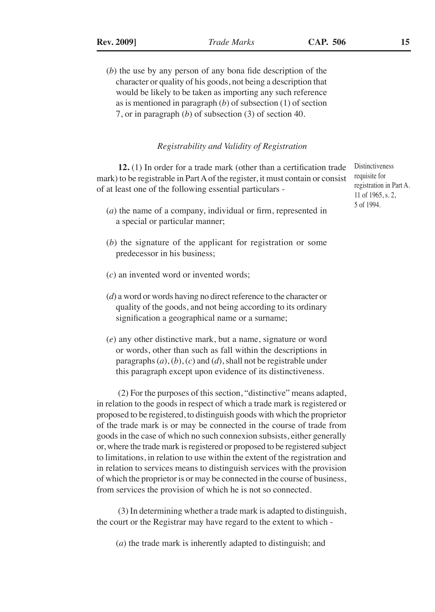(*b*) the use by any person of any bona fide description of the character or quality of his goods, not being a description that would be likely to be taken as importing any such reference as is mentioned in paragraph (*b*) of subsection (1) of section 7, or in paragraph (*b*) of subsection (3) of section 40.

#### *Registrability and Validity of Registration*

**12.** (1) In order for a trade mark (other than a certification trade mark) to be registrable in Part A of the register, it must contain or consist of at least one of the following essential particulars -

- (*a*) the name of a company, individual or firm, represented in a special or particular manner;
- (*b*) the signature of the applicant for registration or some predecessor in his business;
- (*c*) an invented word or invented words;
- (*d*) a word or words having no direct reference to the character or quality of the goods, and not being according to its ordinary signification a geographical name or a surname;
- (*e*) any other distinctive mark, but a name, signature or word or words, other than such as fall within the descriptions in paragraphs (*a*), (*b*), (*c*) and (*d*), shall not be registrable under this paragraph except upon evidence of its distinctiveness.

(2) For the purposes of this section, "distinctive" means adapted, in relation to the goods in respect of which a trade mark is registered or proposed to be registered, to distinguish goods with which the proprietor of the trade mark is or may be connected in the course of trade from goods in the case of which no such connexion subsists, either generally or, where the trade mark is registered or proposed to be registered subject to limitations, in relation to use within the extent of the registration and in relation to services means to distinguish services with the provision of which the proprietor is or may be connected in the course of business, from services the provision of which he is not so connected.

(3) In determining whether a trade mark is adapted to distinguish, the court or the Registrar may have regard to the extent to which -

(*a*) the trade mark is inherently adapted to distinguish; and

**Distinctiveness** requisite for registration in Part A. 11 of 1965, s. 2, 5 of 1994.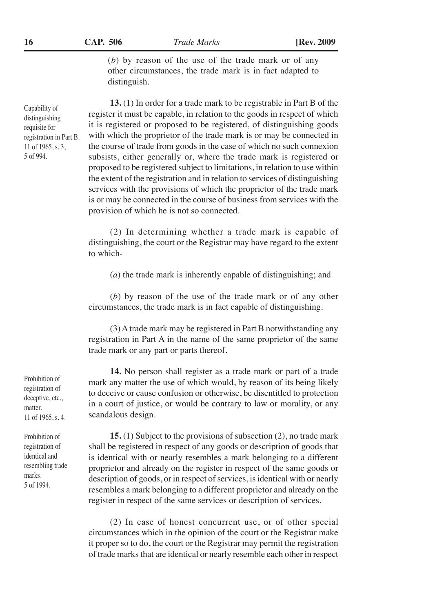(*b*) by reason of the use of the trade mark or of any other circumstances, the trade mark is in fact adapted to distinguish.

**13.** (1) In order for a trade mark to be registrable in Part B of the register it must be capable, in relation to the goods in respect of which it is registered or proposed to be registered, of distinguishing goods with which the proprietor of the trade mark is or may be connected in the course of trade from goods in the case of which no such connexion subsists, either generally or, where the trade mark is registered or proposed to be registered subject to limitations, in relation to use within the extent of the registration and in relation to services of distinguishing services with the provisions of which the proprietor of the trade mark is or may be connected in the course of business from services with the provision of which he is not so connected.

(2) In determining whether a trade mark is capable of distinguishing, the court or the Registrar may have regard to the extent to which-

(*a*) the trade mark is inherently capable of distinguishing; and

(*b*) by reason of the use of the trade mark or of any other circumstances, the trade mark is in fact capable of distinguishing.

(3) A trade mark may be registered in Part B notwithstanding any registration in Part A in the name of the same proprietor of the same trade mark or any part or parts thereof.

**14.** No person shall register as a trade mark or part of a trade mark any matter the use of which would, by reason of its being likely to deceive or cause confusion or otherwise, be disentitled to protection in a court of justice, or would be contrary to law or morality, or any scandalous design.

**15.** (1) Subject to the provisions of subsection (2), no trade mark shall be registered in respect of any goods or description of goods that is identical with or nearly resembles a mark belonging to a different proprietor and already on the register in respect of the same goods or description of goods, or in respect of services, is identical with or nearly resembles a mark belonging to a different proprietor and already on the register in respect of the same services or description of services.

(2) In case of honest concurrent use, or of other special circumstances which in the opinion of the court or the Registrar make it proper so to do, the court or the Registrar may permit the registration of trade marks that are identical or nearly resemble each other in respect

Prohibition of registration of deceptive, etc., matter. 11 of 1965, s. 4.

Prohibition of registration of identical and resembling trade marks. 5 of 1994.

Capability of distinguishing requisite for registration in Part B. 11 of 1965, s. 3, 5 of 994.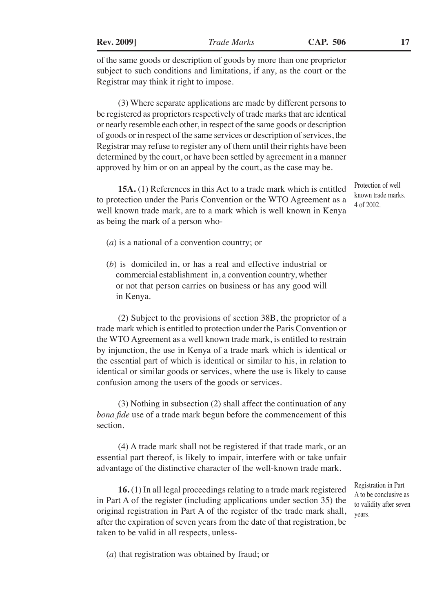of the same goods or description of goods by more than one proprietor subject to such conditions and limitations, if any, as the court or the Registrar may think it right to impose.

(3) Where separate applications are made by different persons to be registered as proprietors respectively of trade marks that are identical or nearly resemble each other, in respect of the same goods or description of goods or in respect of the same services or description of services, the Registrar may refuse to register any of them until their rights have been determined by the court, or have been settled by agreement in a manner approved by him or on an appeal by the court, as the case may be.

**15A.** (1) References in this Act to a trade mark which is entitled to protection under the Paris Convention or the WTO Agreement as a well known trade mark, are to a mark which is well known in Kenya as being the mark of a person who-

known trade marks. 4 of 2002.

Protection of well

- (*a*) is a national of a convention country; or
- (*b*) is domiciled in, or has a real and effective industrial or commercial establishment in, a convention country, whether or not that person carries on business or has any good will in Kenya.

(2) Subject to the provisions of section 38B, the proprietor of a trade mark which is entitled to protection under the Paris Convention or the WTO Agreement as a well known trade mark, is entitled to restrain by injunction, the use in Kenya of a trade mark which is identical or the essential part of which is identical or similar to his, in relation to identical or similar goods or services, where the use is likely to cause confusion among the users of the goods or services.

(3) Nothing in subsection (2) shall affect the continuation of any *bona fide* use of a trade mark begun before the commencement of this section.

(4) A trade mark shall not be registered if that trade mark, or an essential part thereof, is likely to impair, interfere with or take unfair advantage of the distinctive character of the well-known trade mark.

**16.** (1) In all legal proceedings relating to a trade mark registered in Part A of the register (including applications under section 35) the original registration in Part A of the register of the trade mark shall, after the expiration of seven years from the date of that registration, be taken to be valid in all respects, unless-

Registration in Part A to be conclusive as to validity after seven years.

(*a*) that registration was obtained by fraud; or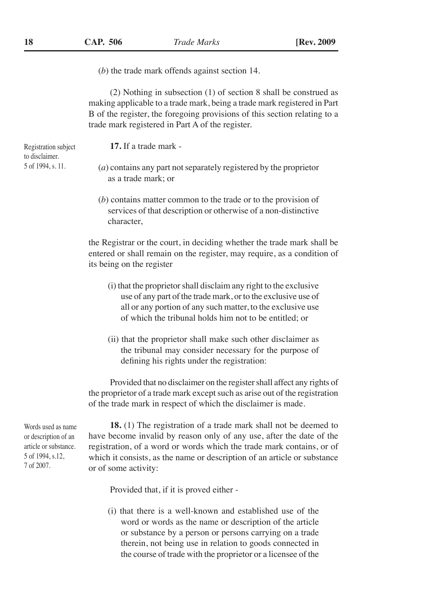(*b*) the trade mark offends against section 14.

(2) Nothing in subsection (1) of section 8 shall be construed as making applicable to a trade mark, being a trade mark registered in Part B of the register, the foregoing provisions of this section relating to a trade mark registered in Part A of the register.

**17.** If a trade mark -

- (*a*) contains any part not separately registered by the proprietor as a trade mark; or
- (*b*) contains matter common to the trade or to the provision of services of that description or otherwise of a non-distinctive character,

the Registrar or the court, in deciding whether the trade mark shall be entered or shall remain on the register, may require, as a condition of its being on the register

- (i) that the proprietor shall disclaim any right to the exclusive use of any part of the trade mark, or to the exclusive use of all or any portion of any such matter, to the exclusive use of which the tribunal holds him not to be entitled; or
- (ii) that the proprietor shall make such other disclaimer as the tribunal may consider necessary for the purpose of defining his rights under the registration:

Provided that no disclaimer on the register shall affect any rights of the proprietor of a trade mark except such as arise out of the registration of the trade mark in respect of which the disclaimer is made.

Words used as name or description of an article or substance. 5 of 1994, s.12, 7 of 2007.

**18.** (1) The registration of a trade mark shall not be deemed to have become invalid by reason only of any use, after the date of the registration, of a word or words which the trade mark contains, or of which it consists, as the name or description of an article or substance or of some activity:

Provided that, if it is proved either -

(i) that there is a well-known and established use of the word or words as the name or description of the article or substance by a person or persons carrying on a trade therein, not being use in relation to goods connected in the course of trade with the proprietor or a licensee of the

Registration subject to disclaimer. 5 of 1994, s. 11.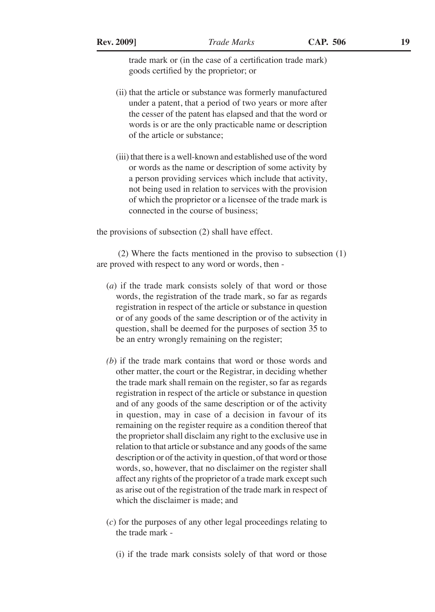trade mark or (in the case of a certification trade mark) goods certified by the proprietor; or

- (ii) that the article or substance was formerly manufactured under a patent, that a period of two years or more after the cesser of the patent has elapsed and that the word or words is or are the only practicable name or description of the article or substance;
- (iii) that there is a well-known and established use of the word or words as the name or description of some activity by a person providing services which include that activity, not being used in relation to services with the provision of which the proprietor or a licensee of the trade mark is connected in the course of business;

the provisions of subsection (2) shall have effect.

(2) Where the facts mentioned in the proviso to subsection (1) are proved with respect to any word or words, then -

- (*a*) if the trade mark consists solely of that word or those words, the registration of the trade mark, so far as regards registration in respect of the article or substance in question or of any goods of the same description or of the activity in question, shall be deemed for the purposes of section 35 to be an entry wrongly remaining on the register;
- *(b*) if the trade mark contains that word or those words and other matter, the court or the Registrar, in deciding whether the trade mark shall remain on the register, so far as regards registration in respect of the article or substance in question and of any goods of the same description or of the activity in question, may in case of a decision in favour of its remaining on the register require as a condition thereof that the proprietor shall disclaim any right to the exclusive use in relation to that article or substance and any goods of the same description or of the activity in question, of that word or those words, so, however, that no disclaimer on the register shall affect any rights of the proprietor of a trade mark except such as arise out of the registration of the trade mark in respect of which the disclaimer is made; and
- (*c*) for the purposes of any other legal proceedings relating to the trade mark -
	- (i) if the trade mark consists solely of that word or those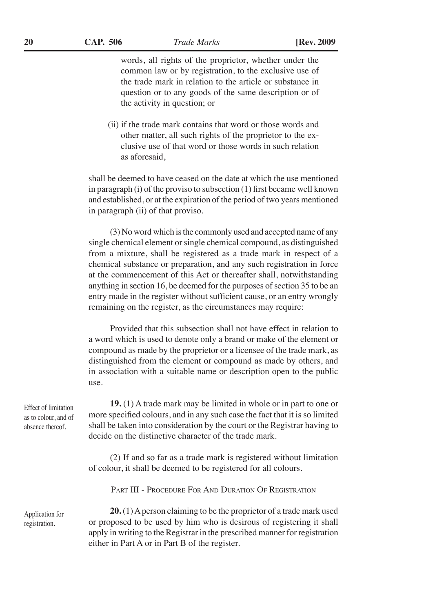words, all rights of the proprietor, whether under the common law or by registration, to the exclusive use of the trade mark in relation to the article or substance in question or to any goods of the same description or of the activity in question; or

(ii) if the trade mark contains that word or those words and other matter, all such rights of the proprietor to the exclusive use of that word or those words in such relation as aforesaid,

shall be deemed to have ceased on the date at which the use mentioned in paragraph (i) of the proviso to subsection (1) first became well known and established, or at the expiration of the period of two years mentioned in paragraph (ii) of that proviso.

(3) No word which is the commonly used and accepted name of any single chemical element or single chemical compound, as distinguished from a mixture, shall be registered as a trade mark in respect of a chemical substance or preparation, and any such registration in force at the commencement of this Act or thereafter shall, notwithstanding anything in section 16, be deemed for the purposes of section 35 to be an entry made in the register without sufficient cause, or an entry wrongly remaining on the register, as the circumstances may require:

Provided that this subsection shall not have effect in relation to a word which is used to denote only a brand or make of the element or compound as made by the proprietor or a licensee of the trade mark, as distinguished from the element or compound as made by others, and in association with a suitable name or description open to the public use.

**19.** (1) A trade mark may be limited in whole or in part to one or more specified colours, and in any such case the fact that it is so limited shall be taken into consideration by the court or the Registrar having to decide on the distinctive character of the trade mark.

(2) If and so far as a trade mark is registered without limitation of colour, it shall be deemed to be registered for all colours.

Part III - Procedure For And Duration Of Registration

**20.** (1) A person claiming to be the proprietor of a trade mark used or proposed to be used by him who is desirous of registering it shall apply in writing to the Registrar in the prescribed manner for registration either in Part A or in Part B of the register.

Effect of limitation as to colour, and of absence thereof.

Application for registration.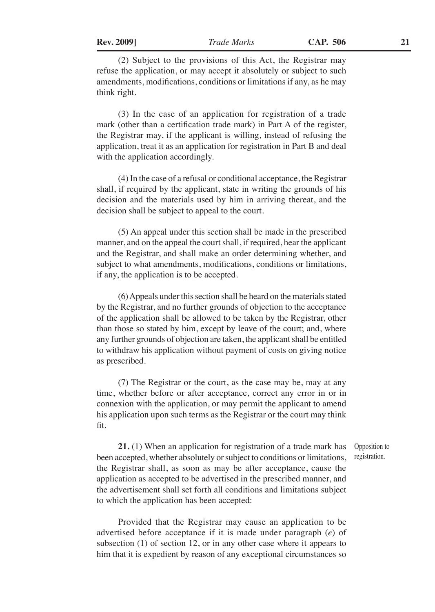(2) Subject to the provisions of this Act, the Registrar may refuse the application, or may accept it absolutely or subject to such amendments, modifications, conditions or limitations if any, as he may think right.

(3) In the case of an application for registration of a trade mark (other than a certification trade mark) in Part A of the register, the Registrar may, if the applicant is willing, instead of refusing the application, treat it as an application for registration in Part B and deal with the application accordingly.

(4) In the case of a refusal or conditional acceptance, the Registrar shall, if required by the applicant, state in writing the grounds of his decision and the materials used by him in arriving thereat, and the decision shall be subject to appeal to the court.

(5) An appeal under this section shall be made in the prescribed manner, and on the appeal the court shall, if required, hear the applicant and the Registrar, and shall make an order determining whether, and subject to what amendments, modifications, conditions or limitations, if any, the application is to be accepted.

(6) Appeals under this section shall be heard on the materials stated by the Registrar, and no further grounds of objection to the acceptance of the application shall be allowed to be taken by the Registrar, other than those so stated by him, except by leave of the court; and, where any further grounds of objection are taken, the applicant shall be entitled to withdraw his application without payment of costs on giving notice as prescribed.

(7) The Registrar or the court, as the case may be, may at any time, whether before or after acceptance, correct any error in or in connexion with the application, or may permit the applicant to amend his application upon such terms as the Registrar or the court may think fit.

**21.** (1) When an application for registration of a trade mark has been accepted, whether absolutely or subject to conditions or limitations, the Registrar shall, as soon as may be after acceptance, cause the application as accepted to be advertised in the prescribed manner, and the advertisement shall set forth all conditions and limitations subject to which the application has been accepted:

Provided that the Registrar may cause an application to be advertised before acceptance if it is made under paragraph (*e*) of subsection (1) of section 12, or in any other case where it appears to him that it is expedient by reason of any exceptional circumstances so

Opposition to registration.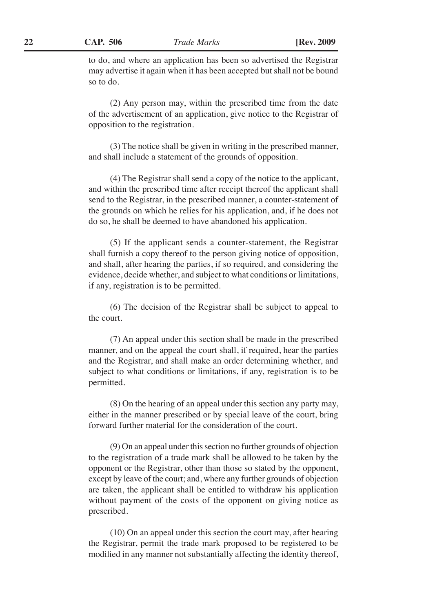to do, and where an application has been so advertised the Registrar may advertise it again when it has been accepted but shall not be bound so to do.

(2) Any person may, within the prescribed time from the date of the advertisement of an application, give notice to the Registrar of opposition to the registration.

(3) The notice shall be given in writing in the prescribed manner, and shall include a statement of the grounds of opposition.

(4) The Registrar shall send a copy of the notice to the applicant, and within the prescribed time after receipt thereof the applicant shall send to the Registrar, in the prescribed manner, a counter-statement of the grounds on which he relies for his application, and, if he does not do so, he shall be deemed to have abandoned his application.

(5) If the applicant sends a counter-statement, the Registrar shall furnish a copy thereof to the person giving notice of opposition, and shall, after hearing the parties, if so required, and considering the evidence, decide whether, and subject to what conditions or limitations, if any, registration is to be permitted.

(6) The decision of the Registrar shall be subject to appeal to the court.

(7) An appeal under this section shall be made in the prescribed manner, and on the appeal the court shall, if required, hear the parties and the Registrar, and shall make an order determining whether, and subject to what conditions or limitations, if any, registration is to be permitted.

(8) On the hearing of an appeal under this section any party may, either in the manner prescribed or by special leave of the court, bring forward further material for the consideration of the court.

(9) On an appeal under this section no further grounds of objection to the registration of a trade mark shall be allowed to be taken by the opponent or the Registrar, other than those so stated by the opponent, except by leave of the court; and, where any further grounds of objection are taken, the applicant shall be entitled to withdraw his application without payment of the costs of the opponent on giving notice as prescribed.

(10) On an appeal under this section the court may, after hearing the Registrar, permit the trade mark proposed to be registered to be modified in any manner not substantially affecting the identity thereof,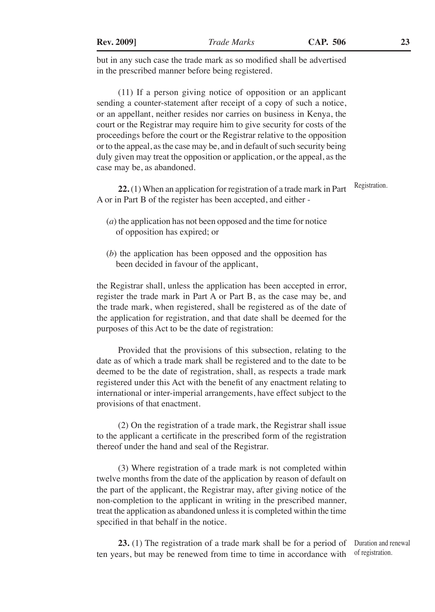but in any such case the trade mark as so modified shall be advertised in the prescribed manner before being registered.

(11) If a person giving notice of opposition or an applicant sending a counter-statement after receipt of a copy of such a notice, or an appellant, neither resides nor carries on business in Kenya, the court or the Registrar may require him to give security for costs of the proceedings before the court or the Registrar relative to the opposition or to the appeal, as the case may be, and in default of such security being duly given may treat the opposition or application, or the appeal, as the case may be, as abandoned.

**22.** (1) When an application for registration of a trade mark in Part A or in Part B of the register has been accepted, and either - Registration.

- (*a*) the application has not been opposed and the time for notice of opposition has expired; or
- (*b*) the application has been opposed and the opposition has been decided in favour of the applicant,

the Registrar shall, unless the application has been accepted in error, register the trade mark in Part A or Part B, as the case may be, and the trade mark, when registered, shall be registered as of the date of the application for registration, and that date shall be deemed for the purposes of this Act to be the date of registration:

Provided that the provisions of this subsection, relating to the date as of which a trade mark shall be registered and to the date to be deemed to be the date of registration, shall, as respects a trade mark registered under this Act with the benefit of any enactment relating to international or inter-imperial arrangements, have effect subject to the provisions of that enactment.

(2) On the registration of a trade mark, the Registrar shall issue to the applicant a certificate in the prescribed form of the registration thereof under the hand and seal of the Registrar.

(3) Where registration of a trade mark is not completed within twelve months from the date of the application by reason of default on the part of the applicant, the Registrar may, after giving notice of the non-completion to the applicant in writing in the prescribed manner, treat the application as abandoned unless it is completed within the time specified in that behalf in the notice.

23. (1) The registration of a trade mark shall be for a period of Duration and renewal ten years, but may be renewed from time to time in accordance with of registration.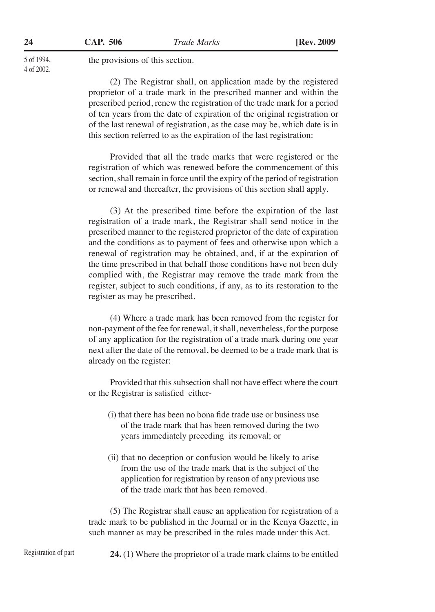5 of 1994, 4 of 2002. the provisions of this section.

(2) The Registrar shall, on application made by the registered proprietor of a trade mark in the prescribed manner and within the prescribed period, renew the registration of the trade mark for a period of ten years from the date of expiration of the original registration or of the last renewal of registration, as the case may be, which date is in this section referred to as the expiration of the last registration:

Provided that all the trade marks that were registered or the registration of which was renewed before the commencement of this section, shall remain in force until the expiry of the period of registration or renewal and thereafter, the provisions of this section shall apply.

(3) At the prescribed time before the expiration of the last registration of a trade mark, the Registrar shall send notice in the prescribed manner to the registered proprietor of the date of expiration and the conditions as to payment of fees and otherwise upon which a renewal of registration may be obtained, and, if at the expiration of the time prescribed in that behalf those conditions have not been duly complied with, the Registrar may remove the trade mark from the register, subject to such conditions, if any, as to its restoration to the register as may be prescribed.

(4) Where a trade mark has been removed from the register for non-payment of the fee for renewal, it shall, nevertheless, for the purpose of any application for the registration of a trade mark during one year next after the date of the removal, be deemed to be a trade mark that is already on the register:

Provided that this subsection shall not have effect where the court or the Registrar is satisfied either-

- (i) that there has been no bona fide trade use or business use of the trade mark that has been removed during the two years immediately preceding its removal; or
- (ii) that no deception or confusion would be likely to arise from the use of the trade mark that is the subject of the application for registration by reason of any previous use of the trade mark that has been removed.

(5) The Registrar shall cause an application for registration of a trade mark to be published in the Journal or in the Kenya Gazette, in such manner as may be prescribed in the rules made under this Act.

Registration of part

**24.** (1) Where the proprietor of a trade mark claims to be entitled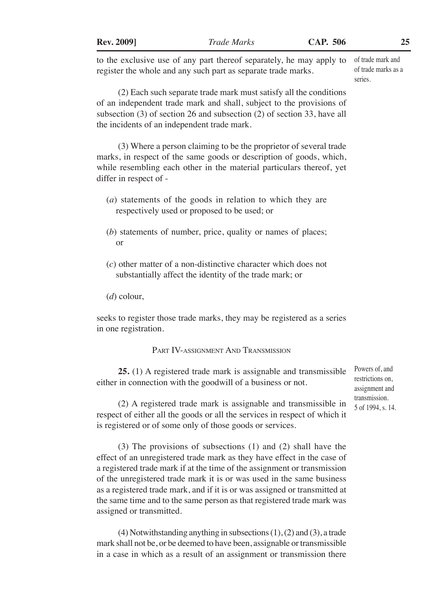| <b>Rev. 2009</b> |
|------------------|
|                  |

to the exclusive use of any part thereof separately, he may apply to register the whole and any such part as separate trade marks.

of trade mark and of trade marks as a series.

(2) Each such separate trade mark must satisfy all the conditions of an independent trade mark and shall, subject to the provisions of subsection (3) of section 26 and subsection (2) of section 33, have all the incidents of an independent trade mark.

(3) Where a person claiming to be the proprietor of several trade marks, in respect of the same goods or description of goods, which, while resembling each other in the material particulars thereof, yet differ in respect of -

- (*a*) statements of the goods in relation to which they are respectively used or proposed to be used; or
- (*b*) statements of number, price, quality or names of places; or
- (*c*) other matter of a non-distinctive character which does not substantially affect the identity of the trade mark; or
- (*d*) colour,

seeks to register those trade marks, they may be registered as a series in one registration.

#### Part IV-assignment And Transmission

**25.** (1) A registered trade mark is assignable and transmissible either in connection with the goodwill of a business or not.

Powers of, and restrictions on, assignment and transmission. 5 of 1994, s. 14.

(2) A registered trade mark is assignable and transmissible in respect of either all the goods or all the services in respect of which it is registered or of some only of those goods or services.

(3) The provisions of subsections (1) and (2) shall have the effect of an unregistered trade mark as they have effect in the case of a registered trade mark if at the time of the assignment or transmission of the unregistered trade mark it is or was used in the same business as a registered trade mark, and if it is or was assigned or transmitted at the same time and to the same person as that registered trade mark was assigned or transmitted.

(4) Notwithstanding anything in subsections  $(1)$ ,  $(2)$  and  $(3)$ , a trade mark shall not be, or be deemed to have been, assignable or transmissible in a case in which as a result of an assignment or transmission there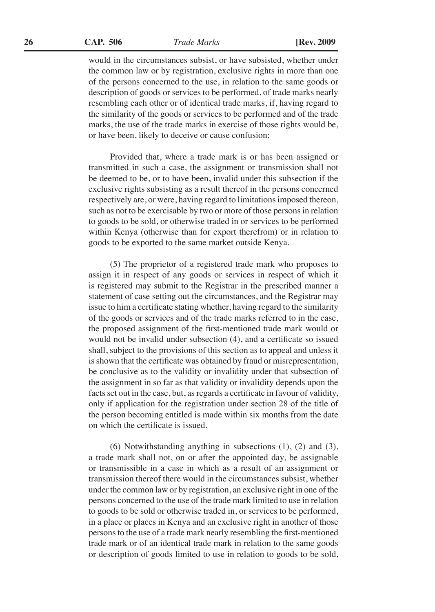**CAP. 506 26** *Trade Marks* **[Rev. 2009**

would in the circumstances subsist, or have subsisted, whether under the common law or by registration, exclusive rights in more than one of the persons concerned to the use, in relation to the same goods or description of goods or services to be performed, of trade marks nearly resembling each other or of identical trade marks, if, having regard to the similarity of the goods or services to be performed and of the trade marks, the use of the trade marks in exercise of those rights would be, or have been, likely to deceive or cause confusion:

Provided that, where a trade mark is or has been assigned or transmitted in such a case, the assignment or transmission shall not be deemed to be, or to have been, invalid under this subsection if the exclusive rights subsisting as a result thereof in the persons concerned respectively are, or were, having regard to limitations imposed thereon, such as not to be exercisable by two or more of those persons in relation to goods to be sold, or otherwise traded in or services to be performed within Kenya (otherwise than for export therefrom) or in relation to goods to be exported to the same market outside Kenya.

(5) The proprietor of a registered trade mark who proposes to assign it in respect of any goods or services in respect of which it is registered may submit to the Registrar in the prescribed manner a statement of case setting out the circumstances, and the Registrar may issue to him a certificate stating whether, having regard to the similarity of the goods or services and of the trade marks referred to in the case, the proposed assignment of the first-mentioned trade mark would or would not be invalid under subsection (4), and a certificate so issued shall, subject to the provisions of this section as to appeal and unless it is shown that the certificate was obtained by fraud or misrepresentation, be conclusive as to the validity or invalidity under that subsection of the assignment in so far as that validity or invalidity depends upon the facts set out in the case, but, as regards a certificate in favour of validity, only if application for the registration under section 28 of the title of the person becoming entitled is made within six months from the date on which the certificate is issued.

(6) Notwithstanding anything in subsections (1), (2) and (3), a trade mark shall not, on or after the appointed day, be assignable or transmissible in a case in which as a result of an assignment or transmission thereof there would in the circumstances subsist, whether under the common law or by registration, an exclusive right in one of the persons concerned to the use of the trade mark limited to use in relation to goods to be sold or otherwise traded in, or services to be performed, in a place or places in Kenya and an exclusive right in another of those persons to the use of a trade mark nearly resembling the first-mentioned trade mark or of an identical trade mark in relation to the same goods or description of goods limited to use in relation to goods to be sold,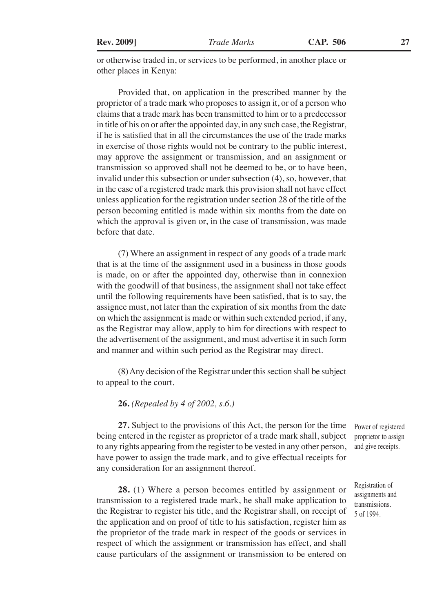or otherwise traded in, or services to be performed, in another place or other places in Kenya:

Provided that, on application in the prescribed manner by the proprietor of a trade mark who proposes to assign it, or of a person who claims that a trade mark has been transmitted to him or to a predecessor in title of his on or after the appointed day, in any such case, the Registrar, if he is satisfied that in all the circumstances the use of the trade marks in exercise of those rights would not be contrary to the public interest, may approve the assignment or transmission, and an assignment or transmission so approved shall not be deemed to be, or to have been, invalid under this subsection or under subsection (4), so, however, that in the case of a registered trade mark this provision shall not have effect unless application for the registration under section 28 of the title of the person becoming entitled is made within six months from the date on which the approval is given or, in the case of transmission, was made before that date.

(7) Where an assignment in respect of any goods of a trade mark that is at the time of the assignment used in a business in those goods is made, on or after the appointed day, otherwise than in connexion with the goodwill of that business, the assignment shall not take effect until the following requirements have been satisfied, that is to say, the assignee must, not later than the expiration of six months from the date on which the assignment is made or within such extended period, if any, as the Registrar may allow, apply to him for directions with respect to the advertisement of the assignment, and must advertise it in such form and manner and within such period as the Registrar may direct.

(8) Any decision of the Registrar under this section shall be subject to appeal to the court.

**26.** *(Repealed by 4 of 2002, s.6.)*

**27.** Subject to the provisions of this Act, the person for the time being entered in the register as proprietor of a trade mark shall, subject to any rights appearing from the register to be vested in any other person, have power to assign the trade mark, and to give effectual receipts for any consideration for an assignment thereof.

**28.** (1) Where a person becomes entitled by assignment or transmission to a registered trade mark, he shall make application to the Registrar to register his title, and the Registrar shall, on receipt of the application and on proof of title to his satisfaction, register him as the proprietor of the trade mark in respect of the goods or services in respect of which the assignment or transmission has effect, and shall cause particulars of the assignment or transmission to be entered on

Power of registered proprietor to assign and give receipts.

Registration of assignments and transmissions. 5 of 1994.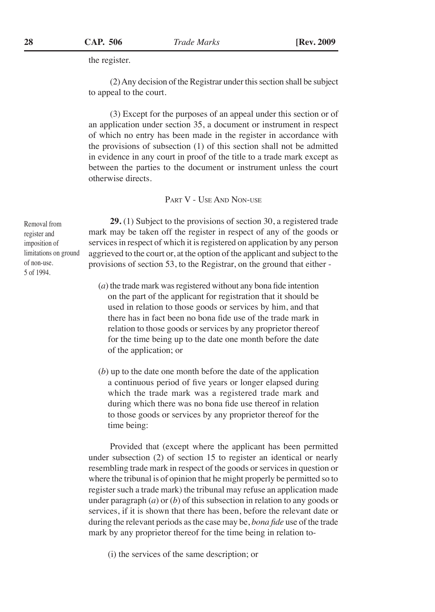the register.

(2) Any decision of the Registrar under this section shall be subject to appeal to the court.

(3) Except for the purposes of an appeal under this section or of an application under section 35, a document or instrument in respect of which no entry has been made in the register in accordance with the provisions of subsection (1) of this section shall not be admitted in evidence in any court in proof of the title to a trade mark except as between the parties to the document or instrument unless the court otherwise directs.

PART V - USE AND NON-USE

**29.** (1) Subject to the provisions of section 30, a registered trade mark may be taken off the register in respect of any of the goods or services in respect of which it is registered on application by any person aggrieved to the court or, at the option of the applicant and subject to the provisions of section 53, to the Registrar, on the ground that either -

- (*a*) the trade mark was registered without any bona fide intention on the part of the applicant for registration that it should be used in relation to those goods or services by him, and that there has in fact been no bona fide use of the trade mark in relation to those goods or services by any proprietor thereof for the time being up to the date one month before the date of the application; or
- (*b*) up to the date one month before the date of the application a continuous period of five years or longer elapsed during which the trade mark was a registered trade mark and during which there was no bona fide use thereof in relation to those goods or services by any proprietor thereof for the time being:

Provided that (except where the applicant has been permitted under subsection (2) of section 15 to register an identical or nearly resembling trade mark in respect of the goods or services in question or where the tribunal is of opinion that he might properly be permitted so to register such a trade mark) the tribunal may refuse an application made under paragraph (*a*) or (*b*) of this subsection in relation to any goods or services, if it is shown that there has been, before the relevant date or during the relevant periods as the case may be, *bona fide* use of the trade mark by any proprietor thereof for the time being in relation to-

(i) the services of the same description; or

Removal from register and imposition of limitations on ground of non-use. 5 of 1994.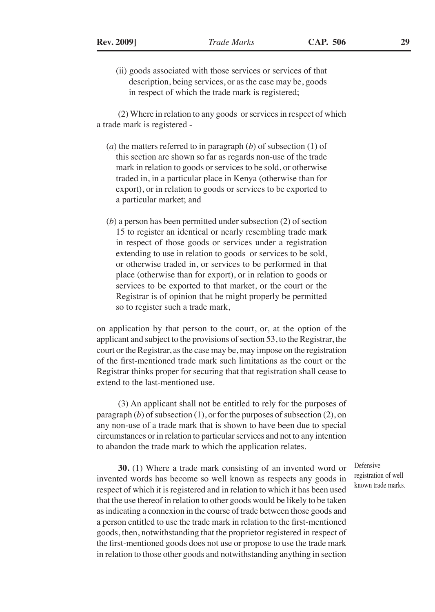(ii) goods associated with those services or services of that description, being services, or as the case may be, goods in respect of which the trade mark is registered;

(2) Where in relation to any goods or services in respect of which a trade mark is registered -

- (*a*) the matters referred to in paragraph (*b*) of subsection (1) of this section are shown so far as regards non-use of the trade mark in relation to goods or services to be sold, or otherwise traded in, in a particular place in Kenya (otherwise than for export), or in relation to goods or services to be exported to a particular market; and
- (*b*) a person has been permitted under subsection (2) of section 15 to register an identical or nearly resembling trade mark in respect of those goods or services under a registration extending to use in relation to goods or services to be sold, or otherwise traded in, or services to be performed in that place (otherwise than for export), or in relation to goods or services to be exported to that market, or the court or the Registrar is of opinion that he might properly be permitted so to register such a trade mark,

on application by that person to the court, or, at the option of the applicant and subject to the provisions of section 53, to the Registrar, the court or the Registrar, as the case may be, may impose on the registration of the first-mentioned trade mark such limitations as the court or the Registrar thinks proper for securing that that registration shall cease to extend to the last-mentioned use.

(3) An applicant shall not be entitled to rely for the purposes of paragraph (*b*) of subsection (1), or for the purposes of subsection (2), on any non-use of a trade mark that is shown to have been due to special circumstances or in relation to particular services and not to any intention to abandon the trade mark to which the application relates.

**30.** (1) Where a trade mark consisting of an invented word or invented words has become so well known as respects any goods in respect of which it is registered and in relation to which it has been used that the use thereof in relation to other goods would be likely to be taken as indicating a connexion in the course of trade between those goods and a person entitled to use the trade mark in relation to the first-mentioned goods, then, notwithstanding that the proprietor registered in respect of the first-mentioned goods does not use or propose to use the trade mark in relation to those other goods and notwithstanding anything in section

Defensive registration of well known trade marks.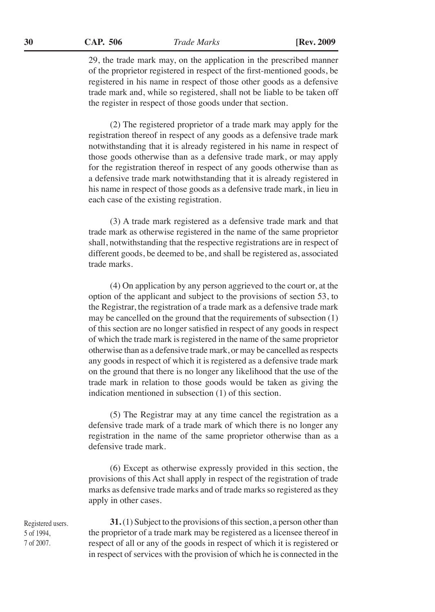**CAP. 506 30** *Trade Marks* **[Rev. 2009**

29, the trade mark may, on the application in the prescribed manner of the proprietor registered in respect of the first-mentioned goods, be registered in his name in respect of those other goods as a defensive trade mark and, while so registered, shall not be liable to be taken off the register in respect of those goods under that section.

(2) The registered proprietor of a trade mark may apply for the registration thereof in respect of any goods as a defensive trade mark notwithstanding that it is already registered in his name in respect of those goods otherwise than as a defensive trade mark, or may apply for the registration thereof in respect of any goods otherwise than as a defensive trade mark notwithstanding that it is already registered in his name in respect of those goods as a defensive trade mark, in lieu in each case of the existing registration.

(3) A trade mark registered as a defensive trade mark and that trade mark as otherwise registered in the name of the same proprietor shall, notwithstanding that the respective registrations are in respect of different goods, be deemed to be, and shall be registered as, associated trade marks.

(4) On application by any person aggrieved to the court or, at the option of the applicant and subject to the provisions of section 53, to the Registrar, the registration of a trade mark as a defensive trade mark may be cancelled on the ground that the requirements of subsection (1) of this section are no longer satisfied in respect of any goods in respect of which the trade mark is registered in the name of the same proprietor otherwise than as a defensive trade mark, or may be cancelled as respects any goods in respect of which it is registered as a defensive trade mark on the ground that there is no longer any likelihood that the use of the trade mark in relation to those goods would be taken as giving the indication mentioned in subsection (1) of this section.

(5) The Registrar may at any time cancel the registration as a defensive trade mark of a trade mark of which there is no longer any registration in the name of the same proprietor otherwise than as a defensive trade mark.

(6) Except as otherwise expressly provided in this section, the provisions of this Act shall apply in respect of the registration of trade marks as defensive trade marks and of trade marks so registered as they apply in other cases.

Registered users. 5 of 1994, 7 of 2007.

**31.** (1) Subject to the provisions of this section, a person other than the proprietor of a trade mark may be registered as a licensee thereof in respect of all or any of the goods in respect of which it is registered or in respect of services with the provision of which he is connected in the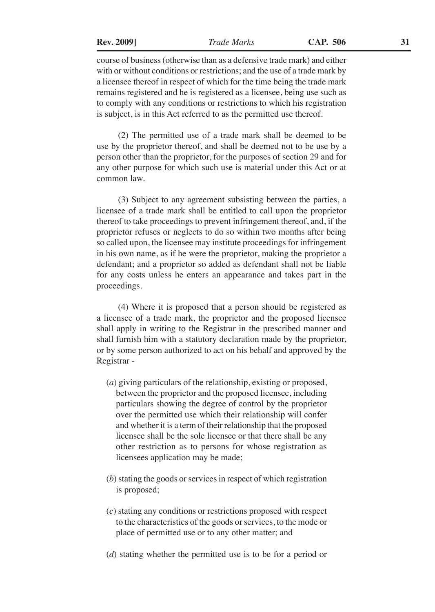course of business (otherwise than as a defensive trade mark) and either with or without conditions or restrictions; and the use of a trade mark by a licensee thereof in respect of which for the time being the trade mark remains registered and he is registered as a licensee, being use such as to comply with any conditions or restrictions to which his registration is subject, is in this Act referred to as the permitted use thereof.

(2) The permitted use of a trade mark shall be deemed to be use by the proprietor thereof, and shall be deemed not to be use by a person other than the proprietor, for the purposes of section 29 and for any other purpose for which such use is material under this Act or at common law.

(3) Subject to any agreement subsisting between the parties, a licensee of a trade mark shall be entitled to call upon the proprietor thereof to take proceedings to prevent infringement thereof, and, if the proprietor refuses or neglects to do so within two months after being so called upon, the licensee may institute proceedings for infringement in his own name, as if he were the proprietor, making the proprietor a defendant; and a proprietor so added as defendant shall not be liable for any costs unless he enters an appearance and takes part in the proceedings.

(4) Where it is proposed that a person should be registered as a licensee of a trade mark, the proprietor and the proposed licensee shall apply in writing to the Registrar in the prescribed manner and shall furnish him with a statutory declaration made by the proprietor, or by some person authorized to act on his behalf and approved by the Registrar -

- (*a*) giving particulars of the relationship, existing or proposed, between the proprietor and the proposed licensee, including particulars showing the degree of control by the proprietor over the permitted use which their relationship will confer and whether it is a term of their relationship that the proposed licensee shall be the sole licensee or that there shall be any other restriction as to persons for whose registration as licensees application may be made;
- (*b*) stating the goods or services in respect of which registration is proposed;
- (*c*) stating any conditions or restrictions proposed with respect to the characteristics of the goods or services, to the mode or place of permitted use or to any other matter; and
- (*d*) stating whether the permitted use is to be for a period or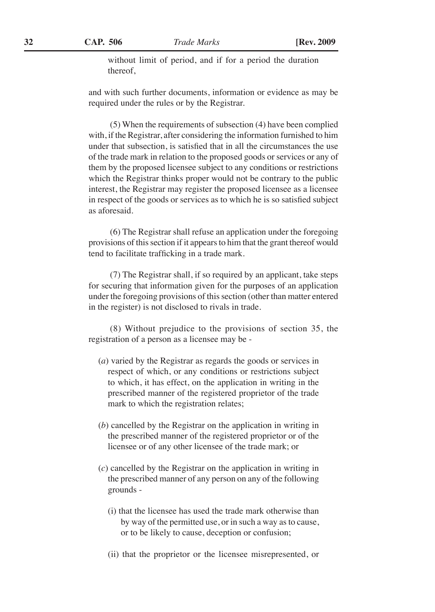without limit of period, and if for a period the duration thereof,

and with such further documents, information or evidence as may be required under the rules or by the Registrar.

(5) When the requirements of subsection (4) have been complied with, if the Registrar, after considering the information furnished to him under that subsection, is satisfied that in all the circumstances the use of the trade mark in relation to the proposed goods or services or any of them by the proposed licensee subject to any conditions or restrictions which the Registrar thinks proper would not be contrary to the public interest, the Registrar may register the proposed licensee as a licensee in respect of the goods or services as to which he is so satisfied subject as aforesaid.

(6) The Registrar shall refuse an application under the foregoing provisions of this section if it appears to him that the grant thereof would tend to facilitate trafficking in a trade mark.

(7) The Registrar shall, if so required by an applicant, take steps for securing that information given for the purposes of an application under the foregoing provisions of this section (other than matter entered in the register) is not disclosed to rivals in trade.

(8) Without prejudice to the provisions of section 35, the registration of a person as a licensee may be -

- (*a*) varied by the Registrar as regards the goods or services in respect of which, or any conditions or restrictions subject to which, it has effect, on the application in writing in the prescribed manner of the registered proprietor of the trade mark to which the registration relates;
- (*b*) cancelled by the Registrar on the application in writing in the prescribed manner of the registered proprietor or of the licensee or of any other licensee of the trade mark; or
- (*c*) cancelled by the Registrar on the application in writing in the prescribed manner of any person on any of the following grounds -
	- (i) that the licensee has used the trade mark otherwise than by way of the permitted use, or in such a way as to cause, or to be likely to cause, deception or confusion;
	- (ii) that the proprietor or the licensee misrepresented, or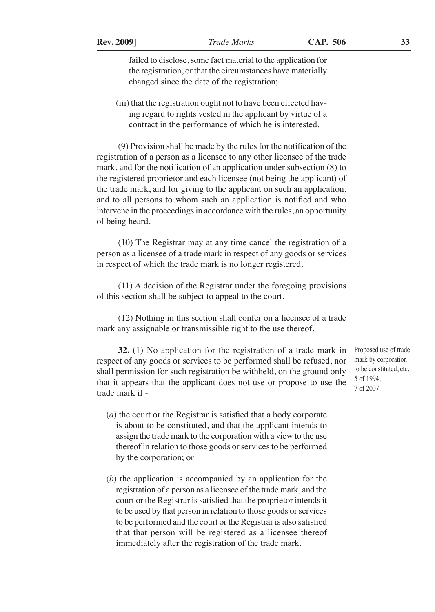failed to disclose, some fact material to the application for the registration, or that the circumstances have materially changed since the date of the registration;

(iii) that the registration ought not to have been effected having regard to rights vested in the applicant by virtue of a contract in the performance of which he is interested.

(9) Provision shall be made by the rules for the notification of the registration of a person as a licensee to any other licensee of the trade mark, and for the notification of an application under subsection (8) to the registered proprietor and each licensee (not being the applicant) of the trade mark, and for giving to the applicant on such an application, and to all persons to whom such an application is notified and who intervene in the proceedings in accordance with the rules, an opportunity of being heard.

(10) The Registrar may at any time cancel the registration of a person as a licensee of a trade mark in respect of any goods or services in respect of which the trade mark is no longer registered.

(11) A decision of the Registrar under the foregoing provisions of this section shall be subject to appeal to the court.

(12) Nothing in this section shall confer on a licensee of a trade mark any assignable or transmissible right to the use thereof.

**32.** (1) No application for the registration of a trade mark in respect of any goods or services to be performed shall be refused, nor shall permission for such registration be withheld, on the ground only that it appears that the applicant does not use or propose to use the trade mark if -

- (*a*) the court or the Registrar is satisfied that a body corporate is about to be constituted, and that the applicant intends to assign the trade mark to the corporation with a view to the use thereof in relation to those goods or services to be performed by the corporation; or
- (*b*) the application is accompanied by an application for the registration of a person as a licensee of the trade mark, and the court or the Registrar is satisfied that the proprietor intends it to be used by that person in relation to those goods or services to be performed and the court or the Registrar is also satisfied that that person will be registered as a licensee thereof immediately after the registration of the trade mark.

Proposed use of trade mark by corporation to be constituted, etc. 5 of 1994, 7 of 2007.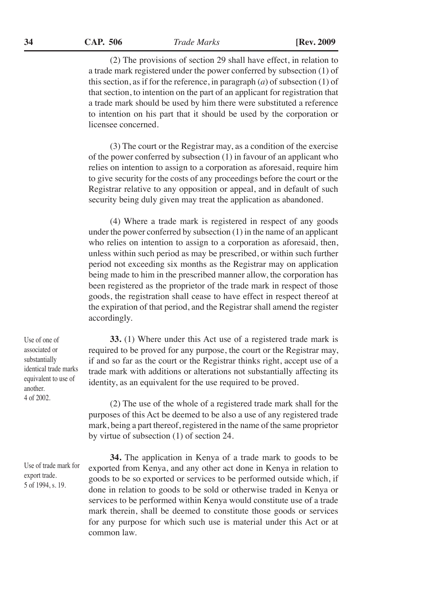(2) The provisions of section 29 shall have effect, in relation to a trade mark registered under the power conferred by subsection (1) of this section, as if for the reference, in paragraph (*a*) of subsection (1) of that section, to intention on the part of an applicant for registration that a trade mark should be used by him there were substituted a reference to intention on his part that it should be used by the corporation or licensee concerned.

(3) The court or the Registrar may, as a condition of the exercise of the power conferred by subsection (1) in favour of an applicant who relies on intention to assign to a corporation as aforesaid, require him to give security for the costs of any proceedings before the court or the Registrar relative to any opposition or appeal, and in default of such security being duly given may treat the application as abandoned.

(4) Where a trade mark is registered in respect of any goods under the power conferred by subsection (1) in the name of an applicant who relies on intention to assign to a corporation as aforesaid, then, unless within such period as may be prescribed, or within such further period not exceeding six months as the Registrar may on application being made to him in the prescribed manner allow, the corporation has been registered as the proprietor of the trade mark in respect of those goods, the registration shall cease to have effect in respect thereof at the expiration of that period, and the Registrar shall amend the register accordingly.

Use of one of associated or substantially identical trade marks equivalent to use of another. 4 of 2002.

Use of trade mark for export trade. 5 of 1994, s. 19.

**33.** (1) Where under this Act use of a registered trade mark is required to be proved for any purpose, the court or the Registrar may, if and so far as the court or the Registrar thinks right, accept use of a trade mark with additions or alterations not substantially affecting its identity, as an equivalent for the use required to be proved.

(2) The use of the whole of a registered trade mark shall for the purposes of this Act be deemed to be also a use of any registered trade mark, being a part thereof, registered in the name of the same proprietor by virtue of subsection (1) of section 24.

**34.** The application in Kenya of a trade mark to goods to be exported from Kenya, and any other act done in Kenya in relation to goods to be so exported or services to be performed outside which, if done in relation to goods to be sold or otherwise traded in Kenya or services to be performed within Kenya would constitute use of a trade mark therein, shall be deemed to constitute those goods or services for any purpose for which such use is material under this Act or at common law.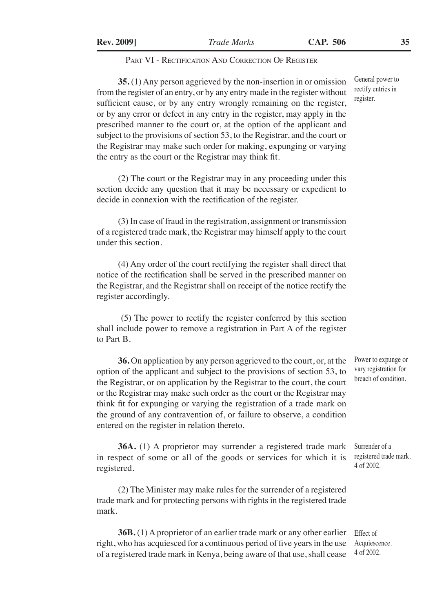#### PART VI - RECTIFICATION AND CORRECTION OF REGISTER

**35.** (1) Any person aggrieved by the non-insertion in or omission from the register of an entry, or by any entry made in the register without sufficient cause, or by any entry wrongly remaining on the register, or by any error or defect in any entry in the register, may apply in the prescribed manner to the court or, at the option of the applicant and subject to the provisions of section 53, to the Registrar, and the court or the Registrar may make such order for making, expunging or varying the entry as the court or the Registrar may think fit.

(2) The court or the Registrar may in any proceeding under this section decide any question that it may be necessary or expedient to decide in connexion with the rectification of the register.

(3) In case of fraud in the registration, assignment or transmission of a registered trade mark, the Registrar may himself apply to the court under this section.

(4) Any order of the court rectifying the register shall direct that notice of the rectification shall be served in the prescribed manner on the Registrar, and the Registrar shall on receipt of the notice rectify the register accordingly.

 (5) The power to rectify the register conferred by this section shall include power to remove a registration in Part A of the register to Part B.

**36.** On application by any person aggrieved to the court, or, at the option of the applicant and subject to the provisions of section 53, to the Registrar, or on application by the Registrar to the court, the court or the Registrar may make such order as the court or the Registrar may think fit for expunging or varying the registration of a trade mark on the ground of any contravention of, or failure to observe, a condition entered on the register in relation thereto.

**36A.** (1) A proprietor may surrender a registered trade mark in respect of some or all of the goods or services for which it is registered.

(2) The Minister may make rules for the surrender of a registered trade mark and for protecting persons with rights in the registered trade mark.

**36B.** (1) A proprietor of an earlier trade mark or any other earlier right, who has acquiesced for a continuous period of five years in the use of a registered trade mark in Kenya, being aware of that use, shall cease Effect of

Power to expunge or vary registration for breach of condition.

Surrender of a registered trade mark. 4 of 2002.

General power to rectify entries in register.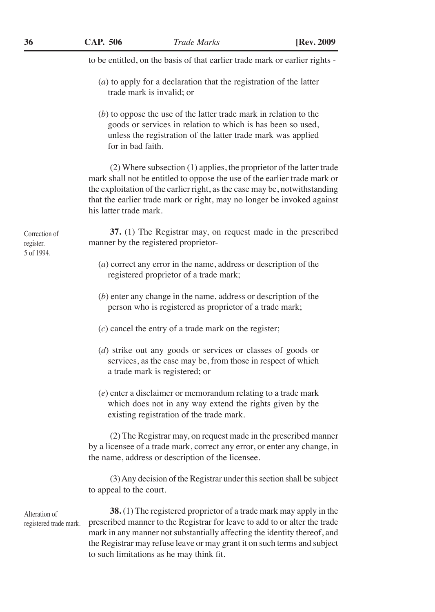to be entitled, on the basis of that earlier trade mark or earlier rights -

- (*a*) to apply for a declaration that the registration of the latter trade mark is invalid; or
- (*b*) to oppose the use of the latter trade mark in relation to the goods or services in relation to which is has been so used, unless the registration of the latter trade mark was applied for in bad faith.

(2) Where subsection (1) applies, the proprietor of the latter trade mark shall not be entitled to oppose the use of the earlier trade mark or the exploitation of the earlier right, as the case may be, notwithstanding that the earlier trade mark or right, may no longer be invoked against his latter trade mark.

**37.** (1) The Registrar may, on request made in the prescribed manner by the registered proprietor-

- (*a*) correct any error in the name, address or description of the registered proprietor of a trade mark;
- (*b*) enter any change in the name, address or description of the person who is registered as proprietor of a trade mark;
- (*c*) cancel the entry of a trade mark on the register;
- (*d*) strike out any goods or services or classes of goods or services, as the case may be, from those in respect of which a trade mark is registered; or
- (*e*) enter a disclaimer or memorandum relating to a trade mark which does not in any way extend the rights given by the existing registration of the trade mark.

(2) The Registrar may, on request made in the prescribed manner by a licensee of a trade mark, correct any error, or enter any change, in the name, address or description of the licensee.

(3) Any decision of the Registrar under this section shall be subject to appeal to the court.

Alteration of registered trade mark.

**38.** (1) The registered proprietor of a trade mark may apply in the prescribed manner to the Registrar for leave to add to or alter the trade mark in any manner not substantially affecting the identity thereof, and the Registrar may refuse leave or may grant it on such terms and subject to such limitations as he may think fit.

Correction of register. 5 of 1994.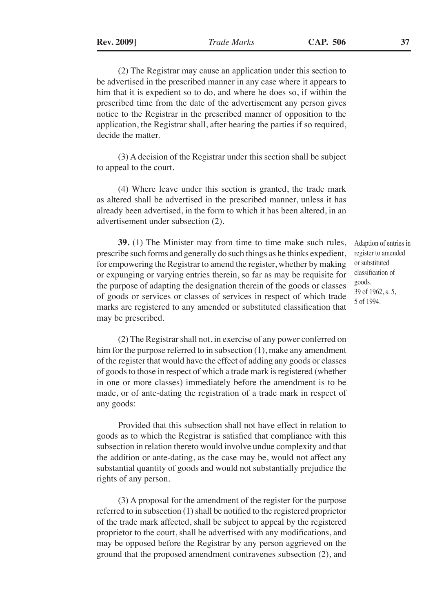(2) The Registrar may cause an application under this section to be advertised in the prescribed manner in any case where it appears to him that it is expedient so to do, and where he does so, if within the prescribed time from the date of the advertisement any person gives notice to the Registrar in the prescribed manner of opposition to the application, the Registrar shall, after hearing the parties if so required, decide the matter.

(3) A decision of the Registrar under this section shall be subject to appeal to the court.

(4) Where leave under this section is granted, the trade mark as altered shall be advertised in the prescribed manner, unless it has already been advertised, in the form to which it has been altered, in an advertisement under subsection (2).

**39.** (1) The Minister may from time to time make such rules, prescribe such forms and generally do such things as he thinks expedient, for empowering the Registrar to amend the register, whether by making or expunging or varying entries therein, so far as may be requisite for the purpose of adapting the designation therein of the goods or classes of goods or services or classes of services in respect of which trade marks are registered to any amended or substituted classification that may be prescribed.

Adaption of entries in register to amended or substituted classification of goods. 39 of 1962, s. 5, 5 of 1994.

(2) The Registrar shall not, in exercise of any power conferred on him for the purpose referred to in subsection (1), make any amendment of the register that would have the effect of adding any goods or classes of goods to those in respect of which a trade mark is registered (whether in one or more classes) immediately before the amendment is to be made, or of ante-dating the registration of a trade mark in respect of any goods:

Provided that this subsection shall not have effect in relation to goods as to which the Registrar is satisfied that compliance with this subsection in relation thereto would involve undue complexity and that the addition or ante-dating, as the case may be, would not affect any substantial quantity of goods and would not substantially prejudice the rights of any person.

(3) A proposal for the amendment of the register for the purpose referred to in subsection (1) shall be notified to the registered proprietor of the trade mark affected, shall be subject to appeal by the registered proprietor to the court, shall be advertised with any modifications, and may be opposed before the Registrar by any person aggrieved on the ground that the proposed amendment contravenes subsection (2), and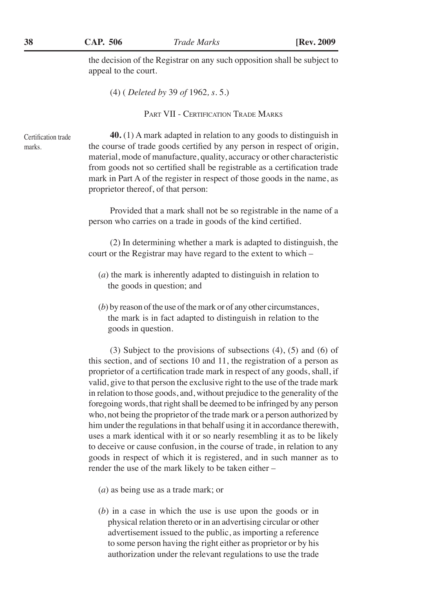the decision of the Registrar on any such opposition shall be subject to appeal to the court.

(4) ( *Deleted by* 39 *of* 1962*, s.* 5.)

PART VII - CERTIFICATION TRADE MARKS

Certification trade marks.

**40.** (1) A mark adapted in relation to any goods to distinguish in the course of trade goods certified by any person in respect of origin, material, mode of manufacture, quality, accuracy or other characteristic from goods not so certified shall be registrable as a certification trade mark in Part A of the register in respect of those goods in the name, as proprietor thereof, of that person:

Provided that a mark shall not be so registrable in the name of a person who carries on a trade in goods of the kind certified.

(2) In determining whether a mark is adapted to distinguish, the court or the Registrar may have regard to the extent to which –

- (*a*) the mark is inherently adapted to distinguish in relation to the goods in question; and
- (*b*) by reason of the use of the mark or of any other circumstances, the mark is in fact adapted to distinguish in relation to the goods in question.

(3) Subject to the provisions of subsections (4), (5) and (6) of this section, and of sections 10 and 11, the registration of a person as proprietor of a certification trade mark in respect of any goods, shall, if valid, give to that person the exclusive right to the use of the trade mark in relation to those goods, and, without prejudice to the generality of the foregoing words, that right shall be deemed to be infringed by any person who, not being the proprietor of the trade mark or a person authorized by him under the regulations in that behalf using it in accordance therewith, uses a mark identical with it or so nearly resembling it as to be likely to deceive or cause confusion, in the course of trade, in relation to any goods in respect of which it is registered, and in such manner as to render the use of the mark likely to be taken either –

- (*a*) as being use as a trade mark; or
- (*b*) in a case in which the use is use upon the goods or in physical relation thereto or in an advertising circular or other advertisement issued to the public, as importing a reference to some person having the right either as proprietor or by his authorization under the relevant regulations to use the trade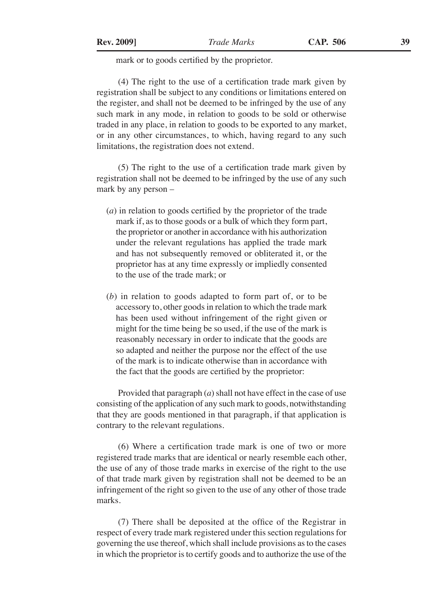# mark or to goods certified by the proprietor.

(4) The right to the use of a certification trade mark given by registration shall be subject to any conditions or limitations entered on the register, and shall not be deemed to be infringed by the use of any such mark in any mode, in relation to goods to be sold or otherwise traded in any place, in relation to goods to be exported to any market, or in any other circumstances, to which, having regard to any such limitations, the registration does not extend.

(5) The right to the use of a certification trade mark given by registration shall not be deemed to be infringed by the use of any such mark by any person –

- (*a*) in relation to goods certified by the proprietor of the trade mark if, as to those goods or a bulk of which they form part, the proprietor or another in accordance with his authorization under the relevant regulations has applied the trade mark and has not subsequently removed or obliterated it, or the proprietor has at any time expressly or impliedly consented to the use of the trade mark; or
- (*b*) in relation to goods adapted to form part of, or to be accessory to, other goods in relation to which the trade mark has been used without infringement of the right given or might for the time being be so used, if the use of the mark is reasonably necessary in order to indicate that the goods are so adapted and neither the purpose nor the effect of the use of the mark is to indicate otherwise than in accordance with the fact that the goods are certified by the proprietor:

Provided that paragraph (*a*) shall not have effect in the case of use consisting of the application of any such mark to goods, notwithstanding that they are goods mentioned in that paragraph, if that application is contrary to the relevant regulations.

(6) Where a certification trade mark is one of two or more registered trade marks that are identical or nearly resemble each other, the use of any of those trade marks in exercise of the right to the use of that trade mark given by registration shall not be deemed to be an infringement of the right so given to the use of any other of those trade marks.

(7) There shall be deposited at the office of the Registrar in respect of every trade mark registered under this section regulations for governing the use thereof, which shall include provisions as to the cases in which the proprietor is to certify goods and to authorize the use of the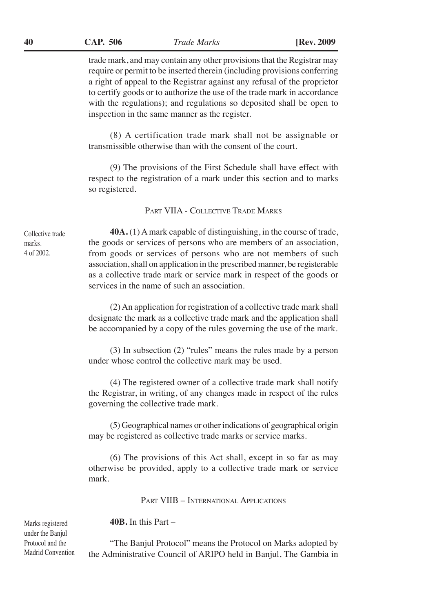trade mark, and may contain any other provisions that the Registrar may require or permit to be inserted therein (including provisions conferring a right of appeal to the Registrar against any refusal of the proprietor to certify goods or to authorize the use of the trade mark in accordance with the regulations); and regulations so deposited shall be open to inspection in the same manner as the register.

(8) A certification trade mark shall not be assignable or transmissible otherwise than with the consent of the court.

(9) The provisions of the First Schedule shall have effect with respect to the registration of a mark under this section and to marks so registered.

Part VIIA - Collective Trade Marks

Collective trade marks. 4 of 2002.

**40A.** (1) A mark capable of distinguishing, in the course of trade, the goods or services of persons who are members of an association, from goods or services of persons who are not members of such association, shall on application in the prescribed manner, be registerable as a collective trade mark or service mark in respect of the goods or services in the name of such an association.

(2) An application for registration of a collective trade mark shall designate the mark as a collective trade mark and the application shall be accompanied by a copy of the rules governing the use of the mark.

(3) In subsection (2) "rules" means the rules made by a person under whose control the collective mark may be used.

(4) The registered owner of a collective trade mark shall notify the Registrar, in writing, of any changes made in respect of the rules governing the collective trade mark.

(5) Geographical names or other indications of geographical origin may be registered as collective trade marks or service marks.

(6) The provisions of this Act shall, except in so far as may otherwise be provided, apply to a collective trade mark or service mark.

Part VIIB – International Applications

**40B.** In this Part –

"The Banjul Protocol" means the Protocol on Marks adopted by the Administrative Council of ARIPO held in Banjul, The Gambia in

Marks registered under the Banjul Protocol and the Madrid Convention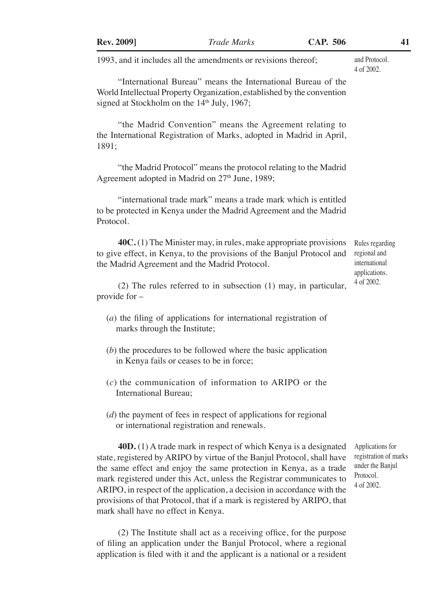| <b>Rev. 2009</b> ]                                      | <b>Trade Marks</b>                                                                                                                                                                                                                                                                                                                                                                                                                                 | <b>CAP. 506</b> | 41                                                                                       |
|---------------------------------------------------------|----------------------------------------------------------------------------------------------------------------------------------------------------------------------------------------------------------------------------------------------------------------------------------------------------------------------------------------------------------------------------------------------------------------------------------------------------|-----------------|------------------------------------------------------------------------------------------|
|                                                         | 1993, and it includes all the amendments or revisions thereof;                                                                                                                                                                                                                                                                                                                                                                                     |                 | and Protocol.<br>4 of 2002.                                                              |
| signed at Stockholm on the 14 <sup>th</sup> July, 1967; | "International Bureau" means the International Bureau of the<br>World Intellectual Property Organization, established by the convention                                                                                                                                                                                                                                                                                                            |                 |                                                                                          |
| 1891;                                                   | "the Madrid Convention" means the Agreement relating to<br>the International Registration of Marks, adopted in Madrid in April,                                                                                                                                                                                                                                                                                                                    |                 |                                                                                          |
|                                                         | "the Madrid Protocol" means the protocol relating to the Madrid<br>Agreement adopted in Madrid on 27 <sup>th</sup> June, 1989;                                                                                                                                                                                                                                                                                                                     |                 |                                                                                          |
| Protocol.                                               | "international trade mark" means a trade mark which is entitled<br>to be protected in Kenya under the Madrid Agreement and the Madrid                                                                                                                                                                                                                                                                                                              |                 |                                                                                          |
|                                                         | $40C(1)$ The Minister may, in rules, make appropriate provisions<br>to give effect, in Kenya, to the provisions of the Banjul Protocol and<br>the Madrid Agreement and the Madrid Protocol.                                                                                                                                                                                                                                                        |                 | Rules regarding<br>regional and<br>international<br>applications.                        |
| provide for $-$                                         | $(2)$ The rules referred to in subsection $(1)$ may, in particular,                                                                                                                                                                                                                                                                                                                                                                                |                 | 4 of 2002.                                                                               |
| marks through the Institute;                            | $(a)$ the filing of applications for international registration of                                                                                                                                                                                                                                                                                                                                                                                 |                 |                                                                                          |
|                                                         | $(b)$ the procedures to be followed where the basic application<br>in Kenya fails or ceases to be in force;                                                                                                                                                                                                                                                                                                                                        |                 |                                                                                          |
| International Bureau;                                   | $(c)$ the communication of information to ARIPO or the                                                                                                                                                                                                                                                                                                                                                                                             |                 |                                                                                          |
|                                                         | $(d)$ the payment of fees in respect of applications for regional<br>or international registration and renewals.                                                                                                                                                                                                                                                                                                                                   |                 |                                                                                          |
| mark shall have no effect in Kenya.                     | $40D$ . (1) A trade mark in respect of which Kenya is a designated<br>state, registered by ARIPO by virtue of the Banjul Protocol, shall have<br>the same effect and enjoy the same protection in Kenya, as a trade<br>mark registered under this Act, unless the Registrar communicates to<br>ARIPO, in respect of the application, a decision in accordance with the<br>provisions of that Protocol, that if a mark is registered by ARIPO, that |                 | Applications for<br>registration of marks<br>under the Banjul<br>Protocol.<br>4 of 2002. |
|                                                         | (2) The Institute shall act as a receiving office, for the purpose<br>of filing an application under the Banjul Protocol, where a regional<br>application is filed with it and the applicant is a national or a resident                                                                                                                                                                                                                           |                 |                                                                                          |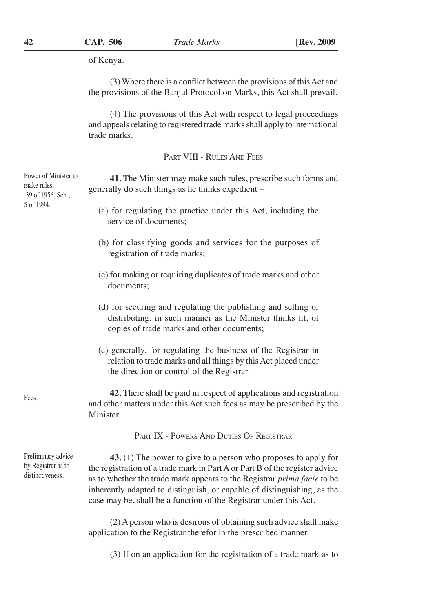of Kenya.

(3) Where there is a conflict between the provisions of this Act and the provisions of the Banjul Protocol on Marks, this Act shall prevail.

(4) The provisions of this Act with respect to legal proceedings and appeals relating to registered trade marks shall apply to international trade marks.

PART VIII - RULES AND FEES

**41.** The Minister may make such rules, prescribe such forms and generally do such things as he thinks expedient –

- (a) for regulating the practice under this Act, including the service of documents;
- (b) for classifying goods and services for the purposes of registration of trade marks;
- (c) for making or requiring duplicates of trade marks and other documents;
- (d) for securing and regulating the publishing and selling or distributing, in such manner as the Minister thinks fit, of copies of trade marks and other documents;
- (e) generally, for regulating the business of the Registrar in relation to trade marks and all things by this Act placed under the direction or control of the Registrar.

**42.** There shall be paid in respect of applications and registration and other matters under this Act such fees as may be prescribed by the Minister.

Part IX - Powers And Duties Of Registrar

Preliminary advice by Registrar as to distinctiveness.

**43.** (1) The power to give to a person who proposes to apply for the registration of a trade mark in Part A or Part B of the register advice as to whether the trade mark appears to the Registrar *prima facie* to be inherently adapted to distinguish, or capable of distinguishing, as the case may be, shall be a function of the Registrar under this Act.

(2) A person who is desirous of obtaining such advice shall make application to the Registrar therefor in the prescribed manner.

(3) If on an application for the registration of a trade mark as to

Power of Minister to make rules. 39 of 1956, Sch., 5 of 1994.

Fees.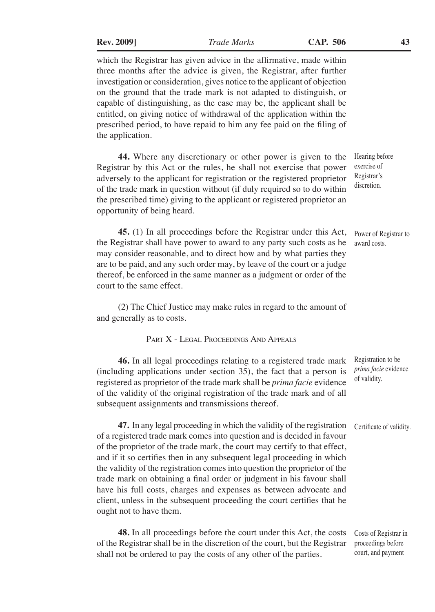| <b>Rev. 2009</b> ] |  |
|--------------------|--|
|                    |  |

which the Registrar has given advice in the affirmative, made within three months after the advice is given, the Registrar, after further investigation or consideration, gives notice to the applicant of objection on the ground that the trade mark is not adapted to distinguish, or capable of distinguishing, as the case may be, the applicant shall be entitled, on giving notice of withdrawal of the application within the prescribed period, to have repaid to him any fee paid on the filing of the application.

**44.** Where any discretionary or other power is given to the Registrar by this Act or the rules, he shall not exercise that power adversely to the applicant for registration or the registered proprietor of the trade mark in question without (if duly required so to do within the prescribed time) giving to the applicant or registered proprietor an opportunity of being heard. Hearing before exercise of Registrar's discretion.

**45.** (1) In all proceedings before the Registrar under this Act, the Registrar shall have power to award to any party such costs as he may consider reasonable, and to direct how and by what parties they are to be paid, and any such order may, by leave of the court or a judge thereof, be enforced in the same manner as a judgment or order of the court to the same effect. Power of Registrar to award costs.

(2) The Chief Justice may make rules in regard to the amount of and generally as to costs.

# PART X - LEGAL PROCEEDINGS AND APPEALS

**46.** In all legal proceedings relating to a registered trade mark (including applications under section 35), the fact that a person is registered as proprietor of the trade mark shall be *prima facie* evidence of the validity of the original registration of the trade mark and of all subsequent assignments and transmissions thereof. Registration to be *prima facie* evidence of validity.

**47.** In any legal proceeding in which the validity of the registration of a registered trade mark comes into question and is decided in favour of the proprietor of the trade mark, the court may certify to that effect, and if it so certifies then in any subsequent legal proceeding in which the validity of the registration comes into question the proprietor of the trade mark on obtaining a final order or judgment in his favour shall have his full costs, charges and expenses as between advocate and client, unless in the subsequent proceeding the court certifies that he ought not to have them. Certificate of validity.

**48.** In all proceedings before the court under this Act, the costs of the Registrar shall be in the discretion of the court, but the Registrar shall not be ordered to pay the costs of any other of the parties.

Costs of Registrar in proceedings before court, and payment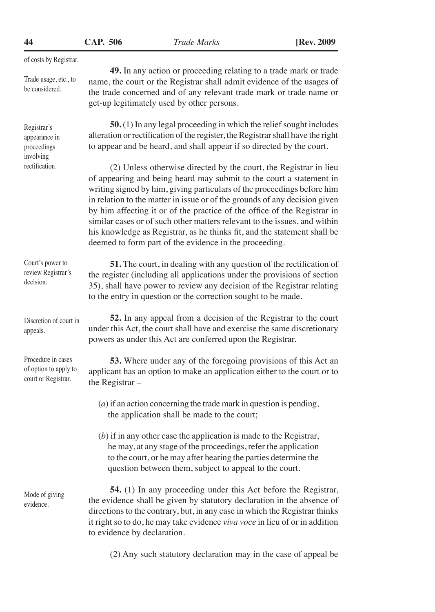**CAP. 506 44** *Trade Marks* **[Rev. 2009**

get-up legitimately used by other persons.

of costs by Registrar.

Trade usage, etc., to be considered.

Registrar's appearance in proceedings involving rectification.

**50.** (1) In any legal proceeding in which the relief sought includes alteration or rectification of the register, the Registrar shall have the right to appear and be heard, and shall appear if so directed by the court.

**49.** In any action or proceeding relating to a trade mark or trade name, the court or the Registrar shall admit evidence of the usages of the trade concerned and of any relevant trade mark or trade name or

(2) Unless otherwise directed by the court, the Registrar in lieu of appearing and being heard may submit to the court a statement in writing signed by him, giving particulars of the proceedings before him in relation to the matter in issue or of the grounds of any decision given by him affecting it or of the practice of the office of the Registrar in similar cases or of such other matters relevant to the issues, and within his knowledge as Registrar, as he thinks fit, and the statement shall be deemed to form part of the evidence in the proceeding.

Court's power to review Registrar's decision.

Discretion of court in appeals.

Procedure in cases of option to apply to court or Registrar.

Mode of giving evidence.

**51.** The court, in dealing with any question of the rectification of the register (including all applications under the provisions of section 35), shall have power to review any decision of the Registrar relating to the entry in question or the correction sought to be made.

**52.** In any appeal from a decision of the Registrar to the court under this Act, the court shall have and exercise the same discretionary powers as under this Act are conferred upon the Registrar.

**53.** Where under any of the foregoing provisions of this Act an applicant has an option to make an application either to the court or to the Registrar –

- (*a*) if an action concerning the trade mark in question is pending, the application shall be made to the court;
- (*b*) if in any other case the application is made to the Registrar, he may, at any stage of the proceedings, refer the application to the court, or he may after hearing the parties determine the question between them, subject to appeal to the court.

**54.** (1) In any proceeding under this Act before the Registrar, the evidence shall be given by statutory declaration in the absence of directions to the contrary, but, in any case in which the Registrar thinks it right so to do, he may take evidence *viva voce* in lieu of or in addition to evidence by declaration.

(2) Any such statutory declaration may in the case of appeal be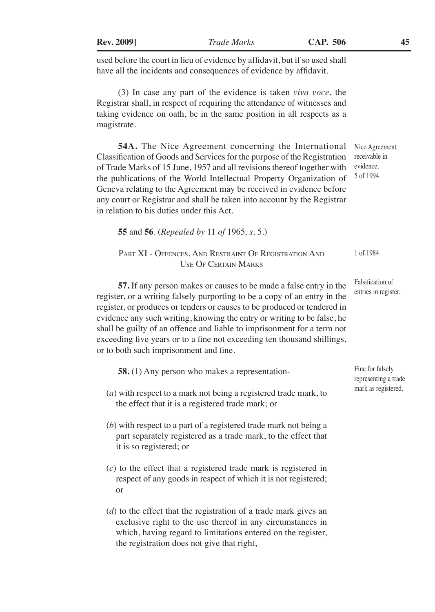| <b>Rev. 2009]</b>                         | <b>Trade Marks</b>                                                                                                                                                                                                                                                                                                                                                                                                                          | CAP. 506 | 45                                                         |
|-------------------------------------------|---------------------------------------------------------------------------------------------------------------------------------------------------------------------------------------------------------------------------------------------------------------------------------------------------------------------------------------------------------------------------------------------------------------------------------------------|----------|------------------------------------------------------------|
|                                           | used before the court in lieu of evidence by affidavit, but if so used shall<br>have all the incidents and consequences of evidence by affidavit.                                                                                                                                                                                                                                                                                           |          |                                                            |
| magistrate.                               | (3) In case any part of the evidence is taken <i>viva voce</i> , the<br>Registrar shall, in respect of requiring the attendance of witnesses and<br>taking evidence on oath, be in the same position in all respects as a                                                                                                                                                                                                                   |          |                                                            |
| in relation to his duties under this Act. | <b>54A.</b> The Nice Agreement concerning the International<br>Classification of Goods and Services for the purpose of the Registration<br>of Trade Marks of 15 June, 1957 and all revisions thereof together with<br>the publications of the World Intellectual Property Organization of<br>Geneva relating to the Agreement may be received in evidence before<br>any court or Registrar and shall be taken into account by the Registrar |          | Nice Agreement<br>receivable in<br>evidence.<br>5 of 1994. |
|                                           | <b>55</b> and <b>56</b> . ( <i>Repealed by</i> 11 <i>of</i> 1965, <i>s</i> . 5.)                                                                                                                                                                                                                                                                                                                                                            |          |                                                            |
|                                           | PART XI - OFFENCES, AND RESTRAINT OF REGISTRATION AND<br><b>USE OF CERTAIN MARKS</b>                                                                                                                                                                                                                                                                                                                                                        |          | 1 of 1984.                                                 |
|                                           | 57. If any person makes or causes to be made a false entry in the<br>register, or a writing falsely purporting to be a copy of an entry in the<br>register, or produces or tenders or causes to be produced or tendered in<br>evidence any such writing <i>knowing</i> the entry or writing to be folge be                                                                                                                                  |          | Falsification of<br>entries in register.                   |

evidence any such writing, knowing the entry or writing to be false, he shall be guilty of an offence and liable to imprisonment for a term not exceeding five years or to a fine not exceeding ten thousand shillings, or to both such imprisonment and fine.

**58.** (1) Any person who makes a representation- (*a*) with respect to a mark not being a registered trade mark, to Fine for falsely representing a trade mark as registered.

- the effect that it is a registered trade mark; or
- (*b*) with respect to a part of a registered trade mark not being a part separately registered as a trade mark, to the effect that it is so registered; or
- (*c*) to the effect that a registered trade mark is registered in respect of any goods in respect of which it is not registered; or
- (*d*) to the effect that the registration of a trade mark gives an exclusive right to the use thereof in any circumstances in which, having regard to limitations entered on the register, the registration does not give that right,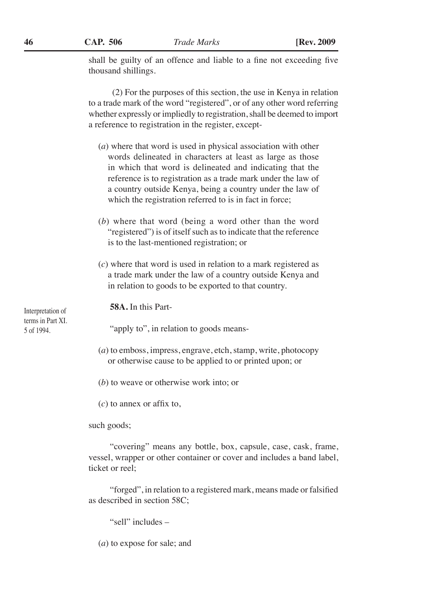shall be guilty of an offence and liable to a fine not exceeding five thousand shillings.

(2) For the purposes of this section, the use in Kenya in relation to a trade mark of the word "registered", or of any other word referring whether expressly or impliedly to registration, shall be deemed to import a reference to registration in the register, except-

- (*a*) where that word is used in physical association with other words delineated in characters at least as large as those in which that word is delineated and indicating that the reference is to registration as a trade mark under the law of a country outside Kenya, being a country under the law of which the registration referred to is in fact in force;
- (*b*) where that word (being a word other than the word "registered") is of itself such as to indicate that the reference is to the last-mentioned registration; or
- (*c*) where that word is used in relation to a mark registered as a trade mark under the law of a country outside Kenya and in relation to goods to be exported to that country.

**58A.** In this Part-

"apply to", in relation to goods means-

- (*a*) to emboss, impress, engrave, etch, stamp, write, photocopy or otherwise cause to be applied to or printed upon; or
- (*b*) to weave or otherwise work into; or
- (*c*) to annex or affix to,

such goods;

"covering" means any bottle, box, capsule, case, cask, frame, vessel, wrapper or other container or cover and includes a band label, ticket or reel;

"forged", in relation to a registered mark, means made or falsified as described in section 58C;

"sell" includes –

(*a*) to expose for sale; and

Interpretation of terms in Part XI. 5 of 1994.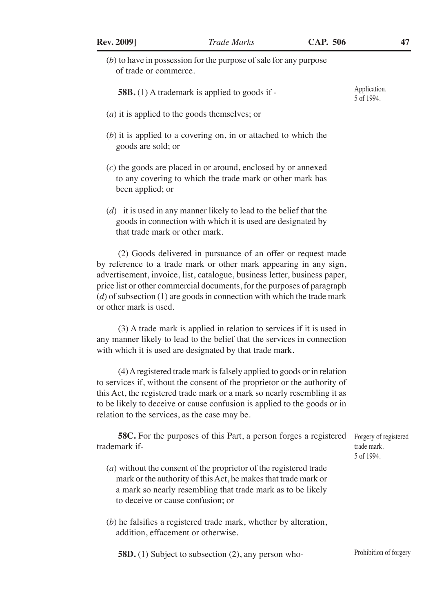(*b*) to have in possession for the purpose of sale for any purpose of trade or commerce.

- (*a*) it is applied to the goods themselves; or
- (*b*) it is applied to a covering on, in or attached to which the goods are sold; or
- (*c*) the goods are placed in or around, enclosed by or annexed to any covering to which the trade mark or other mark has been applied; or
- (*d*) it is used in any manner likely to lead to the belief that the goods in connection with which it is used are designated by that trade mark or other mark.

(2) Goods delivered in pursuance of an offer or request made by reference to a trade mark or other mark appearing in any sign, advertisement, invoice, list, catalogue, business letter, business paper, price list or other commercial documents, for the purposes of paragraph (*d*) of subsection (1) are goods in connection with which the trade mark or other mark is used.

(3) A trade mark is applied in relation to services if it is used in any manner likely to lead to the belief that the services in connection with which it is used are designated by that trade mark.

(4) A registered trade mark is falsely applied to goods or in relation to services if, without the consent of the proprietor or the authority of this Act, the registered trade mark or a mark so nearly resembling it as to be likely to deceive or cause confusion is applied to the goods or in relation to the services, as the case may be.

| <b>58C.</b> For the purposes of this Part, a person forges a registered Forgery of registered |             |
|-----------------------------------------------------------------------------------------------|-------------|
| trademark if-                                                                                 | trade mark. |
|                                                                                               | 5 of 1994.  |

- (*a*) without the consent of the proprietor of the registered trade mark or the authority of this Act, he makes that trade mark or a mark so nearly resembling that trade mark as to be likely to deceive or cause confusion; or
- (*b*) he falsifies a registered trade mark, whether by alteration, addition, effacement or otherwise.

**58D.** (1) Subject to subsection (2), any person who-

Application. 5 of 1994.

Prohibition of forgery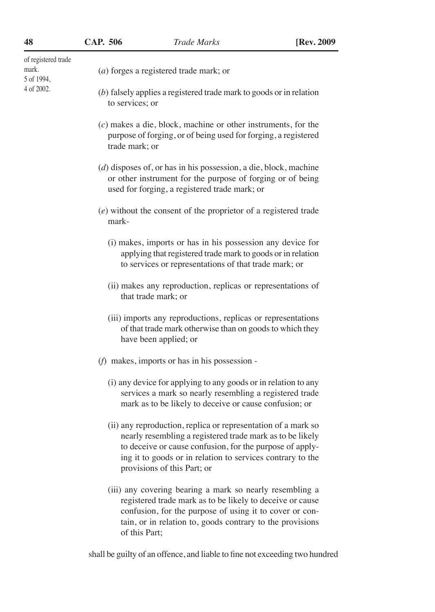| 48                                         | CAP. 506        | <b>Trade Marks</b>                                                                                                                                                                                                                                                                  | [Rev. 2009] |
|--------------------------------------------|-----------------|-------------------------------------------------------------------------------------------------------------------------------------------------------------------------------------------------------------------------------------------------------------------------------------|-------------|
| of registered trade<br>mark.<br>5 of 1994, |                 | $(a)$ forges a registered trade mark; or                                                                                                                                                                                                                                            |             |
| 4 of 2002.                                 | to services; or | $(b)$ falsely applies a registered trade mark to goods or in relation                                                                                                                                                                                                               |             |
|                                            | trade mark; or  | $(c)$ makes a die, block, machine or other instruments, for the<br>purpose of forging, or of being used for forging, a registered                                                                                                                                                   |             |
|                                            |                 | $(d)$ disposes of, or has in his possession, a die, block, machine<br>or other instrument for the purpose of forging or of being<br>used for forging, a registered trade mark; or                                                                                                   |             |
|                                            | mark-           | $(e)$ without the consent of the proprietor of a registered trade                                                                                                                                                                                                                   |             |
|                                            |                 | (i) makes, imports or has in his possession any device for<br>applying that registered trade mark to goods or in relation<br>to services or representations of that trade mark; or                                                                                                  |             |
|                                            |                 | (ii) makes any reproduction, replicas or representations of<br>that trade mark; or                                                                                                                                                                                                  |             |
|                                            |                 | (iii) imports any reproductions, replicas or representations<br>of that trade mark otherwise than on goods to which they<br>have been applied; or                                                                                                                                   |             |
|                                            |                 | $(f)$ makes, imports or has in his possession -                                                                                                                                                                                                                                     |             |
|                                            |                 | (i) any device for applying to any goods or in relation to any<br>services a mark so nearly resembling a registered trade<br>mark as to be likely to deceive or cause confusion; or                                                                                                 |             |
|                                            |                 | (ii) any reproduction, replica or representation of a mark so<br>nearly resembling a registered trade mark as to be likely<br>to deceive or cause confusion, for the purpose of apply-<br>ing it to goods or in relation to services contrary to the<br>provisions of this Part; or |             |
|                                            |                 | (iii) any covering bearing a mark so nearly resembling a<br>registered trade mark as to be likely to deceive or cause<br>confusion, for the purpose of using it to cover or con-                                                                                                    |             |

shall be guilty of an offence, and liable to fine not exceeding two hundred

of this Part;

tain, or in relation to, goods contrary to the provisions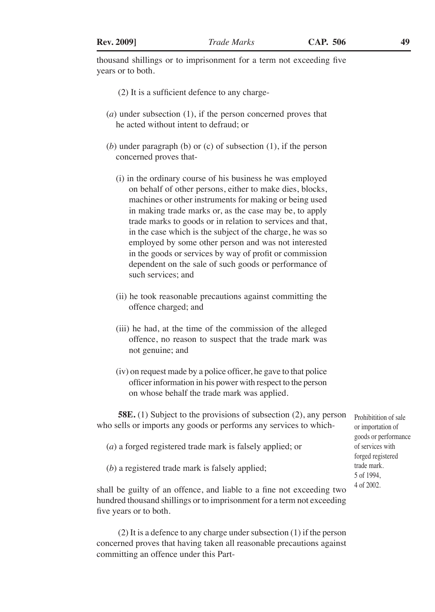thousand shillings or to imprisonment for a term not exceeding five years or to both.

- (2) It is a sufficient defence to any charge-
- (*a*) under subsection (1), if the person concerned proves that he acted without intent to defraud; or
- (*b*) under paragraph (b) or (c) of subsection (1), if the person concerned proves that-
	- (i) in the ordinary course of his business he was employed on behalf of other persons, either to make dies, blocks, machines or other instruments for making or being used in making trade marks or, as the case may be, to apply trade marks to goods or in relation to services and that, in the case which is the subject of the charge, he was so employed by some other person and was not interested in the goods or services by way of profit or commission dependent on the sale of such goods or performance of such services; and
	- (ii) he took reasonable precautions against committing the offence charged; and
	- (iii) he had, at the time of the commission of the alleged offence, no reason to suspect that the trade mark was not genuine; and
	- (iv) on request made by a police officer, he gave to that police officer information in his power with respect to the person on whose behalf the trade mark was applied.

**58E.** (1) Subject to the provisions of subsection (2), any person who sells or imports any goods or performs any services to which-

- (*a*) a forged registered trade mark is falsely applied; or
- (*b*) a registered trade mark is falsely applied;

shall be guilty of an offence, and liable to a fine not exceeding two hundred thousand shillings or to imprisonment for a term not exceeding five years or to both.

(2) It is a defence to any charge under subsection (1) if the person concerned proves that having taken all reasonable precautions against committing an offence under this PartProhibitition of sale or importation of goods or performance of services with forged registered trade mark. 5 of 1994, 4 of 2002.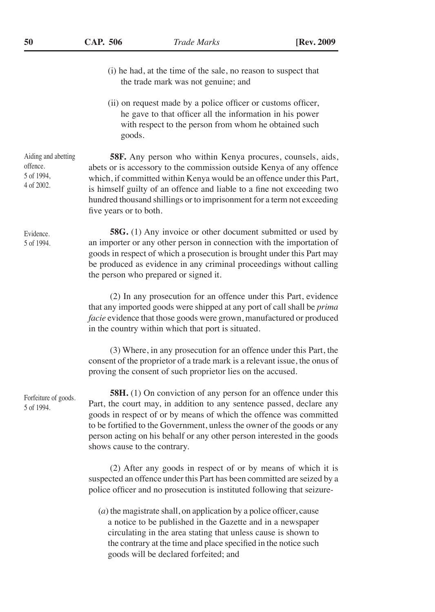- (i) he had, at the time of the sale, no reason to suspect that the trade mark was not genuine; and
- (ii) on request made by a police officer or customs officer, he gave to that officer all the information in his power with respect to the person from whom he obtained such goods.

**58F.** Any person who within Kenya procures, counsels, aids, abets or is accessory to the commission outside Kenya of any offence which, if committed within Kenya would be an offence under this Part, is himself guilty of an offence and liable to a fine not exceeding two hundred thousand shillings or to imprisonment for a term not exceeding five years or to both.

**58G.** (1) Any invoice or other document submitted or used by an importer or any other person in connection with the importation of goods in respect of which a prosecution is brought under this Part may be produced as evidence in any criminal proceedings without calling the person who prepared or signed it.

(2) In any prosecution for an offence under this Part, evidence that any imported goods were shipped at any port of call shall be *prima facie* evidence that those goods were grown, manufactured or produced in the country within which that port is situated.

(3) Where, in any prosecution for an offence under this Part, the consent of the proprietor of a trade mark is a relevant issue, the onus of proving the consent of such proprietor lies on the accused.

**58H.** (1) On conviction of any person for an offence under this Part, the court may, in addition to any sentence passed, declare any goods in respect of or by means of which the offence was committed to be fortified to the Government, unless the owner of the goods or any person acting on his behalf or any other person interested in the goods shows cause to the contrary.

(2) After any goods in respect of or by means of which it is suspected an offence under this Part has been committed are seized by a police officer and no prosecution is instituted following that seizure-

(*a*) the magistrate shall, on application by a police officer, cause a notice to be published in the Gazette and in a newspaper circulating in the area stating that unless cause is shown to the contrary at the time and place specified in the notice such goods will be declared forfeited; and

Aiding and abetting offence. 5 of 1994, 4 of 2002.

Evidence. 5 of 1994.

Forfeiture of goods. 5 of 1994.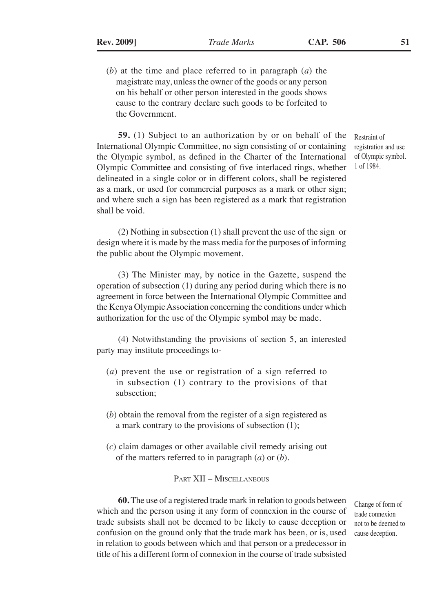- 
- (*b*) at the time and place referred to in paragraph (*a*) the magistrate may, unless the owner of the goods or any person on his behalf or other person interested in the goods shows cause to the contrary declare such goods to be forfeited to the Government.

**59.** (1) Subject to an authorization by or on behalf of the International Olympic Committee, no sign consisting of or containing the Olympic symbol, as defined in the Charter of the International Olympic Committee and consisting of five interlaced rings, whether delineated in a single color or in different colors, shall be registered as a mark, or used for commercial purposes as a mark or other sign; and where such a sign has been registered as a mark that registration shall be void.

Restraint of registration and use of Olympic symbol. 1 of 1984.

(2) Nothing in subsection (1) shall prevent the use of the sign or design where it is made by the mass media for the purposes of informing the public about the Olympic movement.

(3) The Minister may, by notice in the Gazette, suspend the operation of subsection (1) during any period during which there is no agreement in force between the International Olympic Committee and the Kenya Olympic Association concerning the conditions under which authorization for the use of the Olympic symbol may be made.

(4) Notwithstanding the provisions of section 5, an interested party may institute proceedings to-

- (*a*) prevent the use or registration of a sign referred to in subsection (1) contrary to the provisions of that subsection;
- (*b*) obtain the removal from the register of a sign registered as a mark contrary to the provisions of subsection (1);
- (*c*) claim damages or other available civil remedy arising out of the matters referred to in paragraph (*a*) or (*b*).

Part XII – Miscellaneous

**60.** The use of a registered trade mark in relation to goods between which and the person using it any form of connexion in the course of trade subsists shall not be deemed to be likely to cause deception or confusion on the ground only that the trade mark has been, or is, used in relation to goods between which and that person or a predecessor in title of his a different form of connexion in the course of trade subsisted

Change of form of trade connexion not to be deemed to cause deception.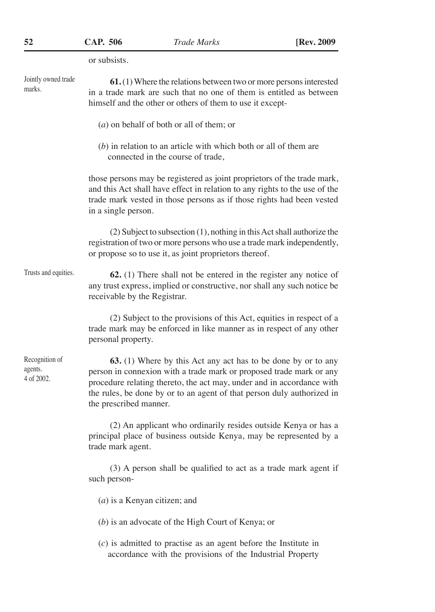or subsists. **61.** (1) Where the relations between two or more persons interested in a trade mark are such that no one of them is entitled as between himself and the other or others of them to use it except- (*a*) on behalf of both or all of them; or (*b*) in relation to an article with which both or all of them are connected in the course of trade, those persons may be registered as joint proprietors of the trade mark, and this Act shall have effect in relation to any rights to the use of the trade mark vested in those persons as if those rights had been vested in a single person. (2) Subject to subsection (1), nothing in this Act shall authorize the registration of two or more persons who use a trade mark independently, or propose so to use it, as joint proprietors thereof. **62.** (1) There shall not be entered in the register any notice of any trust express, implied or constructive, nor shall any such notice be receivable by the Registrar. (2) Subject to the provisions of this Act, equities in respect of a trade mark may be enforced in like manner as in respect of any other personal property. **63.** (1) Where by this Act any act has to be done by or to any person in connexion with a trade mark or proposed trade mark or any procedure relating thereto, the act may, under and in accordance with the rules, be done by or to an agent of that person duly authorized in the prescribed manner. (2) An applicant who ordinarily resides outside Kenya or has a principal place of business outside Kenya, may be represented by a trade mark agent. (3) A person shall be qualified to act as a trade mark agent if such person- (*a*) is a Kenyan citizen; and (*b*) is an advocate of the High Court of Kenya; or Jointly owned trade marks. Trusts and equities. Recognition of agents. 4 of 2002.

> (*c*) is admitted to practise as an agent before the Institute in accordance with the provisions of the Industrial Property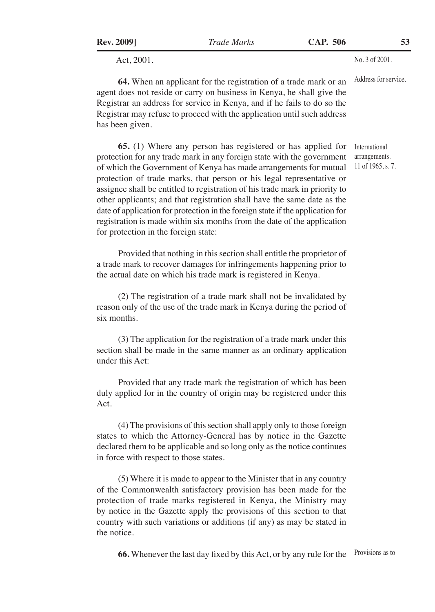| <b>Rev. 2009</b> ] |  |
|--------------------|--|

Act, 2001.

**64.** When an applicant for the registration of a trade mark or an agent does not reside or carry on business in Kenya, he shall give the Registrar an address for service in Kenya, and if he fails to do so the Registrar may refuse to proceed with the application until such address has been given.

**65.** (1) Where any person has registered or has applied for protection for any trade mark in any foreign state with the government of which the Government of Kenya has made arrangements for mutual protection of trade marks, that person or his legal representative or assignee shall be entitled to registration of his trade mark in priority to other applicants; and that registration shall have the same date as the date of application for protection in the foreign state if the application for registration is made within six months from the date of the application for protection in the foreign state:

Provided that nothing in this section shall entitle the proprietor of a trade mark to recover damages for infringements happening prior to the actual date on which his trade mark is registered in Kenya.

(2) The registration of a trade mark shall not be invalidated by reason only of the use of the trade mark in Kenya during the period of six months.

(3) The application for the registration of a trade mark under this section shall be made in the same manner as an ordinary application under this Act:

Provided that any trade mark the registration of which has been duly applied for in the country of origin may be registered under this Act.

(4) The provisions of this section shall apply only to those foreign states to which the Attorney-General has by notice in the Gazette declared them to be applicable and so long only as the notice continues in force with respect to those states.

(5) Where it is made to appear to the Minister that in any country of the Commonwealth satisfactory provision has been made for the protection of trade marks registered in Kenya, the Ministry may by notice in the Gazette apply the provisions of this section to that country with such variations or additions (if any) as may be stated in the notice.

**66.** Whenever the last day fixed by this Act, or by any rule for the Provisions as to

Address for service.

International arrangements. 11 of 1965, s. 7.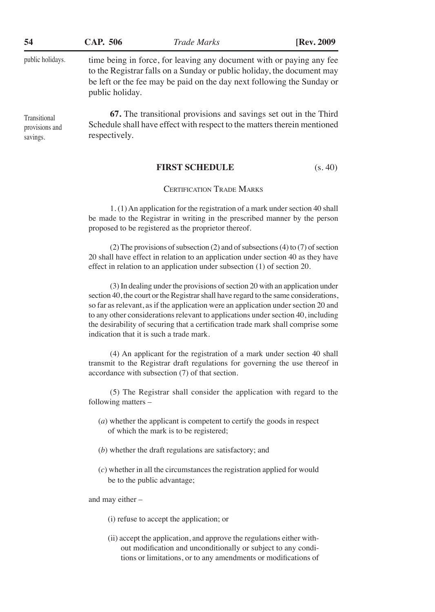| 54                                         | CAP. 506                                                                                                                                                                                                                                    | <b>Trade Marks</b>                                                                                                                           | [Rev. 2009] |
|--------------------------------------------|---------------------------------------------------------------------------------------------------------------------------------------------------------------------------------------------------------------------------------------------|----------------------------------------------------------------------------------------------------------------------------------------------|-------------|
| public holidays.                           | time being in force, for leaving any document with or paying any fee<br>to the Registrar falls on a Sunday or public holiday, the document may<br>be left or the fee may be paid on the day next following the Sunday or<br>public holiday. |                                                                                                                                              |             |
| Transitional<br>provisions and<br>savings. | respectively.                                                                                                                                                                                                                               | 67. The transitional provisions and savings set out in the Third<br>Schedule shall have effect with respect to the matters therein mentioned |             |

# FIRST SCHEDULE (s. 40)

# Certification Trade Marks

1. (1) An application for the registration of a mark under section 40 shall be made to the Registrar in writing in the prescribed manner by the person proposed to be registered as the proprietor thereof.

(2) The provisions of subsection (2) and of subsections (4) to (7) of section 20 shall have effect in relation to an application under section 40 as they have effect in relation to an application under subsection (1) of section 20.

(3) In dealing under the provisions of section 20 with an application under section 40, the court or the Registrar shall have regard to the same considerations, so far as relevant, as if the application were an application under section 20 and to any other considerations relevant to applications under section 40, including the desirability of securing that a certification trade mark shall comprise some indication that it is such a trade mark.

(4) An applicant for the registration of a mark under section 40 shall transmit to the Registrar draft regulations for governing the use thereof in accordance with subsection (7) of that section.

(5) The Registrar shall consider the application with regard to the following matters –

- (*a*) whether the applicant is competent to certify the goods in respect of which the mark is to be registered;
- (*b*) whether the draft regulations are satisfactory; and
- (*c*) whether in all the circumstances the registration applied for would be to the public advantage;

and may either –

- (i) refuse to accept the application; or
- (ii) accept the application, and approve the regulations either without modification and unconditionally or subject to any conditions or limitations, or to any amendments or modifications of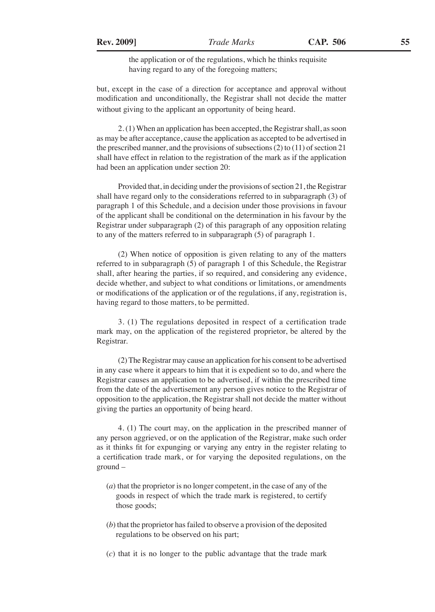the application or of the regulations, which he thinks requisite having regard to any of the foregoing matters;

but, except in the case of a direction for acceptance and approval without modification and unconditionally, the Registrar shall not decide the matter without giving to the applicant an opportunity of being heard.

2. (1) When an application has been accepted, the Registrar shall, as soon as may be after acceptance, cause the application as accepted to be advertised in the prescribed manner, and the provisions of subsections (2) to (11) of section 21 shall have effect in relation to the registration of the mark as if the application had been an application under section 20:

Provided that, in deciding under the provisions of section 21, the Registrar shall have regard only to the considerations referred to in subparagraph (3) of paragraph 1 of this Schedule, and a decision under those provisions in favour of the applicant shall be conditional on the determination in his favour by the Registrar under subparagraph (2) of this paragraph of any opposition relating to any of the matters referred to in subparagraph (5) of paragraph 1.

(2) When notice of opposition is given relating to any of the matters referred to in subparagraph (5) of paragraph 1 of this Schedule, the Registrar shall, after hearing the parties, if so required, and considering any evidence, decide whether, and subject to what conditions or limitations, or amendments or modifications of the application or of the regulations, if any, registration is, having regard to those matters, to be permitted.

3. (1) The regulations deposited in respect of a certification trade mark may, on the application of the registered proprietor, be altered by the Registrar.

(2) The Registrar may cause an application for his consent to be advertised in any case where it appears to him that it is expedient so to do, and where the Registrar causes an application to be advertised, if within the prescribed time from the date of the advertisement any person gives notice to the Registrar of opposition to the application, the Registrar shall not decide the matter without giving the parties an opportunity of being heard.

4. (1) The court may, on the application in the prescribed manner of any person aggrieved, or on the application of the Registrar, make such order as it thinks fit for expunging or varying any entry in the register relating to a certification trade mark, or for varying the deposited regulations, on the ground –

- (*a*) that the proprietor is no longer competent, in the case of any of the goods in respect of which the trade mark is registered, to certify those goods;
- (*b*) that the proprietor has failed to observe a provision of the deposited regulations to be observed on his part;
- (*c*) that it is no longer to the public advantage that the trade mark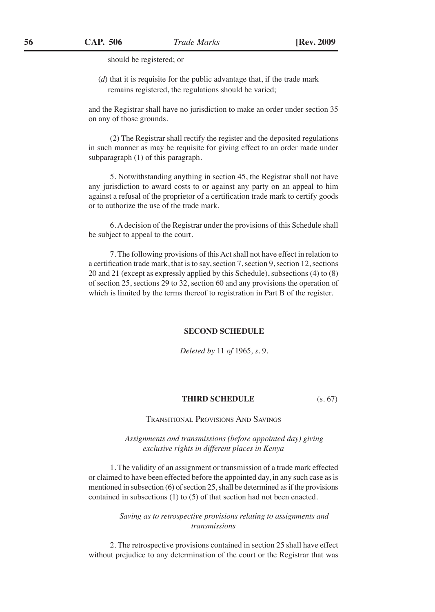should be registered; or

(*d*) that it is requisite for the public advantage that, if the trade mark remains registered, the regulations should be varied;

and the Registrar shall have no jurisdiction to make an order under section 35 on any of those grounds.

(2) The Registrar shall rectify the register and the deposited regulations in such manner as may be requisite for giving effect to an order made under subparagraph (1) of this paragraph.

5. Notwithstanding anything in section 45, the Registrar shall not have any jurisdiction to award costs to or against any party on an appeal to him against a refusal of the proprietor of a certification trade mark to certify goods or to authorize the use of the trade mark.

6. A decision of the Registrar under the provisions of this Schedule shall be subject to appeal to the court.

7. The following provisions of this Act shall not have effect in relation to a certification trade mark, that is to say, section 7, section 9, section 12, sections 20 and 21 (except as expressly applied by this Schedule), subsections (4) to (8) of section 25, sections 29 to 32, section 60 and any provisions the operation of which is limited by the terms thereof to registration in Part B of the register.

# **SECOND SCHEDULE**

*Deleted by* 11 *of* 1965*, s.* 9*.*

### **THIRD SCHEDULE** (s. 67)

Transitional Provisions And Savings

*Assignments and transmissions (before appointed day) giving exclusive rights in different places in Kenya*

1. The validity of an assignment or transmission of a trade mark effected or claimed to have been effected before the appointed day, in any such case as is mentioned in subsection (6) of section 25, shall be determined as if the provisions contained in subsections (1) to (5) of that section had not been enacted.

> *Saving as to retrospective provisions relating to assignments and transmissions*

2. The retrospective provisions contained in section 25 shall have effect without prejudice to any determination of the court or the Registrar that was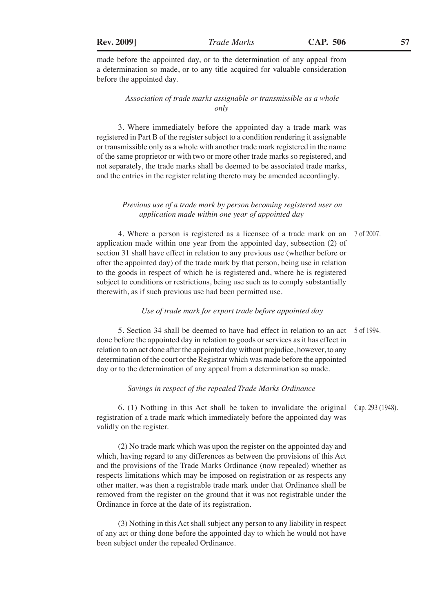made before the appointed day, or to the determination of any appeal from a determination so made, or to any title acquired for valuable consideration before the appointed day.

# *Association of trade marks assignable or transmissible as a whole only*

3. Where immediately before the appointed day a trade mark was registered in Part B of the register subject to a condition rendering it assignable or transmissible only as a whole with another trade mark registered in the name of the same proprietor or with two or more other trade marks so registered, and not separately, the trade marks shall be deemed to be associated trade marks, and the entries in the register relating thereto may be amended accordingly.

# *Previous use of a trade mark by person becoming registered user on application made within one year of appointed day*

4. Where a person is registered as a licensee of a trade mark on an 7 of 2007. application made within one year from the appointed day, subsection (2) of section 31 shall have effect in relation to any previous use (whether before or after the appointed day) of the trade mark by that person, being use in relation to the goods in respect of which he is registered and, where he is registered subject to conditions or restrictions, being use such as to comply substantially therewith, as if such previous use had been permitted use.

#### *Use of trade mark for export trade before appointed day*

5. Section 34 shall be deemed to have had effect in relation to an act 5 of 1994. done before the appointed day in relation to goods or services as it has effect in relation to an act done after the appointed day without prejudice, however, to any determination of the court or the Registrar which was made before the appointed day or to the determination of any appeal from a determination so made.

# *Savings in respect of the repealed Trade Marks Ordinance*

6. (1) Nothing in this Act shall be taken to invalidate the original Cap. 293 (1948).registration of a trade mark which immediately before the appointed day was validly on the register.

(2) No trade mark which was upon the register on the appointed day and which, having regard to any differences as between the provisions of this Act and the provisions of the Trade Marks Ordinance (now repealed) whether as respects limitations which may be imposed on registration or as respects any other matter, was then a registrable trade mark under that Ordinance shall be removed from the register on the ground that it was not registrable under the Ordinance in force at the date of its registration.

(3) Nothing in this Act shall subject any person to any liability in respect of any act or thing done before the appointed day to which he would not have been subject under the repealed Ordinance.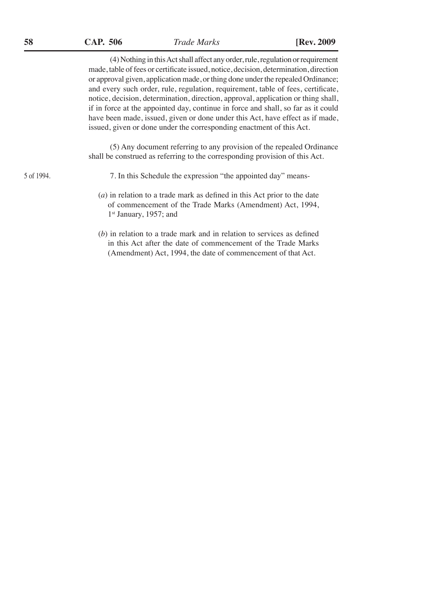(4) Nothing in this Act shall affect any order, rule, regulation or requirement made, table of fees or certificate issued, notice, decision, determination, direction or approval given, application made, or thing done under the repealed Ordinance; and every such order, rule, regulation, requirement, table of fees, certificate, notice, decision, determination, direction, approval, application or thing shall, if in force at the appointed day, continue in force and shall, so far as it could have been made, issued, given or done under this Act, have effect as if made, issued, given or done under the corresponding enactment of this Act.

(5) Any document referring to any provision of the repealed Ordinance shall be construed as referring to the corresponding provision of this Act.

7. In this Schedule the expression "the appointed day" means-

- (*a*) in relation to a trade mark as defined in this Act prior to the date of commencement of the Trade Marks (Amendment) Act, 1994, 1st January, 1957; and
- (*b*) in relation to a trade mark and in relation to services as defined in this Act after the date of commencement of the Trade Marks (Amendment) Act, 1994, the date of commencement of that Act.

5 of 1994.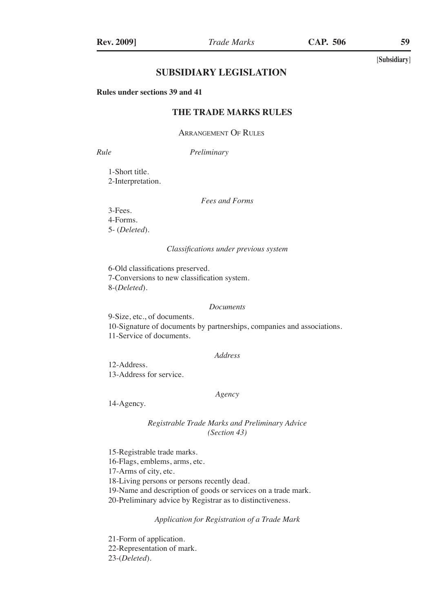# **SUBSIDIARY LEGISLATION**

**Rules under sections 39 and 41**

# **THE TRADE MARKS RULES**

Arrangement Of Rules

*Rule Preliminary*

1-Short title. 2-Interpretation.

*Fees and Forms*

3-Fees. 4-Forms. 5- (*Deleted*).

#### *Classifications under previous system*

6-Old classifications preserved. 7-Conversions to new classification system. 8-(*Deleted*).

#### *Documents*

9-Size, etc., of documents. 10-Signature of documents by partnerships, companies and associations. 11-Service of documents.

## *Address*

12-Address. 13-Address for service.

# *Agency*

14-Agency.

# *Registrable Trade Marks and Preliminary Advice (Section 43)*

15-Registrable trade marks.

16-Flags, emblems, arms, etc.

17-Arms of city, etc.

18-Living persons or persons recently dead.

19-Name and description of goods or services on a trade mark.

20-Preliminary advice by Registrar as to distinctiveness.

*Application for Registration of a Trade Mark*

21-Form of application. 22-Representation of mark. 23-(*Deleted*).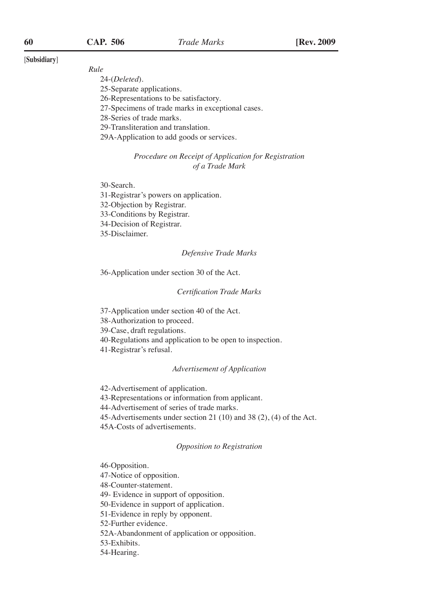#### *Rule*

24-(*Deleted*).

- 25-Separate applications.
- 26-Representations to be satisfactory.
- 27-Specimens of trade marks in exceptional cases.
- 28-Series of trade marks.

29-Transliteration and translation.

29A-Application to add goods or services.

# *Procedure on Receipt of Application for Registration of a Trade Mark*

30-Search.

31-Registrar's powers on application.

32-Objection by Registrar.

33-Conditions by Registrar.

34-Decision of Registrar.

35-Disclaimer.

#### *Defensive Trade Marks*

36-Application under section 30 of the Act.

## *Certification Trade Marks*

37-Application under section 40 of the Act.

38-Authorization to proceed.

39-Case, draft regulations.

40-Regulations and application to be open to inspection.

41-Registrar's refusal.

#### *Advertisement of Application*

42-Advertisement of application.

43-Representations or information from applicant.

44-Advertisement of series of trade marks.

45-Advertisements under section 21 (10) and 38 (2), (4) of the Act.

45A-Costs of advertisements.

### *Opposition to Registration*

46-Opposition.

47-Notice of opposition.

48-Counter-statement.

49- Evidence in support of opposition.

50-Evidence in support of application.

51-Evidence in reply by opponent.

52-Further evidence.

52A-Abandonment of application or opposition.

53-Exhibits.

54-Hearing.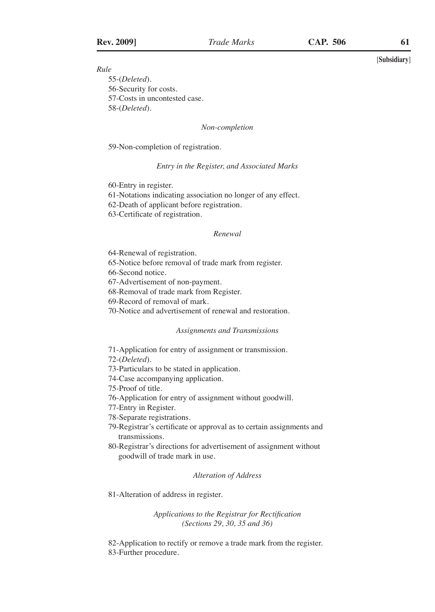*Rule*

55-(*Deleted*). 56-Security for costs. 57-Costs in uncontested case. 58-(*Deleted*).

*Non-completion*

59-Non-completion of registration.

#### *Entry in the Register, and Associated Marks*

60-Entry in register.

- 61-Notations indicating association no longer of any effect.
- 62-Death of applicant before registration.

63-Certificate of registration.

### *Renewal*

64-Renewal of registration.

65-Notice before removal of trade mark from register.

66-Second notice.

67-Advertisement of non-payment.

68-Removal of trade mark from Register.

69-Record of removal of mark.

70-Notice and advertisement of renewal and restoration.

#### *Assignments and Transmissions*

71-Application for entry of assignment or transmission.

72-(*Deleted*).

73-Particulars to be stated in application.

74-Case accompanying application.

75-Proof of title.

76-Application for entry of assignment without goodwill.

77-Entry in Register.

78-Separate registrations.

79-Registrar's certificate or approval as to certain assignments and transmissions.

80-Registrar's directions for advertisement of assignment without goodwill of trade mark in use.

#### *Alteration of Address*

81-Alteration of address in register.

*Applications to the Registrar for Rectification (Sections 29, 30, 35 and 36)*

82-Application to rectify or remove a trade mark from the register. 83-Further procedure.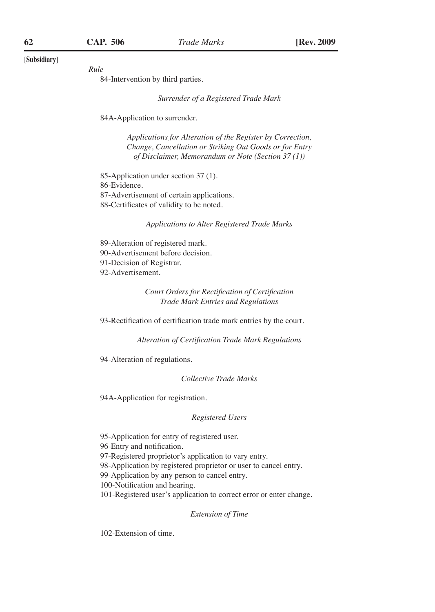*Rule*

84-Intervention by third parties.

*Surrender of a Registered Trade Mark*

84A-Application to surrender.

*Applications for Alteration of the Register by Correction, Change, Cancellation or Striking Out Goods or for Entry of Disclaimer, Memorandum or Note (Section 37 (1))*

85-Application under section 37 (1). 86-Evidence. 87-Advertisement of certain applications. 88-Certificates of validity to be noted.

*Applications to Alter Registered Trade Marks*

89-Alteration of registered mark. 90-Advertisement before decision. 91-Decision of Registrar. 92-Advertisement.

> *Court Orders for Rectification of Certification Trade Mark Entries and Regulations*

93-Rectification of certification trade mark entries by the court.

*Alteration of Certification Trade Mark Regulations*

94-Alteration of regulations.

*Collective Trade Marks*

94A-Application for registration.

#### *Registered Users*

95-Application for entry of registered user. 96-Entry and notification. 97-Registered proprietor's application to vary entry. 98-Application by registered proprietor or user to cancel entry. 99-Application by any person to cancel entry. 100-Notification and hearing. 101-Registered user's application to correct error or enter change.

*Extension of Time*

102-Extension of time.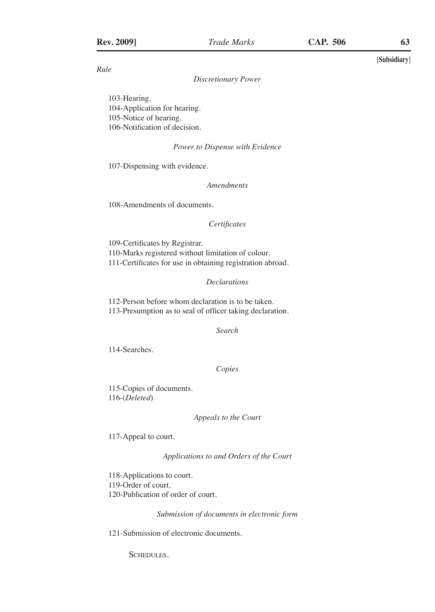*Rule*

#### *Discretionary Power*

103-Hearing. 104-Application for hearing. 105-Notice of hearing. 106-Notification of decision.

## *Power to Dispense with Evidence*

107-Dispensing with evidence.

*Amendments*

108-Amendments of documents.

#### *Certificates*

109-Certificates by Registrar. 110-Marks registered without limitation of colour. 111-Certificates for use in obtaining registration abroad.

# *Declarations*

112-Person before whom declaration is to be taken. 113-Presumption as to seal of officer taking declaration.

*Search*

114-Searches.

*Copies*

115-Copies of documents. 116-(*Deleted*)

#### *Appeals to the Court*

117-Appeal to court.

*Applications to and Orders of the Court*

118-Applications to court. 119-Order of court. 120-Publication of order of court.

*Submission of documents in electronic form*

121-Submission of electronic documents.

SCHEDULES.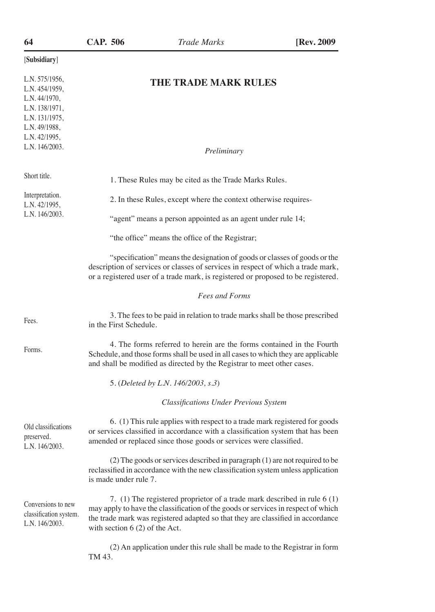| 64                                                                                                                                        | CAP. 506                                                                                                                                                                                                                            | Trade Marks                                                                                                                                                                                                                                        | [Rev. 2009] |  |  |
|-------------------------------------------------------------------------------------------------------------------------------------------|-------------------------------------------------------------------------------------------------------------------------------------------------------------------------------------------------------------------------------------|----------------------------------------------------------------------------------------------------------------------------------------------------------------------------------------------------------------------------------------------------|-------------|--|--|
| [Subsidiary]                                                                                                                              |                                                                                                                                                                                                                                     |                                                                                                                                                                                                                                                    |             |  |  |
| L.N. 575/1956,<br>L.N. 454/1959,<br>L.N. 44/1970,<br>L.N. 138/1971,<br>L.N. 131/1975,<br>L.N. 49/1988,<br>L.N. 42/1995,<br>L.N. 146/2003. |                                                                                                                                                                                                                                     | THE TRADE MARK RULES                                                                                                                                                                                                                               |             |  |  |
|                                                                                                                                           |                                                                                                                                                                                                                                     | Preliminary                                                                                                                                                                                                                                        |             |  |  |
| Short title.                                                                                                                              |                                                                                                                                                                                                                                     | 1. These Rules may be cited as the Trade Marks Rules.                                                                                                                                                                                              |             |  |  |
| Interpretation.<br>L.N. 42/1995,                                                                                                          |                                                                                                                                                                                                                                     | 2. In these Rules, except where the context otherwise requires-                                                                                                                                                                                    |             |  |  |
| L.N. 146/2003.                                                                                                                            |                                                                                                                                                                                                                                     | "agent" means a person appointed as an agent under rule 14;                                                                                                                                                                                        |             |  |  |
|                                                                                                                                           |                                                                                                                                                                                                                                     | "the office" means the office of the Registrar;                                                                                                                                                                                                    |             |  |  |
|                                                                                                                                           |                                                                                                                                                                                                                                     | "specification" means the designation of goods or classes of goods or the<br>description of services or classes of services in respect of which a trade mark,<br>or a registered user of a trade mark, is registered or proposed to be registered. |             |  |  |
|                                                                                                                                           |                                                                                                                                                                                                                                     | <b>Fees and Forms</b>                                                                                                                                                                                                                              |             |  |  |
| Fees.                                                                                                                                     | in the First Schedule.                                                                                                                                                                                                              | 3. The fees to be paid in relation to trade marks shall be those prescribed                                                                                                                                                                        |             |  |  |
| Forms.                                                                                                                                    |                                                                                                                                                                                                                                     | 4. The forms referred to herein are the forms contained in the Fourth<br>Schedule, and those forms shall be used in all cases to which they are applicable<br>and shall be modified as directed by the Registrar to meet other cases.              |             |  |  |
|                                                                                                                                           |                                                                                                                                                                                                                                     | 5. (Deleted by L.N. 146/2003, s.3)                                                                                                                                                                                                                 |             |  |  |
|                                                                                                                                           |                                                                                                                                                                                                                                     | <b>Classifications Under Previous System</b>                                                                                                                                                                                                       |             |  |  |
| Old classifications<br>preserved.<br>L.N. 146/2003.                                                                                       | 6. (1) This rule applies with respect to a trade mark registered for goods<br>or services classified in accordance with a classification system that has been<br>amended or replaced since those goods or services were classified. |                                                                                                                                                                                                                                                    |             |  |  |
|                                                                                                                                           | is made under rule 7.                                                                                                                                                                                                               | (2) The goods or services described in paragraph (1) are not required to be<br>reclassified in accordance with the new classification system unless application                                                                                    |             |  |  |
| Conversions to new<br>classification system.<br>L.N. 146/2003.                                                                            | with section $6(2)$ of the Act.                                                                                                                                                                                                     | 7. (1) The registered proprietor of a trade mark described in rule 6 (1)<br>may apply to have the classification of the goods or services in respect of which<br>the trade mark was registered adapted so that they are classified in accordance   |             |  |  |
|                                                                                                                                           | TM 43.                                                                                                                                                                                                                              | (2) An application under this rule shall be made to the Registrar in form                                                                                                                                                                          |             |  |  |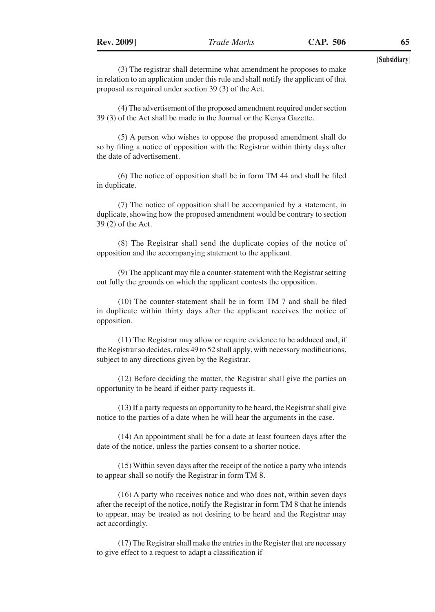(3) The registrar shall determine what amendment he proposes to make in relation to an application under this rule and shall notify the applicant of that proposal as required under section 39 (3) of the Act.

(4) The advertisement of the proposed amendment required under section 39 (3) of the Act shall be made in the Journal or the Kenya Gazette.

(5) A person who wishes to oppose the proposed amendment shall do so by filing a notice of opposition with the Registrar within thirty days after the date of advertisement.

(6) The notice of opposition shall be in form TM 44 and shall be filed in duplicate.

(7) The notice of opposition shall be accompanied by a statement, in duplicate, showing how the proposed amendment would be contrary to section 39 (2) of the Act.

(8) The Registrar shall send the duplicate copies of the notice of opposition and the accompanying statement to the applicant.

(9) The applicant may file a counter-statement with the Registrar setting out fully the grounds on which the applicant contests the opposition.

(10) The counter-statement shall be in form TM 7 and shall be filed in duplicate within thirty days after the applicant receives the notice of opposition.

(11) The Registrar may allow or require evidence to be adduced and, if the Registrar so decides, rules 49 to 52 shall apply, with necessary modifications, subject to any directions given by the Registrar.

(12) Before deciding the matter, the Registrar shall give the parties an opportunity to be heard if either party requests it.

(13) If a party requests an opportunity to be heard, the Registrar shall give notice to the parties of a date when he will hear the arguments in the case.

(14) An appointment shall be for a date at least fourteen days after the date of the notice, unless the parties consent to a shorter notice.

(15) Within seven days after the receipt of the notice a party who intends to appear shall so notify the Registrar in form TM 8.

(16) A party who receives notice and who does not, within seven days after the receipt of the notice, notify the Registrar in form TM 8 that he intends to appear, may be treated as not desiring to be heard and the Registrar may act accordingly.

(17) The Registrar shall make the entries in the Register that are necessary to give effect to a request to adapt a classification if-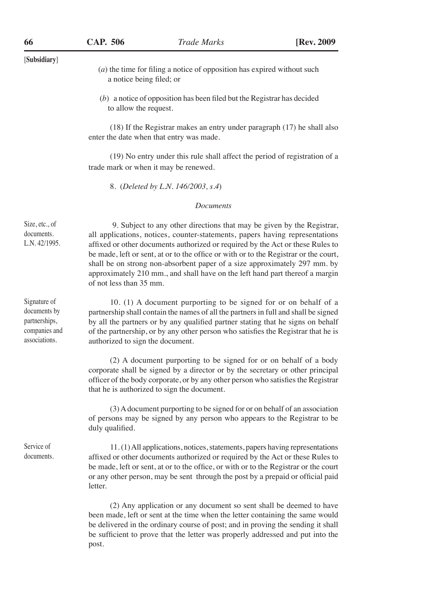[**Subsidiary**] (*a*) the time for filing a notice of opposition has expired without such a notice being filed; or (*b*) a notice of opposition has been filed but the Registrar has decided to allow the request. (18) If the Registrar makes an entry under paragraph (17) he shall also enter the date when that entry was made. (19) No entry under this rule shall affect the period of registration of a trade mark or when it may be renewed. 8. (*Deleted by L.N. 146/2003, s.4*) *Documents* 9. Subject to any other directions that may be given by the Registrar, all applications, notices, counter-statements, papers having representations affixed or other documents authorized or required by the Act or these Rules to be made, left or sent, at or to the office or with or to the Registrar or the court, shall be on strong non-absorbent paper of a size approximately 297 mm. by approximately 210 mm., and shall have on the left hand part thereof a margin of not less than 35 mm. 10. (1) A document purporting to be signed for or on behalf of a partnership shall contain the names of all the partners in full and shall be signed by all the partners or by any qualified partner stating that he signs on behalf of the partnership, or by any other person who satisfies the Registrar that he is authorized to sign the document. (2) A document purporting to be signed for or on behalf of a body corporate shall be signed by a director or by the secretary or other principal officer of the body corporate, or by any other person who satisfies the Registrar that he is authorized to sign the document. (3) A document purporting to be signed for or on behalf of an association of persons may be signed by any person who appears to the Registrar to be duly qualified. 11. (1) All applications, notices, statements, papers having representations affixed or other documents authorized or required by the Act or these Rules to be made, left or sent, at or to the office, or with or to the Registrar or the court or any other person, may be sent through the post by a prepaid or official paid letter. (2) Any application or any document so sent shall be deemed to have Size, etc., of documents. L.N. 42/1995. Signature of documents by partnerships, companies and associations. Service of documents.

been made, left or sent at the time when the letter containing the same would be delivered in the ordinary course of post; and in proving the sending it shall be sufficient to prove that the letter was properly addressed and put into the post.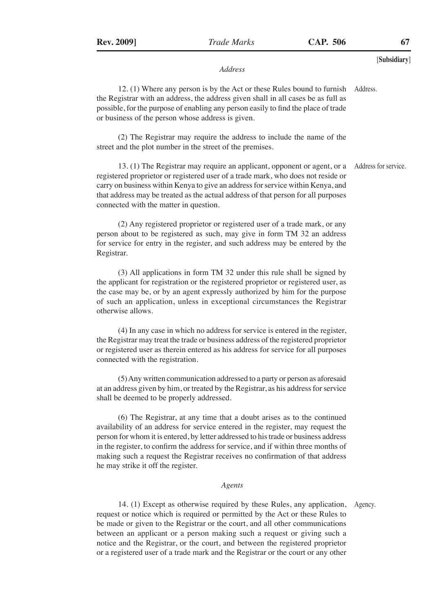#### *Address*

12. (1) Where any person is by the Act or these Rules bound to furnish the Registrar with an address, the address given shall in all cases be as full as possible, for the purpose of enabling any person easily to find the place of trade or business of the person whose address is given. Address.

(2) The Registrar may require the address to include the name of the street and the plot number in the street of the premises.

13. (1) The Registrar may require an applicant, opponent or agent, or a Address for service. registered proprietor or registered user of a trade mark, who does not reside or carry on business within Kenya to give an address for service within Kenya, and that address may be treated as the actual address of that person for all purposes connected with the matter in question.

(2) Any registered proprietor or registered user of a trade mark, or any person about to be registered as such, may give in form TM 32 an address for service for entry in the register, and such address may be entered by the Registrar.

(3) All applications in form TM 32 under this rule shall be signed by the applicant for registration or the registered proprietor or registered user, as the case may be, or by an agent expressly authorized by him for the purpose of such an application, unless in exceptional circumstances the Registrar otherwise allows.

(4) In any case in which no address for service is entered in the register, the Registrar may treat the trade or business address of the registered proprietor or registered user as therein entered as his address for service for all purposes connected with the registration.

(5) Any written communication addressed to a party or person as aforesaid at an address given by him, or treated by the Registrar, as his address for service shall be deemed to be properly addressed.

(6) The Registrar, at any time that a doubt arises as to the continued availability of an address for service entered in the register, may request the person for whom it is entered, by letter addressed to his trade or business address in the register, to confirm the address for service, and if within three months of making such a request the Registrar receives no confirmation of that address he may strike it off the register.

## *Agents*

14. (1) Except as otherwise required by these Rules, any application, request or notice which is required or permitted by the Act or these Rules to be made or given to the Registrar or the court, and all other communications between an applicant or a person making such a request or giving such a notice and the Registrar, or the court, and between the registered proprietor or a registered user of a trade mark and the Registrar or the court or any other Agency.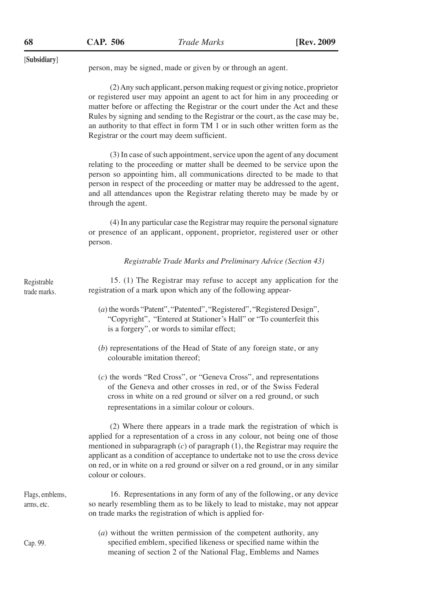[**Subsidiary**] person, may be signed, made or given by or through an agent. (2) Any such applicant, person making request or giving notice, proprietor or registered user may appoint an agent to act for him in any proceeding or matter before or affecting the Registrar or the court under the Act and these Rules by signing and sending to the Registrar or the court, as the case may be, an authority to that effect in form TM 1 or in such other written form as the Registrar or the court may deem sufficient. (3) In case of such appointment, service upon the agent of any document relating to the proceeding or matter shall be deemed to be service upon the person so appointing him, all communications directed to be made to that person in respect of the proceeding or matter may be addressed to the agent, and all attendances upon the Registrar relating thereto may be made by or through the agent. (4) In any particular case the Registrar may require the personal signature or presence of an applicant, opponent, proprietor, registered user or other person. *Registrable Trade Marks and Preliminary Advice (Section 43)* 15. (1) The Registrar may refuse to accept any application for the registration of a mark upon which any of the following appear- (*a*) the words "Patent", "Patented", "Registered", "Registered Design", "Copyright", "Entered at Stationer's Hall" or "To counterfeit this is a forgery", or words to similar effect; (*b*) representations of the Head of State of any foreign state, or any colourable imitation thereof; (*c*) the words "Red Cross", or "Geneva Cross", and representations of the Geneva and other crosses in red, or of the Swiss Federal cross in white on a red ground or silver on a red ground, or such representations in a similar colour or colours. (2) Where there appears in a trade mark the registration of which is applied for a representation of a cross in any colour, not being one of those mentioned in subparagraph (*c*) of paragraph (1), the Registrar may require the applicant as a condition of acceptance to undertake not to use the cross device on red, or in white on a red ground or silver on a red ground, or in any similar colour or colours. 16. Representations in any form of any of the following, or any device so nearly resembling them as to be likely to lead to mistake, may not appear on trade marks the registration of which is applied for- Registrable trade marks. Flags, emblems, arms, etc.

- Cap. 99.
- (*a*) without the written permission of the competent authority, any specified emblem, specified likeness or specified name within the meaning of section 2 of the National Flag, Emblems and Names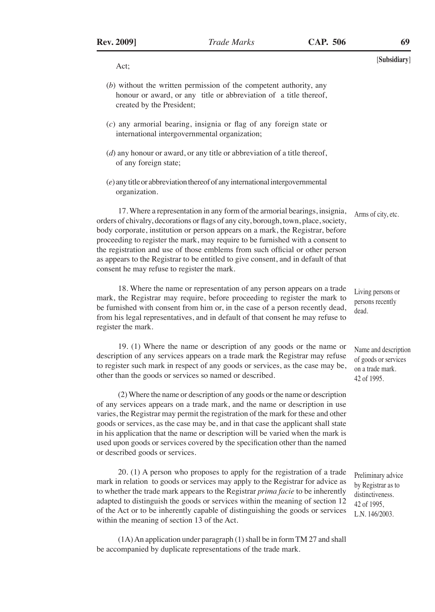[**Subsidiary**] Act;

- (*b*) without the written permission of the competent authority, any honour or award, or any title or abbreviation of a title thereof, created by the President;
- (*c*) any armorial bearing, insignia or flag of any foreign state or international intergovernmental organization;
- (*d*) any honour or award, or any title or abbreviation of a title thereof, of any foreign state;
- (*e*) any title or abbreviation thereof of any international intergovernmental organization.

17. Where a representation in any form of the armorial bearings, insignia, orders of chivalry, decorations or flags of any city, borough, town, place, society, body corporate, institution or person appears on a mark, the Registrar, before proceeding to register the mark, may require to be furnished with a consent to the registration and use of those emblems from such official or other person as appears to the Registrar to be entitled to give consent, and in default of that consent he may refuse to register the mark. Arms of city, etc.

18. Where the name or representation of any person appears on a trade mark, the Registrar may require, before proceeding to register the mark to be furnished with consent from him or, in the case of a person recently dead, from his legal representatives, and in default of that consent he may refuse to register the mark.

19. (1) Where the name or description of any goods or the name or description of any services appears on a trade mark the Registrar may refuse to register such mark in respect of any goods or services, as the case may be, other than the goods or services so named or described.

(2) Where the name or description of any goods or the name or description of any services appears on a trade mark, and the name or description in use varies, the Registrar may permit the registration of the mark for these and other goods or services, as the case may be, and in that case the applicant shall state in his application that the name or description will be varied when the mark is used upon goods or services covered by the specification other than the named or described goods or services.

20. (1) A person who proposes to apply for the registration of a trade mark in relation to goods or services may apply to the Registrar for advice as to whether the trade mark appears to the Registrar *prima facie* to be inherently adapted to distinguish the goods or services within the meaning of section 12 of the Act or to be inherently capable of distinguishing the goods or services within the meaning of section 13 of the Act.

(1A) An application under paragraph (1) shall be in form TM 27 and shall be accompanied by duplicate representations of the trade mark.

Living persons or persons recently dead.

Name and description of goods or services on a trade mark. 42 of 1995.

Preliminary advice by Registrar as to distinctiveness. 42 of 1995, L.N. 146/2003.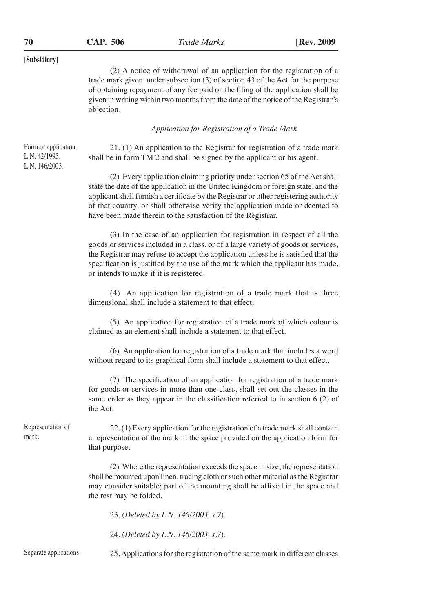(2) A notice of withdrawal of an application for the registration of a trade mark given under subsection (3) of section 43 of the Act for the purpose of obtaining repayment of any fee paid on the filing of the application shall be given in writing within two months from the date of the notice of the Registrar's objection.

*Application for Registration of a Trade Mark*

21. (1) An application to the Registrar for registration of a trade mark shall be in form TM 2 and shall be signed by the applicant or his agent. Form of application. L.N. 42/1995, L.N. 146/2003.

> (2) Every application claiming priority under section 65 of the Act shall state the date of the application in the United Kingdom or foreign state, and the applicant shall furnish a certificate by the Registrar or other registering authority of that country, or shall otherwise verify the application made or deemed to have been made therein to the satisfaction of the Registrar.

> (3) In the case of an application for registration in respect of all the goods or services included in a class, or of a large variety of goods or services, the Registrar may refuse to accept the application unless he is satisfied that the specification is justified by the use of the mark which the applicant has made, or intends to make if it is registered.

> (4) An application for registration of a trade mark that is three dimensional shall include a statement to that effect.

> (5) An application for registration of a trade mark of which colour is claimed as an element shall include a statement to that effect.

> (6) An application for registration of a trade mark that includes a word without regard to its graphical form shall include a statement to that effect.

> (7) The specification of an application for registration of a trade mark for goods or services in more than one class, shall set out the classes in the same order as they appear in the classification referred to in section 6 (2) of the Act.

Representation of mark.

22. (1) Every application for the registration of a trade mark shall contain a representation of the mark in the space provided on the application form for that purpose.

(2) Where the representation exceeds the space in size, the representation shall be mounted upon linen, tracing cloth or such other material as the Registrar may consider suitable; part of the mounting shall be affixed in the space and the rest may be folded.

23. (*Deleted by L.N. 146/2003, s.7*).

24. (*Deleted by L.N. 146/2003, s.7*).

Separate applications.

25. Applications for the registration of the same mark in different classes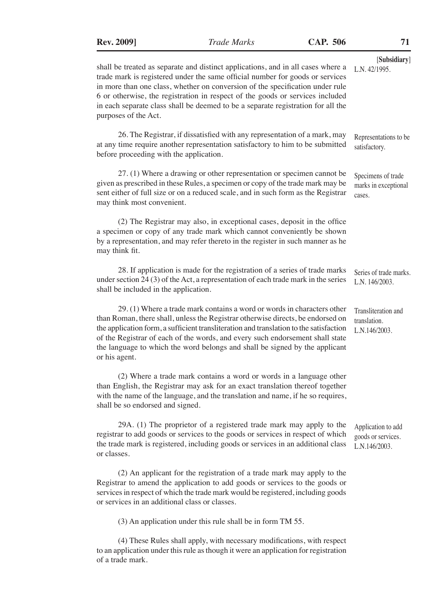| $\prime\prime$ |
|----------------|
| [Subsidiary]   |
| L.N. 42/1995.  |

Specimens of trade marks in exceptional

cases.

shall be treated as separate and distinct applications, and in all cases where a trade mark is registered under the same official number for goods or services in more than one class, whether on conversion of the specification under rule 6 or otherwise, the registration in respect of the goods or services included in each separate class shall be deemed to be a separate registration for all the purposes of the Act.

26. The Registrar, if dissatisfied with any representation of a mark, may at any time require another representation satisfactory to him to be submitted before proceeding with the application. Representations to be satisfactory.

27. (1) Where a drawing or other representation or specimen cannot be given as prescribed in these Rules, a specimen or copy of the trade mark may be sent either of full size or on a reduced scale, and in such form as the Registrar may think most convenient.

(2) The Registrar may also, in exceptional cases, deposit in the office a specimen or copy of any trade mark which cannot conveniently be shown by a representation, and may refer thereto in the register in such manner as he may think fit.

28. If application is made for the registration of a series of trade marks under section 24 (3) of the Act, a representation of each trade mark in the series shall be included in the application. Series of trade marks. L.N. 146/2003.

29. (1) Where a trade mark contains a word or words in characters other than Roman, there shall, unless the Registrar otherwise directs, be endorsed on the application form, a sufficient transliteration and translation to the satisfaction of the Registrar of each of the words, and every such endorsement shall state the language to which the word belongs and shall be signed by the applicant or his agent. Transliteration and translation. L.N.146/2003.

(2) Where a trade mark contains a word or words in a language other than English, the Registrar may ask for an exact translation thereof together with the name of the language, and the translation and name, if he so requires, shall be so endorsed and signed.

29A. (1) The proprietor of a registered trade mark may apply to the registrar to add goods or services to the goods or services in respect of which the trade mark is registered, including goods or services in an additional class or classes. Application to add goods or services. L.N.146/2003.

(2) An applicant for the registration of a trade mark may apply to the Registrar to amend the application to add goods or services to the goods or services in respect of which the trade mark would be registered, including goods or services in an additional class or classes.

(3) An application under this rule shall be in form TM 55.

(4) These Rules shall apply, with necessary modifications, with respect to an application under this rule as though it were an application for registration of a trade mark.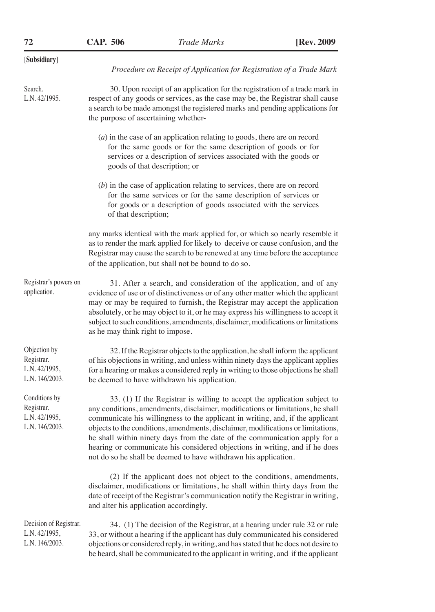| 72                                                             | <b>CAP. 506</b>                                                                                                                                                                                                                                                                                                                                                                                                                                       | <b>Trade Marks</b>                                                                                                                                                                                                                                                                                                                                                                                                                                                                                                                                               | [Rev. 2009] |
|----------------------------------------------------------------|-------------------------------------------------------------------------------------------------------------------------------------------------------------------------------------------------------------------------------------------------------------------------------------------------------------------------------------------------------------------------------------------------------------------------------------------------------|------------------------------------------------------------------------------------------------------------------------------------------------------------------------------------------------------------------------------------------------------------------------------------------------------------------------------------------------------------------------------------------------------------------------------------------------------------------------------------------------------------------------------------------------------------------|-------------|
| [Subsidiary]                                                   |                                                                                                                                                                                                                                                                                                                                                                                                                                                       |                                                                                                                                                                                                                                                                                                                                                                                                                                                                                                                                                                  |             |
|                                                                |                                                                                                                                                                                                                                                                                                                                                                                                                                                       | Procedure on Receipt of Application for Registration of a Trade Mark                                                                                                                                                                                                                                                                                                                                                                                                                                                                                             |             |
| Search.<br>L.N. 42/1995.                                       | the purpose of ascertaining whether-                                                                                                                                                                                                                                                                                                                                                                                                                  | 30. Upon receipt of an application for the registration of a trade mark in<br>respect of any goods or services, as the case may be, the Registrar shall cause<br>a search to be made amongst the registered marks and pending applications for                                                                                                                                                                                                                                                                                                                   |             |
|                                                                |                                                                                                                                                                                                                                                                                                                                                                                                                                                       | $(a)$ in the case of an application relating to goods, there are on record<br>for the same goods or for the same description of goods or for<br>services or a description of services associated with the goods or<br>goods of that description; or                                                                                                                                                                                                                                                                                                              |             |
|                                                                | of that description;                                                                                                                                                                                                                                                                                                                                                                                                                                  | $(b)$ in the case of application relating to services, there are on record<br>for the same services or for the same description of services or<br>for goods or a description of goods associated with the services                                                                                                                                                                                                                                                                                                                                               |             |
|                                                                |                                                                                                                                                                                                                                                                                                                                                                                                                                                       | any marks identical with the mark applied for, or which so nearly resemble it<br>as to render the mark applied for likely to deceive or cause confusion, and the<br>Registrar may cause the search to be renewed at any time before the acceptance<br>of the application, but shall not be bound to do so.                                                                                                                                                                                                                                                       |             |
| Registrar's powers on<br>application.                          | 31. After a search, and consideration of the application, and of any<br>evidence of use or of distinctiveness or of any other matter which the applicant<br>may or may be required to furnish, the Registrar may accept the application<br>absolutely, or he may object to it, or he may express his willingness to accept it<br>subject to such conditions, amendments, disclaimer, modifications or limitations<br>as he may think right to impose. |                                                                                                                                                                                                                                                                                                                                                                                                                                                                                                                                                                  |             |
| Objection by<br>Registrar.<br>L.N. 42/1995,<br>L.N. 146/2003.  |                                                                                                                                                                                                                                                                                                                                                                                                                                                       | 32. If the Registrar objects to the application, he shall inform the applicant<br>of his objections in writing, and unless within ninety days the applicant applies<br>for a hearing or makes a considered reply in writing to those objections he shall<br>be deemed to have withdrawn his application.                                                                                                                                                                                                                                                         |             |
| Conditions by<br>Registrar.<br>L.N. 42/1995,<br>L.N. 146/2003. |                                                                                                                                                                                                                                                                                                                                                                                                                                                       | 33. (1) If the Registrar is willing to accept the application subject to<br>any conditions, amendments, disclaimer, modifications or limitations, he shall<br>communicate his willingness to the applicant in writing, and, if the applicant<br>objects to the conditions, amendments, disclaimer, modifications or limitations,<br>he shall within ninety days from the date of the communication apply for a<br>hearing or communicate his considered objections in writing, and if he does<br>not do so he shall be deemed to have withdrawn his application. |             |
|                                                                | and alter his application accordingly.                                                                                                                                                                                                                                                                                                                                                                                                                | (2) If the applicant does not object to the conditions, amendments,<br>disclaimer, modifications or limitations, he shall within thirty days from the<br>date of receipt of the Registrar's communication notify the Registrar in writing,                                                                                                                                                                                                                                                                                                                       |             |
| Decision of Registrar.<br>L.N. 42/1995,<br>L.N. 146/2003.      |                                                                                                                                                                                                                                                                                                                                                                                                                                                       | 34. (1) The decision of the Registrar, at a hearing under rule 32 or rule<br>33, or without a hearing if the applicant has duly communicated his considered<br>objections or considered reply, in writing, and has stated that he does not desire to<br>be heard, shall be communicated to the applicant in writing, and if the applicant                                                                                                                                                                                                                        |             |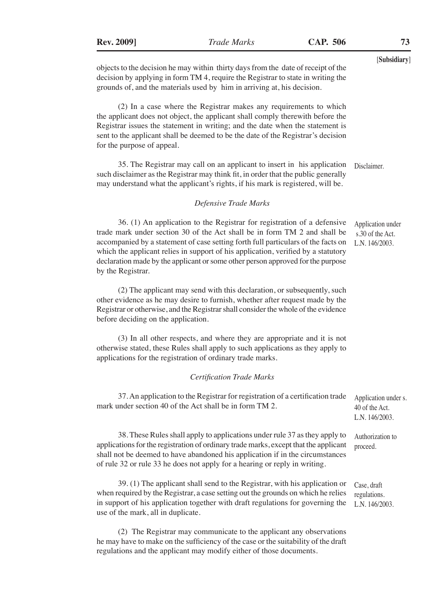objects to the decision he may within thirty days from the date of receipt of the decision by applying in form TM 4, require the Registrar to state in writing the grounds of, and the materials used by him in arriving at, his decision.

(2) In a case where the Registrar makes any requirements to which the applicant does not object, the applicant shall comply therewith before the Registrar issues the statement in writing; and the date when the statement is sent to the applicant shall be deemed to be the date of the Registrar's decision for the purpose of appeal.

35. The Registrar may call on an applicant to insert in his application such disclaimer as the Registrar may think fit, in order that the public generally may understand what the applicant's rights, if his mark is registered, will be. Disclaimer.

#### *Defensive Trade Marks*

36. (1) An application to the Registrar for registration of a defensive trade mark under section 30 of the Act shall be in form TM 2 and shall be accompanied by a statement of case setting forth full particulars of the facts on which the applicant relies in support of his application, verified by a statutory declaration made by the applicant or some other person approved for the purpose by the Registrar. Application under s.30 of the Act. L.N. 146/2003.

(2) The applicant may send with this declaration, or subsequently, such other evidence as he may desire to furnish, whether after request made by the Registrar or otherwise, and the Registrar shall consider the whole of the evidence before deciding on the application.

(3) In all other respects, and where they are appropriate and it is not otherwise stated, these Rules shall apply to such applications as they apply to applications for the registration of ordinary trade marks.

#### *Certification Trade Marks*

| 37. An application to the Registrar for registration of a certification trade<br>mark under section 40 of the Act shall be in form TM 2.                                                                                                                                                                                          | Application under s.<br>40 of the Act.<br>L.N. $146/2003$ . |
|-----------------------------------------------------------------------------------------------------------------------------------------------------------------------------------------------------------------------------------------------------------------------------------------------------------------------------------|-------------------------------------------------------------|
| 38. These Rules shall apply to applications under rule 37 as they apply to<br>applications for the registration of ordinary trade marks, except that the applicant<br>shall not be deemed to have abandoned his application if in the circumstances<br>of rule 32 or rule 33 he does not apply for a hearing or reply in writing. | Authorization to<br>proceed.                                |
| 39. (1) The applicant shall send to the Registrar, with his application or<br>when required by the Registrar, a case setting out the grounds on which he relies<br>in support of his application together with draft regulations for governing the<br>use of the mark, all in duplicate.                                          | Case, draft<br>regulations.<br>L.N. 146/2003.               |

(2) The Registrar may communicate to the applicant any observations he may have to make on the sufficiency of the case or the suitability of the draft regulations and the applicant may modify either of those documents.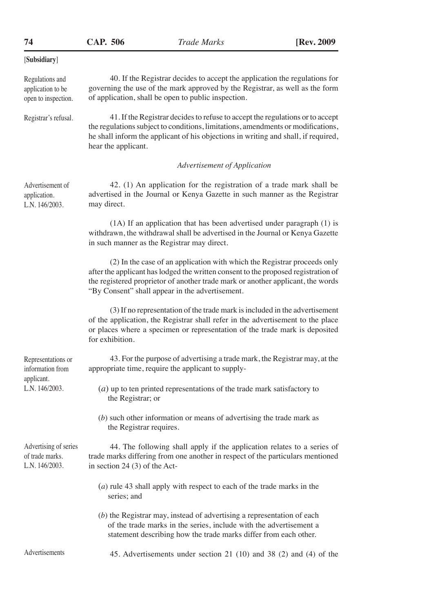**CAP. 506 74** *Trade Marks* **[Rev. 2009**

| Regulations and<br>application to be<br>open to inspection. | 40. If the Registrar decides to accept the application the regulations for<br>governing the use of the mark approved by the Registrar, as well as the form<br>of application, shall be open to public inspection.                                                                                    |  |  |
|-------------------------------------------------------------|------------------------------------------------------------------------------------------------------------------------------------------------------------------------------------------------------------------------------------------------------------------------------------------------------|--|--|
| Registrar's refusal.                                        | 41. If the Registrar decides to refuse to accept the regulations or to accept<br>the regulations subject to conditions, limitations, amendments or modifications,<br>he shall inform the applicant of his objections in writing and shall, if required,<br>hear the applicant.                       |  |  |
|                                                             | Advertisement of Application                                                                                                                                                                                                                                                                         |  |  |
| Advertisement of<br>application.<br>L.N. 146/2003.          | 42. (1) An application for the registration of a trade mark shall be<br>advertised in the Journal or Kenya Gazette in such manner as the Registrar<br>may direct.                                                                                                                                    |  |  |
|                                                             | (1A) If an application that has been advertised under paragraph (1) is<br>withdrawn, the withdrawal shall be advertised in the Journal or Kenya Gazette<br>in such manner as the Registrar may direct.                                                                                               |  |  |
|                                                             | (2) In the case of an application with which the Registrar proceeds only<br>after the applicant has lodged the written consent to the proposed registration of<br>the registered proprietor of another trade mark or another applicant, the words<br>"By Consent" shall appear in the advertisement. |  |  |
|                                                             | (3) If no representation of the trade mark is included in the advertisement<br>of the application, the Registrar shall refer in the advertisement to the place<br>or places where a specimen or representation of the trade mark is deposited<br>for exhibition.                                     |  |  |
| Representations or<br>information from                      | 43. For the purpose of advertising a trade mark, the Registrar may, at the<br>appropriate time, require the applicant to supply-                                                                                                                                                                     |  |  |
| applicant.<br>L.N. 146/2003.                                | $(a)$ up to ten printed representations of the trade mark satisfactory to<br>the Registrar; or                                                                                                                                                                                                       |  |  |
|                                                             | $(b)$ such other information or means of advertising the trade mark as<br>the Registrar requires.                                                                                                                                                                                                    |  |  |
| Advertising of series<br>of trade marks.<br>L.N. 146/2003.  | 44. The following shall apply if the application relates to a series of<br>trade marks differing from one another in respect of the particulars mentioned<br>in section 24 $(3)$ of the Act-                                                                                                         |  |  |
|                                                             | $(a)$ rule 43 shall apply with respect to each of the trade marks in the<br>series; and                                                                                                                                                                                                              |  |  |
|                                                             | $(b)$ the Registrar may, instead of advertising a representation of each<br>of the trade marks in the series, include with the advertisement a<br>statement describing how the trade marks differ from each other.                                                                                   |  |  |
| Advertisements                                              | 45. Advertisements under section 21 (10) and 38 (2) and (4) of the                                                                                                                                                                                                                                   |  |  |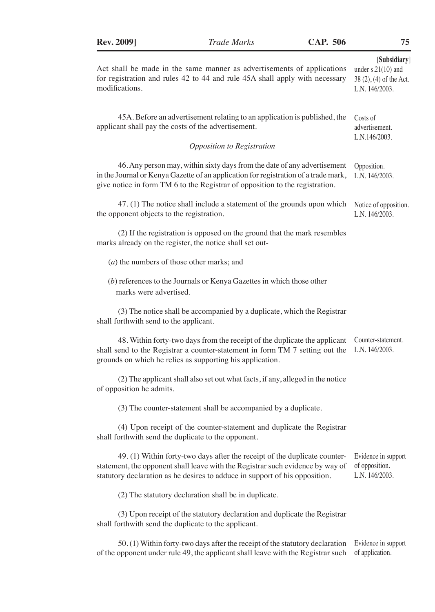of application.

| Act shall be made in the same manner as advertisements of applications<br>for registration and rules 42 to 44 and rule 45A shall apply with necessary<br>modifications.                                                                         | [Subsidiary]<br>under $s.21(10)$ and<br>$38(2)$ , $(4)$ of the Act.<br>L.N. 146/2003. |
|-------------------------------------------------------------------------------------------------------------------------------------------------------------------------------------------------------------------------------------------------|---------------------------------------------------------------------------------------|
| 45A. Before an advertisement relating to an application is published, the<br>applicant shall pay the costs of the advertisement.                                                                                                                | Costs of<br>advertisement.<br>L.N.146/2003.                                           |
| Opposition to Registration                                                                                                                                                                                                                      |                                                                                       |
| 46. Any person may, within sixty days from the date of any advertisement<br>in the Journal or Kenya Gazette of an application for registration of a trade mark,<br>give notice in form TM 6 to the Registrar of opposition to the registration. | Opposition.<br>L.N. 146/2003.                                                         |
| 47. (1) The notice shall include a statement of the grounds upon which<br>the opponent objects to the registration.                                                                                                                             | Notice of opposition.<br>L.N. 146/2003.                                               |
| (2) If the registration is opposed on the ground that the mark resembles<br>marks already on the register, the notice shall set out-                                                                                                            |                                                                                       |
| $(a)$ the numbers of those other marks; and                                                                                                                                                                                                     |                                                                                       |
| $(b)$ references to the Journals or Kenya Gazettes in which those other<br>marks were advertised.                                                                                                                                               |                                                                                       |
| (3) The notice shall be accompanied by a duplicate, which the Registrar<br>shall forthwith send to the applicant.                                                                                                                               |                                                                                       |
| 48. Within forty-two days from the receipt of the duplicate the applicant<br>shall send to the Registrar a counter-statement in form TM 7 setting out the<br>grounds on which he relies as supporting his application.                          | Counter-statement.<br>L.N. 146/2003.                                                  |
| (2) The applicant shall also set out what facts, if any, alleged in the notice<br>of opposition he admits.                                                                                                                                      |                                                                                       |
| (3) The counter-statement shall be accompanied by a duplicate.                                                                                                                                                                                  |                                                                                       |
| (4) Upon receipt of the counter-statement and duplicate the Registrar<br>shall forthwith send the duplicate to the opponent.                                                                                                                    |                                                                                       |
| 49. (1) Within forty-two days after the receipt of the duplicate counter-<br>statement, the opponent shall leave with the Registrar such evidence by way of<br>statutory declaration as he desires to adduce in support of his opposition.      | Evidence in support<br>of opposition.<br>L.N. 146/2003.                               |
| (2) The statutory declaration shall be in duplicate.                                                                                                                                                                                            |                                                                                       |
| (3) Upon receipt of the statutory declaration and duplicate the Registrar<br>shall forthwith send the duplicate to the applicant.                                                                                                               |                                                                                       |
| 50. (1) Within forty-two days after the receipt of the statutory declaration                                                                                                                                                                    | Evidence in support                                                                   |

of the opponent under rule 49, the applicant shall leave with the Registrar such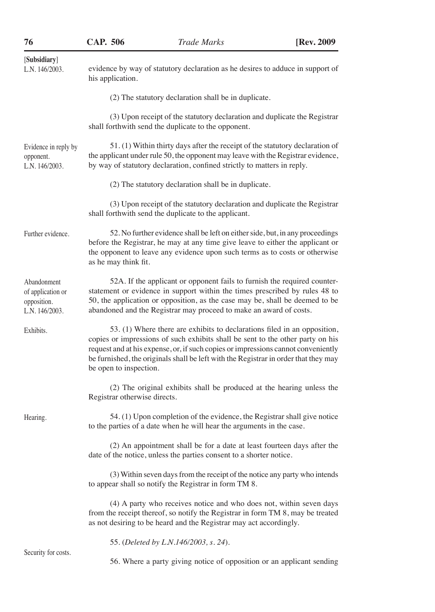| 76                                                                | <b>CAP. 506</b>              | <b>Trade Marks</b>                                                                                                                                                                                                                                                                                                                     | [Rev. 2009] |
|-------------------------------------------------------------------|------------------------------|----------------------------------------------------------------------------------------------------------------------------------------------------------------------------------------------------------------------------------------------------------------------------------------------------------------------------------------|-------------|
| [Subsidiary]<br>L.N. 146/2003.                                    | his application.             | evidence by way of statutory declaration as he desires to adduce in support of                                                                                                                                                                                                                                                         |             |
|                                                                   |                              | (2) The statutory declaration shall be in duplicate.                                                                                                                                                                                                                                                                                   |             |
|                                                                   |                              | (3) Upon receipt of the statutory declaration and duplicate the Registrar<br>shall forthwith send the duplicate to the opponent.                                                                                                                                                                                                       |             |
| Evidence in reply by<br>opponent.<br>L.N. $146/2003$ .            |                              | 51. (1) Within thirty days after the receipt of the statutory declaration of<br>the applicant under rule 50, the opponent may leave with the Registrar evidence,<br>by way of statutory declaration, confined strictly to matters in reply.                                                                                            |             |
|                                                                   |                              | (2) The statutory declaration shall be in duplicate.                                                                                                                                                                                                                                                                                   |             |
|                                                                   |                              | (3) Upon receipt of the statutory declaration and duplicate the Registrar<br>shall forthwith send the duplicate to the applicant.                                                                                                                                                                                                      |             |
| Further evidence.                                                 | as he may think fit.         | 52. No further evidence shall be left on either side, but, in any proceedings<br>before the Registrar, he may at any time give leave to either the applicant or<br>the opponent to leave any evidence upon such terms as to costs or otherwise                                                                                         |             |
| Abandonment<br>of application or<br>opposition.<br>L.N. 146/2003. |                              | 52A. If the applicant or opponent fails to furnish the required counter-<br>statement or evidence in support within the times prescribed by rules 48 to<br>50, the application or opposition, as the case may be, shall be deemed to be<br>abandoned and the Registrar may proceed to make an award of costs.                          |             |
| Exhibits.                                                         | be open to inspection.       | 53. (1) Where there are exhibits to declarations filed in an opposition,<br>copies or impressions of such exhibits shall be sent to the other party on his<br>request and at his expense, or, if such copies or impressions cannot conveniently<br>be furnished, the originals shall be left with the Registrar in order that they may |             |
|                                                                   | Registrar otherwise directs. | (2) The original exhibits shall be produced at the hearing unless the                                                                                                                                                                                                                                                                  |             |
| Hearing.                                                          |                              | 54. (1) Upon completion of the evidence, the Registrar shall give notice<br>to the parties of a date when he will hear the arguments in the case.                                                                                                                                                                                      |             |
|                                                                   |                              | (2) An appointment shall be for a date at least fourteen days after the<br>date of the notice, unless the parties consent to a shorter notice.                                                                                                                                                                                         |             |
|                                                                   |                              | (3) Within seven days from the receipt of the notice any party who intends<br>to appear shall so notify the Registrar in form TM 8.                                                                                                                                                                                                    |             |
|                                                                   |                              | (4) A party who receives notice and who does not, within seven days<br>from the receipt thereof, so notify the Registrar in form TM 8, may be treated<br>as not desiring to be heard and the Registrar may act accordingly.                                                                                                            |             |
| Security for costs.                                               |                              | 55. (Deleted by L.N.146/2003, s. 24).                                                                                                                                                                                                                                                                                                  |             |

56. Where a party giving notice of opposition or an applicant sending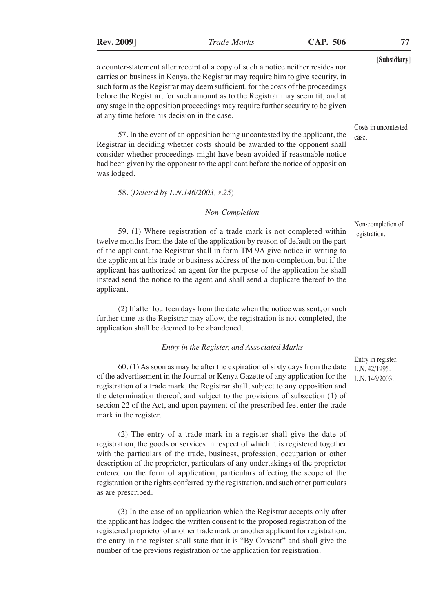a counter-statement after receipt of a copy of such a notice neither resides nor carries on business in Kenya, the Registrar may require him to give security, in such form as the Registrar may deem sufficient, for the costs of the proceedings before the Registrar, for such amount as to the Registrar may seem fit, and at any stage in the opposition proceedings may require further security to be given at any time before his decision in the case.

57. In the event of an opposition being uncontested by the applicant, the Registrar in deciding whether costs should be awarded to the opponent shall consider whether proceedings might have been avoided if reasonable notice had been given by the opponent to the applicant before the notice of opposition was lodged.

58. (*Deleted by L.N.146/2003, s.25*).

#### *Non-Completion*

59. (1) Where registration of a trade mark is not completed within twelve months from the date of the application by reason of default on the part of the applicant, the Registrar shall in form TM 9A give notice in writing to the applicant at his trade or business address of the non-completion, but if the applicant has authorized an agent for the purpose of the application he shall instead send the notice to the agent and shall send a duplicate thereof to the applicant.

(2) If after fourteen days from the date when the notice was sent, or such further time as the Registrar may allow, the registration is not completed, the application shall be deemed to be abandoned.

#### *Entry in the Register, and Associated Marks*

60. (1) As soon as may be after the expiration of sixty days from the date of the advertisement in the Journal or Kenya Gazette of any application for the registration of a trade mark, the Registrar shall, subject to any opposition and the determination thereof, and subject to the provisions of subsection (1) of section 22 of the Act, and upon payment of the prescribed fee, enter the trade mark in the register.

(2) The entry of a trade mark in a register shall give the date of registration, the goods or services in respect of which it is registered together with the particulars of the trade, business, profession, occupation or other description of the proprietor, particulars of any undertakings of the proprietor entered on the form of application, particulars affecting the scope of the registration or the rights conferred by the registration, and such other particulars as are prescribed.

(3) In the case of an application which the Registrar accepts only after the applicant has lodged the written consent to the proposed registration of the registered proprietor of another trade mark or another applicant for registration, the entry in the register shall state that it is "By Consent" and shall give the number of the previous registration or the application for registration.

Entry in register. L.N. 42/1995. L.N. 146/2003.

Non-completion of registration.

Costs in uncontested

case.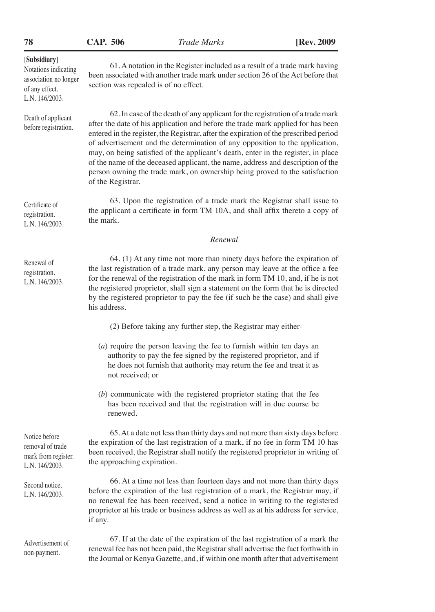| 506<br>CAP. |
|-------------|
|-------------|

non-payment.

| [Subsidiary]<br>Notations indicating<br>association no longer<br>of any effect.<br>L.N. 146/2003. | 61. A notation in the Register included as a result of a trade mark having<br>been associated with another trade mark under section 26 of the Act before that<br>section was repealed is of no effect.                                                                                                                                                                                                                                                                                                                                                                                                                  |
|---------------------------------------------------------------------------------------------------|-------------------------------------------------------------------------------------------------------------------------------------------------------------------------------------------------------------------------------------------------------------------------------------------------------------------------------------------------------------------------------------------------------------------------------------------------------------------------------------------------------------------------------------------------------------------------------------------------------------------------|
| Death of applicant<br>before registration.                                                        | 62. In case of the death of any applicant for the registration of a trade mark<br>after the date of his application and before the trade mark applied for has been<br>entered in the register, the Registrar, after the expiration of the prescribed period<br>of advertisement and the determination of any opposition to the application,<br>may, on being satisfied of the applicant's death, enter in the register, in place<br>of the name of the deceased applicant, the name, address and description of the<br>person owning the trade mark, on ownership being proved to the satisfaction<br>of the Registrar. |
| Certificate of<br>registration.<br>L.N. 146/2003.                                                 | 63. Upon the registration of a trade mark the Registrar shall issue to<br>the applicant a certificate in form TM 10A, and shall affix thereto a copy of<br>the mark.                                                                                                                                                                                                                                                                                                                                                                                                                                                    |
|                                                                                                   | Renewal                                                                                                                                                                                                                                                                                                                                                                                                                                                                                                                                                                                                                 |
| Renewal of<br>registration.<br>L.N. 146/2003.                                                     | 64. (1) At any time not more than ninety days before the expiration of<br>the last registration of a trade mark, any person may leave at the office a fee<br>for the renewal of the registration of the mark in form TM 10, and, if he is not<br>the registered proprietor, shall sign a statement on the form that he is directed<br>by the registered proprietor to pay the fee (if such be the case) and shall give<br>his address.                                                                                                                                                                                  |
|                                                                                                   | (2) Before taking any further step, the Registrar may either-                                                                                                                                                                                                                                                                                                                                                                                                                                                                                                                                                           |
|                                                                                                   | $(a)$ require the person leaving the fee to furnish within ten days an<br>authority to pay the fee signed by the registered proprietor, and if<br>he does not furnish that authority may return the fee and treat it as<br>not received; or                                                                                                                                                                                                                                                                                                                                                                             |
|                                                                                                   | $(b)$ communicate with the registered proprietor stating that the fee<br>has been received and that the registration will in due course be<br>renewed.                                                                                                                                                                                                                                                                                                                                                                                                                                                                  |
| Notice before<br>removal of trade<br>mark from register.<br>L.N. 146/2003.                        | 65. At a date not less than thirty days and not more than sixty days before<br>the expiration of the last registration of a mark, if no fee in form TM 10 has<br>been received, the Registrar shall notify the registered proprietor in writing of<br>the approaching expiration.                                                                                                                                                                                                                                                                                                                                       |
| Second notice.<br>L.N. 146/2003.                                                                  | 66. At a time not less than fourteen days and not more than thirty days<br>before the expiration of the last registration of a mark, the Registrar may, if<br>no renewal fee has been received, send a notice in writing to the registered<br>proprietor at his trade or business address as well as at his address for service,<br>if any.                                                                                                                                                                                                                                                                             |
| Advertisement of                                                                                  | 67. If at the date of the expiration of the last registration of a mark the                                                                                                                                                                                                                                                                                                                                                                                                                                                                                                                                             |

67. If at the date of the expiration of the last registration of a mark the renewal fee has not been paid, the Registrar shall advertise the fact forthwith in the Journal or Kenya Gazette, and, if within one month after that advertisement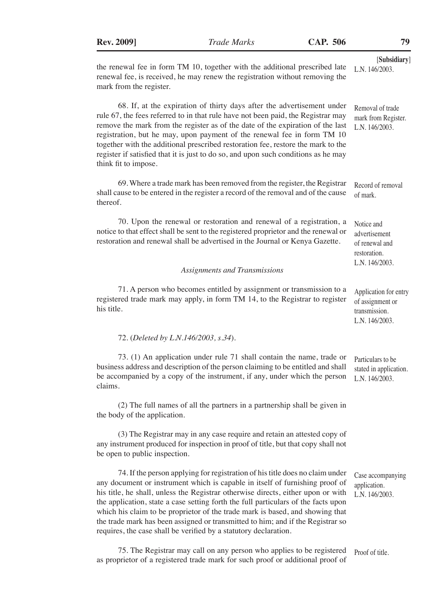[**Subsidiary**] the renewal fee in form TM 10, together with the additional prescribed late renewal fee, is received, he may renew the registration without removing the mark from the register. 68. If, at the expiration of thirty days after the advertisement under rule 67, the fees referred to in that rule have not been paid, the Registrar may remove the mark from the register as of the date of the expiration of the last registration, but he may, upon payment of the renewal fee in form TM 10 together with the additional prescribed restoration fee, restore the mark to the register if satisfied that it is just to do so, and upon such conditions as he may think fit to impose. 69. Where a trade mark has been removed from the register, the Registrar shall cause to be entered in the register a record of the removal and of the cause thereof. 70. Upon the renewal or restoration and renewal of a registration, a notice to that effect shall be sent to the registered proprietor and the renewal or restoration and renewal shall be advertised in the Journal or Kenya Gazette. *Assignments and Transmissions* 71. A person who becomes entitled by assignment or transmission to a registered trade mark may apply, in form TM 14, to the Registrar to register his title. 72. (*Deleted by L.N.146/2003, s.34*). 73. (1) An application under rule 71 shall contain the name, trade or business address and description of the person claiming to be entitled and shall be accompanied by a copy of the instrument, if any, under which the person claims. (2) The full names of all the partners in a partnership shall be given in the body of the application. (3) The Registrar may in any case require and retain an attested copy of any instrument produced for inspection in proof of title, but that copy shall not be open to public inspection. 74. If the person applying for registration of his title does no claim under any document or instrument which is capable in itself of furnishing proof of his title, he shall, unless the Registrar otherwise directs, either upon or with the application, state a case setting forth the full particulars of the facts upon which his claim to be proprietor of the trade mark is based, and showing that the trade mark has been assigned or transmitted to him; and if the Registrar so requires, the case shall be verified by a statutory declaration. L.N. 146/2003. Removal of trade mark from Register. L.N. 146/2003. Record of removal of mark. Notice and advertisement of renewal and restoration. L.N. 146/2003. Application for entry of assignment or transmission. L.N. 146/2003. Particulars to be stated in application. L.N. 146/2003. Case accompanying application. L.N. 146/2003.

75. The Registrar may call on any person who applies to be registered as proprietor of a registered trade mark for such proof or additional proof of Proof of title.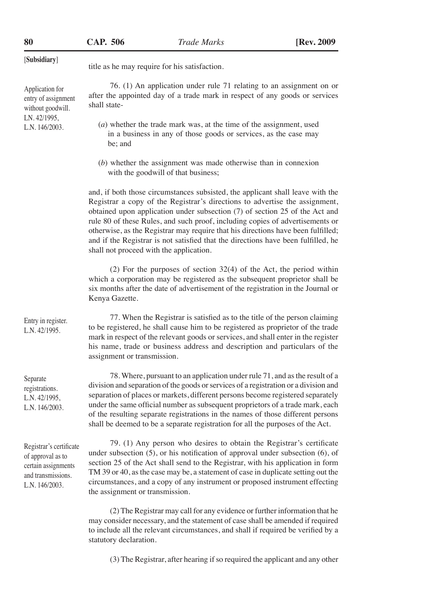Application for entry of assignment without goodwill. LN. 42/1995, L.N. 146/2003.

[**Subsidiary**] title as he may require for his satisfaction.

76. (1) An application under rule 71 relating to an assignment on or after the appointed day of a trade mark in respect of any goods or services shall state-

- (*a*) whether the trade mark was, at the time of the assignment, used in a business in any of those goods or services, as the case may be; and
- (*b*) whether the assignment was made otherwise than in connexion with the goodwill of that business;

and, if both those circumstances subsisted, the applicant shall leave with the Registrar a copy of the Registrar's directions to advertise the assignment, obtained upon application under subsection (7) of section 25 of the Act and rule 80 of these Rules, and such proof, including copies of advertisements or otherwise, as the Registrar may require that his directions have been fulfilled; and if the Registrar is not satisfied that the directions have been fulfilled, he shall not proceed with the application.

(2) For the purposes of section 32(4) of the Act, the period within which a corporation may be registered as the subsequent proprietor shall be six months after the date of advertisement of the registration in the Journal or Kenya Gazette.

77. When the Registrar is satisfied as to the title of the person claiming to be registered, he shall cause him to be registered as proprietor of the trade mark in respect of the relevant goods or services, and shall enter in the register his name, trade or business address and description and particulars of the assignment or transmission.

78. Where, pursuant to an application under rule 71, and as the result of a division and separation of the goods or services of a registration or a division and separation of places or markets, different persons become registered separately under the same official number as subsequent proprietors of a trade mark, each of the resulting separate registrations in the names of those different persons shall be deemed to be a separate registration for all the purposes of the Act.

79. (1) Any person who desires to obtain the Registrar's certificate under subsection (5), or his notification of approval under subsection (6), of section 25 of the Act shall send to the Registrar, with his application in form TM 39 or 40, as the case may be, a statement of case in duplicate setting out the circumstances, and a copy of any instrument or proposed instrument effecting the assignment or transmission.

(2) The Registrar may call for any evidence or further information that he may consider necessary, and the statement of case shall be amended if required to include all the relevant circumstances, and shall if required be verified by a statutory declaration.

(3) The Registrar, after hearing if so required the applicant and any other

Entry in register. L.N. 42/1995.

Separate registrations. L.N. 42/1995, L.N. 146/2003.

Registrar's certificate of approval as to certain assignments and transmissions. L.N. 146/2003.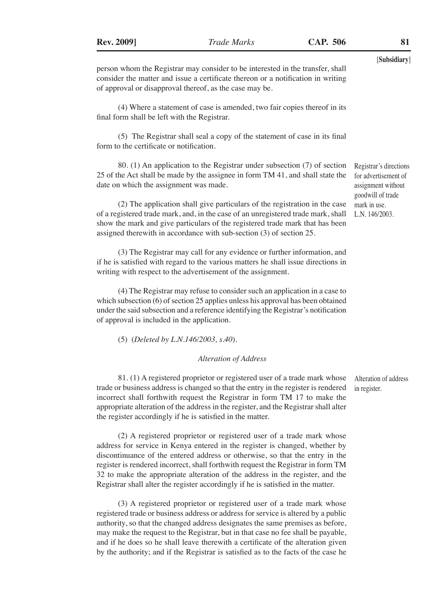(4) Where a statement of case is amended, two fair copies thereof in its final form shall be left with the Registrar.

of approval or disapproval thereof, as the case may be.

(5) The Registrar shall seal a copy of the statement of case in its final form to the certificate or notification.

80. (1) An application to the Registrar under subsection (7) of section 25 of the Act shall be made by the assignee in form TM 41, and shall state the date on which the assignment was made.

(2) The application shall give particulars of the registration in the case of a registered trade mark, and, in the case of an unregistered trade mark, shall show the mark and give particulars of the registered trade mark that has been assigned therewith in accordance with sub-section (3) of section 25.

(3) The Registrar may call for any evidence or further information, and if he is satisfied with regard to the various matters he shall issue directions in writing with respect to the advertisement of the assignment.

(4) The Registrar may refuse to consider such an application in a case to which subsection (6) of section 25 applies unless his approval has been obtained under the said subsection and a reference identifying the Registrar's notification of approval is included in the application.

(5) (*Deleted by L.N.146/2003, s.40*).

#### *Alteration of Address*

81. (1) A registered proprietor or registered user of a trade mark whose trade or business address is changed so that the entry in the register is rendered incorrect shall forthwith request the Registrar in form TM 17 to make the appropriate alteration of the address in the register, and the Registrar shall alter the register accordingly if he is satisfied in the matter.

(2) A registered proprietor or registered user of a trade mark whose address for service in Kenya entered in the register is changed, whether by discontinuance of the entered address or otherwise, so that the entry in the register is rendered incorrect, shall forthwith request the Registrar in form TM 32 to make the appropriate alteration of the address in the register, and the Registrar shall alter the register accordingly if he is satisfied in the matter.

(3) A registered proprietor or registered user of a trade mark whose registered trade or business address or address for service is altered by a public authority, so that the changed address designates the same premises as before, may make the request to the Registrar, but in that case no fee shall be payable, and if he does so he shall leave therewith a certificate of the alteration given by the authority; and if the Registrar is satisfied as to the facts of the case he

Alteration of address in register.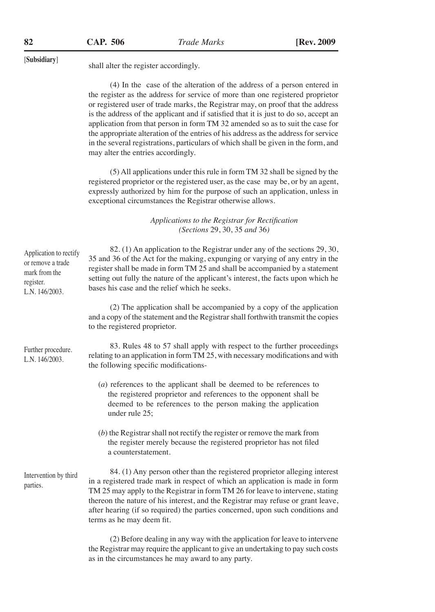| CAP. |  | 506 |  |
|------|--|-----|--|
|      |  |     |  |

[**Subsidiary**] shall alter the register accordingly.

(4) In the case of the alteration of the address of a person entered in the register as the address for service of more than one registered proprietor or registered user of trade marks, the Registrar may, on proof that the address is the address of the applicant and if satisfied that it is just to do so, accept an application from that person in form TM 32 amended so as to suit the case for the appropriate alteration of the entries of his address as the address for service in the several registrations, particulars of which shall be given in the form, and may alter the entries accordingly.

(5) All applications under this rule in form TM 32 shall be signed by the registered proprietor or the registered user, as the case may be, or by an agent, expressly authorized by him for the purpose of such an application, unless in exceptional circumstances the Registrar otherwise allows.

> *Applications to the Registrar for Rectification (Sections* 29, 30, 35 *and* 36*)*

| Application to rectify<br>or remove a trade<br>mark from the<br>register.<br>L.N. 146/2003. | 82. (1) An application to the Registrar under any of the sections 29, 30,<br>35 and 36 of the Act for the making, expunging or varying of any entry in the<br>register shall be made in form TM 25 and shall be accompanied by a statement<br>setting out fully the nature of the applicant's interest, the facts upon which he<br>bases his case and the relief which he seeks.                                                                |
|---------------------------------------------------------------------------------------------|-------------------------------------------------------------------------------------------------------------------------------------------------------------------------------------------------------------------------------------------------------------------------------------------------------------------------------------------------------------------------------------------------------------------------------------------------|
|                                                                                             | (2) The application shall be accompanied by a copy of the application<br>and a copy of the statement and the Registrar shall forthwith transmit the copies<br>to the registered proprietor.                                                                                                                                                                                                                                                     |
| Further procedure.<br>L.N. 146/2003.                                                        | 83. Rules 48 to 57 shall apply with respect to the further proceedings<br>relating to an application in form TM 25, with necessary modifications and with<br>the following specific modifications-                                                                                                                                                                                                                                              |
|                                                                                             | (a) references to the applicant shall be deemed to be references to<br>the registered proprietor and references to the opponent shall be<br>deemed to be references to the person making the application<br>under rule 25;                                                                                                                                                                                                                      |
|                                                                                             | $(b)$ the Registrar shall not rectify the register or remove the mark from<br>the register merely because the registered proprietor has not filed<br>a counterstatement.                                                                                                                                                                                                                                                                        |
| Intervention by third<br>parties.                                                           | 84. (1) Any person other than the registered proprietor alleging interest<br>in a registered trade mark in respect of which an application is made in form<br>TM 25 may apply to the Registrar in form TM 26 for leave to intervene, stating<br>thereon the nature of his interest, and the Registrar may refuse or grant leave,<br>after hearing (if so required) the parties concerned, upon such conditions and<br>terms as he may deem fit. |

(2) Before dealing in any way with the application for leave to intervene the Registrar may require the applicant to give an undertaking to pay such costs as in the circumstances he may award to any party.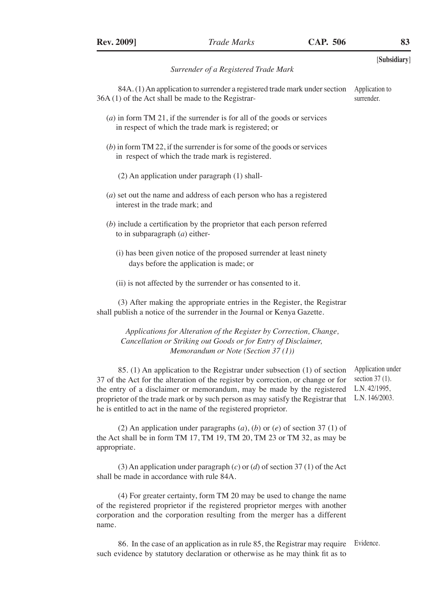|                                                                                                                                                                                                                                                                                                                                                                                              | [Subsidiary]                                                              |
|----------------------------------------------------------------------------------------------------------------------------------------------------------------------------------------------------------------------------------------------------------------------------------------------------------------------------------------------------------------------------------------------|---------------------------------------------------------------------------|
| Surrender of a Registered Trade Mark                                                                                                                                                                                                                                                                                                                                                         |                                                                           |
| 84A. (1) An application to surrender a registered trade mark under section<br>36A (1) of the Act shall be made to the Registrar-                                                                                                                                                                                                                                                             | Application to<br>surrender.                                              |
| $(a)$ in form TM 21, if the surrender is for all of the goods or services<br>in respect of which the trade mark is registered; or                                                                                                                                                                                                                                                            |                                                                           |
| $(b)$ in form TM 22, if the surrender is for some of the goods or services<br>in respect of which the trade mark is registered.                                                                                                                                                                                                                                                              |                                                                           |
| (2) An application under paragraph (1) shall-                                                                                                                                                                                                                                                                                                                                                |                                                                           |
| $(a)$ set out the name and address of each person who has a registered<br>interest in the trade mark: and                                                                                                                                                                                                                                                                                    |                                                                           |
| $(b)$ include a certification by the proprietor that each person referred<br>to in subparagraph $(a)$ either-                                                                                                                                                                                                                                                                                |                                                                           |
| (i) has been given notice of the proposed surrender at least ninety<br>days before the application is made; or                                                                                                                                                                                                                                                                               |                                                                           |
| (ii) is not affected by the surrender or has consented to it.                                                                                                                                                                                                                                                                                                                                |                                                                           |
| (3) After making the appropriate entries in the Register, the Registrar<br>shall publish a notice of the surrender in the Journal or Kenya Gazette.                                                                                                                                                                                                                                          |                                                                           |
| Applications for Alteration of the Register by Correction, Change,<br>Cancellation or Striking out Goods or for Entry of Disclaimer,<br>Memorandum or Note (Section 37(1))                                                                                                                                                                                                                   |                                                                           |
| 85. (1) An application to the Registrar under subsection (1) of section<br>37 of the Act for the alteration of the register by correction, or change or for<br>the entry of a disclaimer or memorandum, may be made by the registered<br>proprietor of the trade mark or by such person as may satisfy the Registrar that<br>he is entitled to act in the name of the registered proprietor. | Application under<br>section $37(1)$ .<br>L.N. 42/1995,<br>L.N. 146/2003. |
| (2) An application under paragraphs $(a)$ , $(b)$ or $(e)$ of section 37 (1) of<br>the Act shall be in form TM 17, TM 19, TM 20, TM 23 or TM 32, as may be<br>appropriate.                                                                                                                                                                                                                   |                                                                           |

(3) An application under paragraph (*c*) or (*d*) of section 37 (1) of the Act shall be made in accordance with rule 84A.

(4) For greater certainty, form TM 20 may be used to change the name of the registered proprietor if the registered proprietor merges with another corporation and the corporation resulting from the merger has a different name.

86. In the case of an application as in rule 85, the Registrar may require such evidence by statutory declaration or otherwise as he may think fit as to Evidence.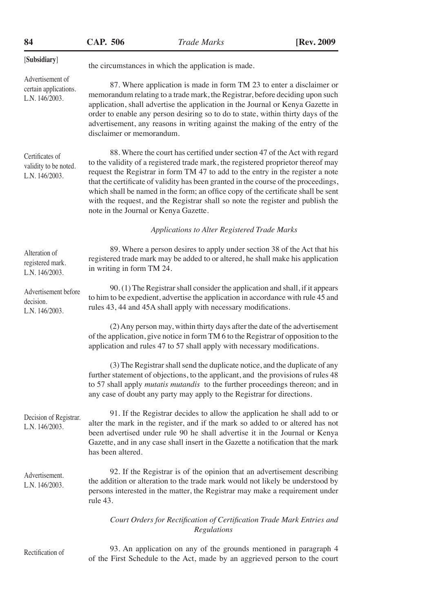| 84                                                          | <b>CAP. 506</b>           | Trade Marks                                                                                                                                                                                                                                                                                                                                                                                                                                                                                                                                             | [Rev. 2009] |
|-------------------------------------------------------------|---------------------------|---------------------------------------------------------------------------------------------------------------------------------------------------------------------------------------------------------------------------------------------------------------------------------------------------------------------------------------------------------------------------------------------------------------------------------------------------------------------------------------------------------------------------------------------------------|-------------|
| [Subsidiary]                                                |                           | the circumstances in which the application is made.                                                                                                                                                                                                                                                                                                                                                                                                                                                                                                     |             |
| Advertisement of<br>certain applications.<br>L.N. 146/2003. | disclaimer or memorandum. | 87. Where application is made in form TM 23 to enter a disclaimer or<br>memorandum relating to a trade mark, the Registrar, before deciding upon such<br>application, shall advertise the application in the Journal or Kenya Gazette in<br>order to enable any person desiring so to do to state, within thirty days of the<br>advertisement, any reasons in writing against the making of the entry of the                                                                                                                                            |             |
| Certificates of<br>validity to be noted.<br>L.N. 146/2003.  |                           | 88. Where the court has certified under section 47 of the Act with regard<br>to the validity of a registered trade mark, the registered proprietor thereof may<br>request the Registrar in form TM 47 to add to the entry in the register a note<br>that the certificate of validity has been granted in the course of the proceedings,<br>which shall be named in the form; an office copy of the certificate shall be sent<br>with the request, and the Registrar shall so note the register and publish the<br>note in the Journal or Kenya Gazette. |             |
|                                                             |                           | Applications to Alter Registered Trade Marks                                                                                                                                                                                                                                                                                                                                                                                                                                                                                                            |             |
| Alteration of<br>registered mark.<br>L.N. 146/2003.         | in writing in form TM 24. | 89. Where a person desires to apply under section 38 of the Act that his<br>registered trade mark may be added to or altered, he shall make his application                                                                                                                                                                                                                                                                                                                                                                                             |             |
| Advertisement before<br>decision.<br>L.N. 146/2003.         |                           | 90. (1) The Registrar shall consider the application and shall, if it appears<br>to him to be expedient, advertise the application in accordance with rule 45 and<br>rules 43, 44 and 45A shall apply with necessary modifications.                                                                                                                                                                                                                                                                                                                     |             |
|                                                             |                           | (2) Any person may, within thirty days after the date of the advertisement<br>of the application, give notice in form TM 6 to the Registrar of opposition to the<br>application and rules 47 to 57 shall apply with necessary modifications.                                                                                                                                                                                                                                                                                                            |             |
|                                                             |                           | (3) The Registrar shall send the duplicate notice, and the duplicate of any<br>further statement of objections, to the applicant, and the provisions of rules 48<br>to 57 shall apply mutatis mutandis to the further proceedings thereon; and in<br>any case of doubt any party may apply to the Registrar for directions.                                                                                                                                                                                                                             |             |
| Decision of Registrar.<br>L.N. 146/2003.                    | has been altered.         | 91. If the Registrar decides to allow the application he shall add to or<br>alter the mark in the register, and if the mark so added to or altered has not<br>been advertised under rule 90 he shall advertise it in the Journal or Kenya<br>Gazette, and in any case shall insert in the Gazette a notification that the mark                                                                                                                                                                                                                          |             |
| Advertisement.<br>L.N. 146/2003.                            | rule 43.                  | 92. If the Registrar is of the opinion that an advertisement describing<br>the addition or alteration to the trade mark would not likely be understood by<br>persons interested in the matter, the Registrar may make a requirement under                                                                                                                                                                                                                                                                                                               |             |
|                                                             |                           | Court Orders for Rectification of Certification Trade Mark Entries and<br>Regulations                                                                                                                                                                                                                                                                                                                                                                                                                                                                   |             |

Rectification of

93. An application on any of the grounds mentioned in paragraph 4 of the First Schedule to the Act, made by an aggrieved person to the court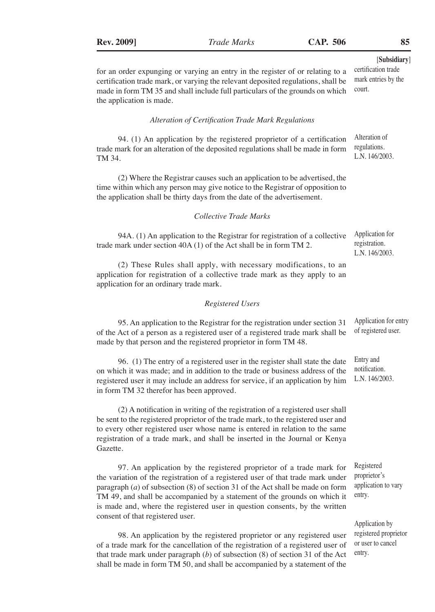TM 34.

Gazette.

for an order expunging or varying an entry in the register of or relating to a certification trade mark, or varying the relevant deposited regulations, shall be

#### made in form TM 35 and shall include full particulars of the grounds on which the application is made. *Alteration of Certification Trade Mark Regulations* 94. (1) An application by the registered proprietor of a certification trade mark for an alteration of the deposited regulations shall be made in form (2) Where the Registrar causes such an application to be advertised, the time within which any person may give notice to the Registrar of opposition to the application shall be thirty days from the date of the advertisement. *Collective Trade Marks* 94A. (1) An application to the Registrar for registration of a collective trade mark under section 40A (1) of the Act shall be in form TM 2. (2) These Rules shall apply, with necessary modifications, to an application for registration of a collective trade mark as they apply to an application for an ordinary trade mark. *Registered Users* 95. An application to the Registrar for the registration under section 31 of the Act of a person as a registered user of a registered trade mark shall be made by that person and the registered proprietor in form TM 48. 96. (1) The entry of a registered user in the register shall state the date on which it was made; and in addition to the trade or business address of the registered user it may include an address for service, if an application by him in form TM 32 therefor has been approved. (2) A notification in writing of the registration of a registered user shall be sent to the registered proprietor of the trade mark, to the registered user and to every other registered user whose name is entered in relation to the same registration of a trade mark, and shall be inserted in the Journal or Kenya 97. An application by the registered proprietor of a trade mark for the variation of the registration of a registered user of that trade mark under paragraph (*a*) of subsection (8) of section 31 of the Act shall be made on form TM 49, and shall be accompanied by a statement of the grounds on which it is made and, where the registered user in question consents, by the written consent of that registered user. 98. An application by the registered proprietor or any registered user of a trade mark for the cancellation of the registration of a registered user of that trade mark under paragraph (*b*) of subsection (8) of section 31 of the Act shall be made in form TM 50, and shall be accompanied by a statement of the court. Alteration of regulations. L.N. 146/2003. Application for registration. L.N. 146/2003. Application for entry of registered user. Entry and notification. L.N. 146/2003. Registered proprietor's application to vary entry. Application by registered proprietor or user to cancel entry.

[**Subsidiary**]

certification trade mark entries by the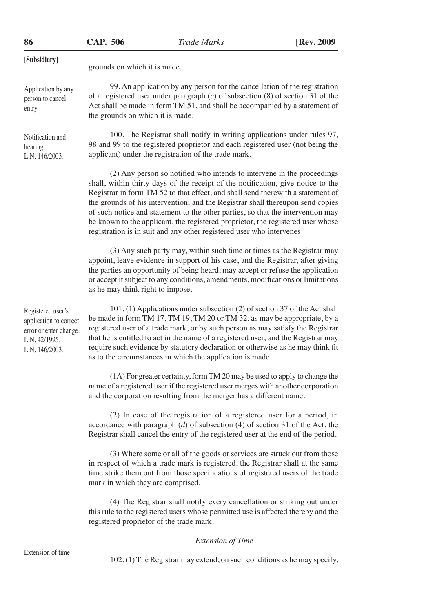| 86                                                                                                       | <b>CAP. 506</b>                                                                                                                                                                                                                                                                     | <b>Trade Marks</b>                                                                                                                                                                                                                                                                                                                                                                                                                                                                                                                                                             | [Rev. 2009] |
|----------------------------------------------------------------------------------------------------------|-------------------------------------------------------------------------------------------------------------------------------------------------------------------------------------------------------------------------------------------------------------------------------------|--------------------------------------------------------------------------------------------------------------------------------------------------------------------------------------------------------------------------------------------------------------------------------------------------------------------------------------------------------------------------------------------------------------------------------------------------------------------------------------------------------------------------------------------------------------------------------|-------------|
| [Subsidiary]                                                                                             | grounds on which it is made.                                                                                                                                                                                                                                                        |                                                                                                                                                                                                                                                                                                                                                                                                                                                                                                                                                                                |             |
| Application by any<br>person to cancel<br>entry.                                                         | 99. An application by any person for the cancellation of the registration<br>of a registered user under paragraph $(c)$ of subsection $(8)$ of section 31 of the<br>Act shall be made in form TM 51, and shall be accompanied by a statement of<br>the grounds on which it is made. |                                                                                                                                                                                                                                                                                                                                                                                                                                                                                                                                                                                |             |
| Notification and<br>hearing.<br>L.N. 146/2003.                                                           | 100. The Registrar shall notify in writing applications under rules 97,<br>98 and 99 to the registered proprietor and each registered user (not being the<br>applicant) under the registration of the trade mark.                                                                   |                                                                                                                                                                                                                                                                                                                                                                                                                                                                                                                                                                                |             |
|                                                                                                          |                                                                                                                                                                                                                                                                                     | (2) Any person so notified who intends to intervene in the proceedings<br>shall, within thirty days of the receipt of the notification, give notice to the<br>Registrar in form TM 52 to that effect, and shall send therewith a statement of<br>the grounds of his intervention; and the Registrar shall thereupon send copies<br>of such notice and statement to the other parties, so that the intervention may<br>be known to the applicant, the registered proprietor, the registered user whose<br>registration is in suit and any other registered user who intervenes. |             |
|                                                                                                          | as he may think right to impose.                                                                                                                                                                                                                                                    | (3) Any such party may, within such time or times as the Registrar may<br>appoint, leave evidence in support of his case, and the Registrar, after giving<br>the parties an opportunity of being heard, may accept or refuse the application<br>or accept it subject to any conditions, amendments, modifications or limitations                                                                                                                                                                                                                                               |             |
| Registered user's<br>application to correct<br>error or enter change.<br>L.N. 42/1995,<br>L.N. 146/2003. |                                                                                                                                                                                                                                                                                     | 101. (1) Applications under subsection (2) of section 37 of the Act shall<br>be made in form TM 17, TM 19, TM 20 or TM 32, as may be appropriate, by a<br>registered user of a trade mark, or by such person as may satisfy the Registrar<br>that he is entitled to act in the name of a registered user; and the Registrar may<br>require such evidence by statutory declaration or otherwise as he may think fit<br>as to the circumstances in which the application is made.                                                                                                |             |
|                                                                                                          |                                                                                                                                                                                                                                                                                     | (1A) For greater certainty, form TM 20 may be used to apply to change the<br>name of a registered user if the registered user merges with another corporation<br>and the corporation resulting from the merger has a different name.                                                                                                                                                                                                                                                                                                                                           |             |
|                                                                                                          |                                                                                                                                                                                                                                                                                     | (2) In case of the registration of a registered user for a period, in<br>accordance with paragraph $(d)$ of subsection $(4)$ of section 31 of the Act, the<br>Registrar shall cancel the entry of the registered user at the end of the period.                                                                                                                                                                                                                                                                                                                                |             |
|                                                                                                          | mark in which they are comprised.                                                                                                                                                                                                                                                   | (3) Where some or all of the goods or services are struck out from those<br>in respect of which a trade mark is registered, the Registrar shall at the same<br>time strike them out from those specifications of registered users of the trade                                                                                                                                                                                                                                                                                                                                 |             |

(4) The Registrar shall notify every cancellation or striking out under this rule to the registered users whose permitted use is affected thereby and the registered proprietor of the trade mark.

## *Extension of Time*

102. (1) The Registrar may extend, on such conditions as he may specify,

Extension of time.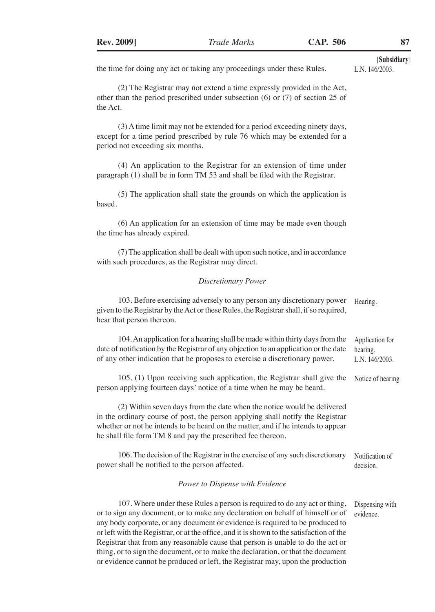the time for doing any act or taking any proceedings under these Rules.

(2) The Registrar may not extend a time expressly provided in the Act, other than the period prescribed under subsection (6) or (7) of section 25 of the Act.

(3) A time limit may not be extended for a period exceeding ninety days, except for a time period prescribed by rule 76 which may be extended for a period not exceeding six months.

(4) An application to the Registrar for an extension of time under paragraph (1) shall be in form TM 53 and shall be filed with the Registrar.

(5) The application shall state the grounds on which the application is based.

(6) An application for an extension of time may be made even though the time has already expired.

(7) The application shall be dealt with upon such notice, and in accordance with such procedures, as the Registrar may direct.

#### *Discretionary Power*

| 103. Before exercising adversely to any person any discretionary power<br>given to the Registrar by the Act or these Rules, the Registrar shall, if so required,<br>hear that person thereon.                                                                                                               | Hearing.                                      |
|-------------------------------------------------------------------------------------------------------------------------------------------------------------------------------------------------------------------------------------------------------------------------------------------------------------|-----------------------------------------------|
| 104. An application for a hearing shall be made within thirty days from the<br>date of notification by the Registrar of any objection to an application or the date<br>of any other indication that he proposes to exercise a discretionary power.                                                          | Application for<br>hearing.<br>L.N. 146/2003. |
| 105. (1) Upon receiving such application, the Registrar shall give the<br>person applying fourteen days' notice of a time when he may be heard.                                                                                                                                                             | Notice of hearing                             |
| (2) Within seven days from the date when the notice would be delivered<br>in the ordinary course of post, the person applying shall notify the Registrar<br>whether or not he intends to be heard on the matter, and if he intends to appear<br>he shall file form TM 8 and pay the prescribed fee thereon. |                                               |
| 106. The decision of the Registrar in the exercise of any such discretionary<br>power shall be notified to the person affected.                                                                                                                                                                             | Notification of<br>decision.                  |
| Power to Dispense with Evidence                                                                                                                                                                                                                                                                             |                                               |

107. Where under these Rules a person is required to do any act or thing, or to sign any document, or to make any declaration on behalf of himself or of any body corporate, or any document or evidence is required to be produced to or left with the Registrar, or at the office, and it is shown to the satisfaction of the Registrar that from any reasonable cause that person is unable to do the act or thing, or to sign the document, or to make the declaration, or that the document or evidence cannot be produced or left, the Registrar may, upon the production Dispensing with evidence.

[**Subsidiary**]

L.N. 146/2003.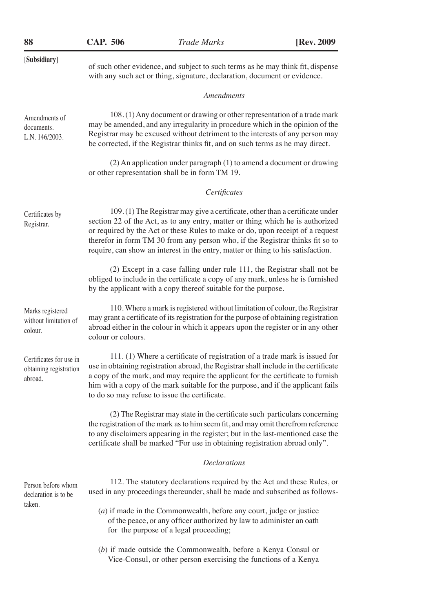| 88                                                           | <b>CAP. 506</b>    | <b>Trade Marks</b>                                                                                                                                                                                                                                                                                                                                                                                                    | [Rev. 2009 |
|--------------------------------------------------------------|--------------------|-----------------------------------------------------------------------------------------------------------------------------------------------------------------------------------------------------------------------------------------------------------------------------------------------------------------------------------------------------------------------------------------------------------------------|------------|
| [Subsidiary]                                                 |                    | of such other evidence, and subject to such terms as he may think fit, dispense<br>with any such act or thing, signature, declaration, document or evidence.                                                                                                                                                                                                                                                          |            |
|                                                              |                    | Amendments                                                                                                                                                                                                                                                                                                                                                                                                            |            |
| Amendments of<br>documents.<br>L.N. 146/2003.                |                    | 108. (1) Any document or drawing or other representation of a trade mark<br>may be amended, and any irregularity in procedure which in the opinion of the<br>Registrar may be excused without detriment to the interests of any person may<br>be corrected, if the Registrar thinks fit, and on such terms as he may direct.                                                                                          |            |
|                                                              |                    | (2) An application under paragraph (1) to amend a document or drawing<br>or other representation shall be in form TM 19.                                                                                                                                                                                                                                                                                              |            |
|                                                              |                    | Certificates                                                                                                                                                                                                                                                                                                                                                                                                          |            |
| Certificates by<br>Registrar.                                |                    | 109.(1) The Registrar may give a certificate, other than a certificate under<br>section 22 of the Act, as to any entry, matter or thing which he is authorized<br>or required by the Act or these Rules to make or do, upon receipt of a request<br>therefor in form TM 30 from any person who, if the Registrar thinks fit so to<br>require, can show an interest in the entry, matter or thing to his satisfaction. |            |
|                                                              |                    | (2) Except in a case falling under rule 111, the Registrar shall not be<br>obliged to include in the certificate a copy of any mark, unless he is furnished<br>by the applicant with a copy thereof suitable for the purpose.                                                                                                                                                                                         |            |
| Marks registered<br>without limitation of<br>colour.         | colour or colours. | 110. Where a mark is registered without limitation of colour, the Registrar<br>may grant a certificate of its registration for the purpose of obtaining registration<br>abroad either in the colour in which it appears upon the register or in any other                                                                                                                                                             |            |
| Certificates for use in<br>obtaining registration<br>abroad. |                    | 111. (1) Where a certificate of registration of a trade mark is issued for<br>use in obtaining registration abroad, the Registrar shall include in the certificate<br>a copy of the mark, and may require the applicant for the certificate to furnish<br>him with a copy of the mark suitable for the purpose, and if the applicant fails<br>to do so may refuse to issue the certificate.                           |            |
|                                                              |                    | (2) The Registrar may state in the certificate such particulars concerning<br>the registration of the mark as to him seem fit, and may omit therefrom reference<br>to any disclaimers appearing in the register; but in the last-mentioned case the<br>certificate shall be marked "For use in obtaining registration abroad only".                                                                                   |            |
|                                                              |                    | <b>Declarations</b>                                                                                                                                                                                                                                                                                                                                                                                                   |            |
| Person before whom<br>declaration is to be                   |                    | 112. The statutory declarations required by the Act and these Rules, or<br>used in any proceedings thereunder, shall be made and subscribed as follows-                                                                                                                                                                                                                                                               |            |
| taken.                                                       |                    | $(a)$ if made in the Commonwealth, before any court, judge or justice<br>of the peace, or any officer authorized by law to administer an oath<br>for the purpose of a legal proceeding;                                                                                                                                                                                                                               |            |
|                                                              |                    | (b) if made outside the Commonwealth, before a Kenya Consul or<br>Vice-Consul, or other person exercising the functions of a Kenya                                                                                                                                                                                                                                                                                    |            |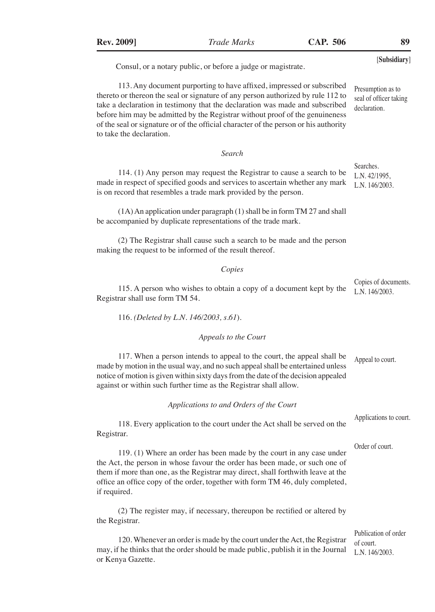| <b>Rev. 2009]</b>               | <b>Trade Marks</b>                                                                                                                                                                                                                                                                                                                                                                                                | <b>CAP. 506</b> | 89                                                          |
|---------------------------------|-------------------------------------------------------------------------------------------------------------------------------------------------------------------------------------------------------------------------------------------------------------------------------------------------------------------------------------------------------------------------------------------------------------------|-----------------|-------------------------------------------------------------|
|                                 | Consul, or a notary public, or before a judge or magistrate.                                                                                                                                                                                                                                                                                                                                                      |                 | [Subsidiary]                                                |
| to take the declaration.        | 113. Any document purporting to have affixed, impressed or subscribed<br>thereto or thereon the seal or signature of any person authorized by rule 112 to<br>take a declaration in testimony that the declaration was made and subscribed<br>before him may be admitted by the Registrar without proof of the genuineness<br>of the seal or signature or of the official character of the person or his authority |                 | Presumption as to<br>seal of officer taking<br>declaration. |
|                                 | Search                                                                                                                                                                                                                                                                                                                                                                                                            |                 |                                                             |
|                                 | 114. (1) Any person may request the Registrar to cause a search to be<br>made in respect of specified goods and services to ascertain whether any mark<br>is on record that resembles a trade mark provided by the person.                                                                                                                                                                                        |                 | Searches.<br>L.N. 42/1995,<br>L.N. 146/2003.                |
|                                 | (1A) An application under paragraph (1) shall be in form TM 27 and shall<br>be accompanied by duplicate representations of the trade mark.                                                                                                                                                                                                                                                                        |                 |                                                             |
|                                 | (2) The Registrar shall cause such a search to be made and the person<br>making the request to be informed of the result thereof.                                                                                                                                                                                                                                                                                 |                 |                                                             |
|                                 | Copies                                                                                                                                                                                                                                                                                                                                                                                                            |                 |                                                             |
| Registrar shall use form TM 54. | 115. A person who wishes to obtain a copy of a document kept by the                                                                                                                                                                                                                                                                                                                                               |                 | Copies of documents.<br>L.N. 146/2003.                      |
|                                 | 116. (Deleted by L.N. 146/2003, s.61).                                                                                                                                                                                                                                                                                                                                                                            |                 |                                                             |
|                                 | Appeals to the Court                                                                                                                                                                                                                                                                                                                                                                                              |                 |                                                             |
|                                 | 117. When a person intends to appeal to the court, the appeal shall be<br>made by motion in the usual way, and no such appeal shall be entertained unless<br>notice of motion is given within sixty days from the date of the decision appealed<br>against or within such further time as the Registrar shall allow.                                                                                              |                 | Appeal to court.                                            |
|                                 | Applications to and Orders of the Court                                                                                                                                                                                                                                                                                                                                                                           |                 |                                                             |
| Registrar.                      | 118. Every application to the court under the Act shall be served on the                                                                                                                                                                                                                                                                                                                                          |                 | Applications to court.                                      |
| if required.                    | 119. (1) Where an order has been made by the court in any case under<br>the Act, the person in whose favour the order has been made, or such one of<br>them if more than one, as the Registrar may direct, shall forthwith leave at the<br>office an office copy of the order, together with form TM 46, duly completed,                                                                                          |                 | Order of court.                                             |
| the Registrar.                  | (2) The register may, if necessary, thereupon be rectified or altered by                                                                                                                                                                                                                                                                                                                                          |                 |                                                             |
| or Kenya Gazette.               | 120. Whenever an order is made by the court under the Act, the Registrar<br>may, if he thinks that the order should be made public, publish it in the Journal                                                                                                                                                                                                                                                     |                 | Publication of order<br>of court.<br>L.N. 146/2003.         |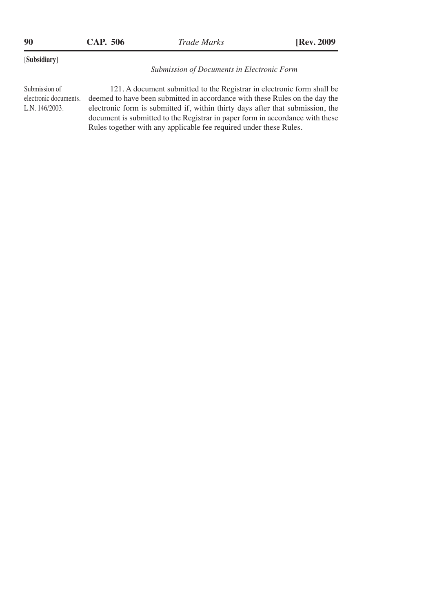| 90                                                                                                                                                                                                                                                                                                                                                                                                                                                            | CAP. 506 |  | <i>Trade Marks</i>                                | [Rev. 2009] |
|---------------------------------------------------------------------------------------------------------------------------------------------------------------------------------------------------------------------------------------------------------------------------------------------------------------------------------------------------------------------------------------------------------------------------------------------------------------|----------|--|---------------------------------------------------|-------------|
| [Subsidiary]                                                                                                                                                                                                                                                                                                                                                                                                                                                  |          |  | <b>Submission of Documents in Electronic Form</b> |             |
| Submission of<br>121. A document submitted to the Registrar in electronic form shall be<br>electronic documents.<br>deemed to have been submitted in accordance with these Rules on the day the<br>electronic form is submitted if, within thirty days after that submission, the<br>L.N. $146/2003$ .<br>document is submitted to the Registrar in paper form in accordance with these<br>Rules together with any applicable fee required under these Rules. |          |  |                                                   |             |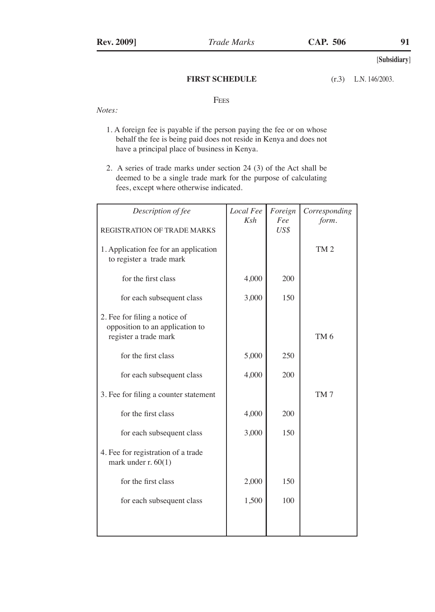## **FIRST SCHEDULE**

L.N. 146/2003.

# **FEES**

*Notes:*

- 1. A foreign fee is payable if the person paying the fee or on whose behalf the fee is being paid does not reside in Kenya and does not have a principal place of business in Kenya.
- 2. A series of trade marks under section 24 (3) of the Act shall be deemed to be a single trade mark for the purpose of calculating fees, except where otherwise indicated.

| Description of fee                                                                        | Local Fee | Foreign     | Corresponding   |
|-------------------------------------------------------------------------------------------|-----------|-------------|-----------------|
| REGISTRATION OF TRADE MARKS                                                               | Ksh       | Fee<br>US\$ | form.           |
| 1. Application fee for an application<br>to register a trade mark                         |           |             | TM <sub>2</sub> |
| for the first class                                                                       | 4,000     | 200         |                 |
| for each subsequent class                                                                 | 3,000     | 150         |                 |
| 2. Fee for filing a notice of<br>opposition to an application to<br>register a trade mark |           |             | TM <sub>6</sub> |
| for the first class                                                                       | 5,000     | 250         |                 |
| for each subsequent class                                                                 | 4,000     | 200         |                 |
| 3. Fee for filing a counter statement                                                     |           |             | TM7             |
| for the first class                                                                       | 4,000     | 200         |                 |
| for each subsequent class                                                                 | 3,000     | 150         |                 |
| 4. Fee for registration of a trade<br>mark under $r. 60(1)$                               |           |             |                 |
| for the first class                                                                       | 2,000     | 150         |                 |
| for each subsequent class                                                                 | 1,500     | 100         |                 |
|                                                                                           |           |             |                 |
|                                                                                           |           |             |                 |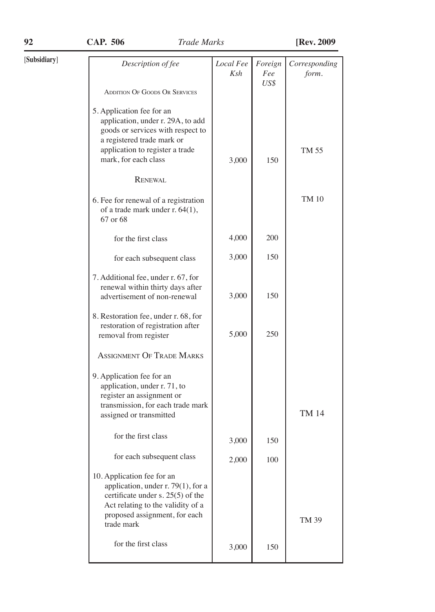| [Subsidiary] | Description of fee                                                                                                                                                                           | Local Fee<br>Ksh | Foreign<br>Fee | Corresponding<br>form. |
|--------------|----------------------------------------------------------------------------------------------------------------------------------------------------------------------------------------------|------------------|----------------|------------------------|
|              | <b>ADDITION OF GOODS OR SERVICES</b>                                                                                                                                                         |                  | US\$           |                        |
|              |                                                                                                                                                                                              |                  |                |                        |
|              | 5. Application fee for an<br>application, under r. 29A, to add<br>goods or services with respect to<br>a registered trade mark or<br>application to register a trade<br>mark, for each class | 3,000            | 150            | TM 55                  |
|              | <b>RENEWAL</b>                                                                                                                                                                               |                  |                |                        |
|              | 6. Fee for renewal of a registration<br>of a trade mark under r. 64(1),<br>67 or 68                                                                                                          |                  |                | TM 10                  |
|              | for the first class                                                                                                                                                                          | 4,000            | 200            |                        |
|              | for each subsequent class                                                                                                                                                                    | 3,000            | 150            |                        |
|              | 7. Additional fee, under r. 67, for<br>renewal within thirty days after<br>advertisement of non-renewal                                                                                      | 3,000            | 150            |                        |
|              | 8. Restoration fee, under r. 68, for<br>restoration of registration after<br>removal from register                                                                                           | 5,000            | 250            |                        |
|              | <b>ASSIGNMENT OF TRADE MARKS</b>                                                                                                                                                             |                  |                |                        |
|              | 9. Application fee for an<br>application, under r. 71, to<br>register an assignment or<br>transmission, for each trade mark<br>assigned or transmitted                                       |                  |                | <b>TM 14</b>           |
|              | for the first class                                                                                                                                                                          | 3,000            | 150            |                        |
|              | for each subsequent class                                                                                                                                                                    | 2,000            | 100            |                        |
|              | 10. Application fee for an<br>application, under r. 79(1), for a<br>certificate under s. 25(5) of the<br>Act relating to the validity of a<br>proposed assignment, for each<br>trade mark    |                  |                | TM 39                  |
|              | for the first class                                                                                                                                                                          | 3,000            | 150            |                        |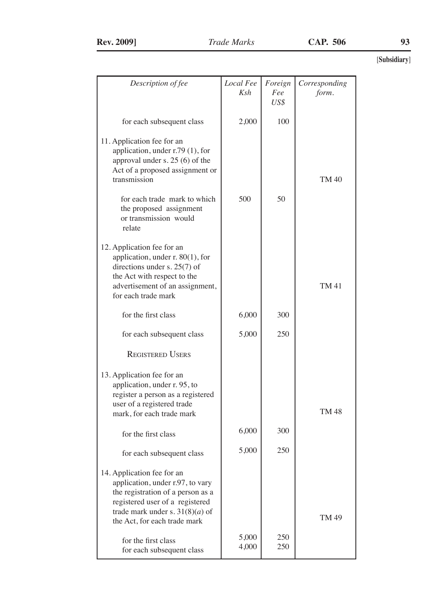| Description of fee                                                                                                                                                                                          | Local Fee<br>Ksh | Foreign<br>Fee<br>US\$ | Corresponding<br>form. |
|-------------------------------------------------------------------------------------------------------------------------------------------------------------------------------------------------------------|------------------|------------------------|------------------------|
| for each subsequent class                                                                                                                                                                                   | 2,000            | 100                    |                        |
| 11. Application fee for an<br>application, under r.79 (1), for<br>approval under s. 25 (6) of the<br>Act of a proposed assignment or<br>transmission                                                        |                  |                        | TM 40                  |
| for each trade mark to which<br>the proposed assignment<br>or transmission would<br>relate                                                                                                                  | 500              | 50                     |                        |
| 12. Application fee for an<br>application, under $r. 80(1)$ , for<br>directions under s. $25(7)$ of<br>the Act with respect to the<br>advertisement of an assignment,<br>for each trade mark                |                  |                        | TM 41                  |
| for the first class                                                                                                                                                                                         | 6,000            | 300                    |                        |
| for each subsequent class                                                                                                                                                                                   | 5,000            | 250                    |                        |
| <b>REGISTERED USERS</b>                                                                                                                                                                                     |                  |                        |                        |
| 13. Application fee for an<br>application, under r. 95, to<br>register a person as a registered<br>user of a registered trade<br>mark, for each trade mark                                                  |                  |                        | TM 48                  |
| for the first class                                                                                                                                                                                         | 6,000            | 300                    |                        |
| for each subsequent class                                                                                                                                                                                   | 5,000            | 250                    |                        |
| 14. Application fee for an<br>application, under r.97, to vary<br>the registration of a person as a<br>registered user of a registered<br>trade mark under s. $31(8)(a)$ of<br>the Act, for each trade mark |                  |                        | TM 49                  |
| for the first class<br>for each subsequent class                                                                                                                                                            | 5,000<br>4,000   | 250<br>250             |                        |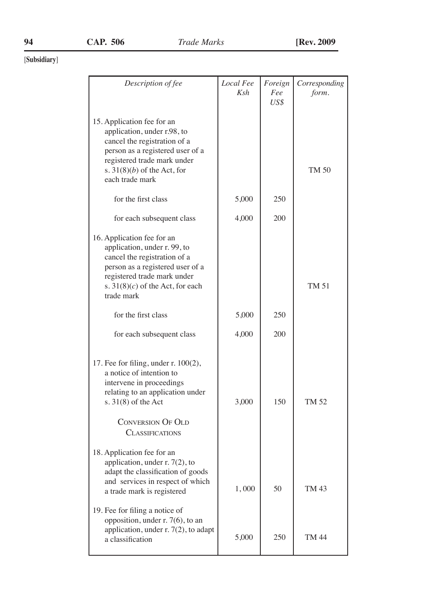| Description of fee                                                                                                                                                                                                                              | Local Fee | Foreign     | Corresponding |
|-------------------------------------------------------------------------------------------------------------------------------------------------------------------------------------------------------------------------------------------------|-----------|-------------|---------------|
|                                                                                                                                                                                                                                                 | Ksh       | Fee<br>US\$ | form.         |
| 15. Application fee for an<br>application, under r.98, to<br>cancel the registration of a<br>person as a registered user of a<br>registered trade mark under<br>s. $31(8)(b)$ of the Act, for<br>each trade mark                                |           |             | TM 50         |
| for the first class                                                                                                                                                                                                                             | 5,000     | 250         |               |
| for each subsequent class                                                                                                                                                                                                                       | 4,000     | 200         |               |
| 16. Application fee for an<br>application, under r. 99, to<br>cancel the registration of a<br>person as a registered user of a<br>registered trade mark under<br>s. $31(8)(c)$ of the Act, for each<br>trade mark                               |           |             | TM 51         |
| for the first class                                                                                                                                                                                                                             | 5,000     | 250         |               |
| for each subsequent class                                                                                                                                                                                                                       | 4,000     | 200         |               |
| 17. Fee for filing, under $r. 100(2)$ ,<br>a notice of intention to<br>intervene in proceedings<br>relating to an application under<br>s. $31(8)$ of the Act<br><b>CONVERSION OF OLD</b><br><b>CLASSIFICATIONS</b>                              | 3,000     | 150         | TM 52         |
| 18. Application fee for an<br>application, under $r. 7(2)$ , to<br>adapt the classification of goods<br>and services in respect of which<br>a trade mark is registered<br>19. Fee for filing a notice of<br>opposition, under $r$ . 7(6), to an | 1,000     | 50          | TM 43         |
| application, under r. 7(2), to adapt<br>a classification                                                                                                                                                                                        | 5,000     | 250         | TM 44         |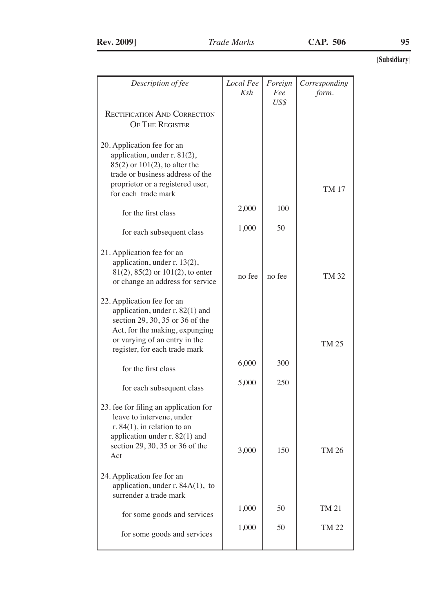| Description of fee                    | Local Fee | Foreign | Corresponding |
|---------------------------------------|-----------|---------|---------------|
|                                       | Ksh       | Fee     | form.         |
|                                       |           | US\$    |               |
| <b>RECTIFICATION AND CORRECTION</b>   |           |         |               |
| <b>OF THE REGISTER</b>                |           |         |               |
|                                       |           |         |               |
|                                       |           |         |               |
| 20. Application fee for an            |           |         |               |
| application, under r. 81(2),          |           |         |               |
| 85(2) or 101(2), to alter the         |           |         |               |
| trade or business address of the      |           |         |               |
| proprietor or a registered user,      |           |         |               |
| for each trade mark                   |           |         | TM 17         |
|                                       |           |         |               |
| for the first class                   | 2,000     | 100     |               |
|                                       |           |         |               |
|                                       | 1,000     | 50      |               |
| for each subsequent class             |           |         |               |
|                                       |           |         |               |
| 21. Application fee for an            |           |         |               |
| application, under r. 13(2),          |           |         |               |
| 81(2), 85(2) or 101(2), to enter      |           |         |               |
| or change an address for service      | no fee    | no fee  | TM 32         |
|                                       |           |         |               |
| 22. Application fee for an            |           |         |               |
| application, under r. 82(1) and       |           |         |               |
| section 29, 30, 35 or 36 of the       |           |         |               |
|                                       |           |         |               |
| Act, for the making, expunging        |           |         |               |
| or varying of an entry in the         |           |         | TM 25         |
| register, for each trade mark         |           |         |               |
|                                       | 6,000     | 300     |               |
| for the first class                   |           |         |               |
|                                       | 5,000     | 250     |               |
| for each subsequent class             |           |         |               |
|                                       |           |         |               |
| 23. fee for filing an application for |           |         |               |
| leave to intervene, under             |           |         |               |
| r. $84(1)$ , in relation to an        |           |         |               |
| application under r. 82(1) and        |           |         |               |
| section 29, 30, 35 or 36 of the       |           |         |               |
| Act                                   | 3,000     | 150     | TM 26         |
|                                       |           |         |               |
|                                       |           |         |               |
| 24. Application fee for an            |           |         |               |
| application, under r. 84A(1), to      |           |         |               |
| surrender a trade mark                |           |         |               |
|                                       | 1,000     | 50      | TM 21         |
| for some goods and services           |           |         |               |
|                                       | 1,000     | 50      | <b>TM 22</b>  |
| for some goods and services           |           |         |               |
|                                       |           |         |               |
|                                       |           |         |               |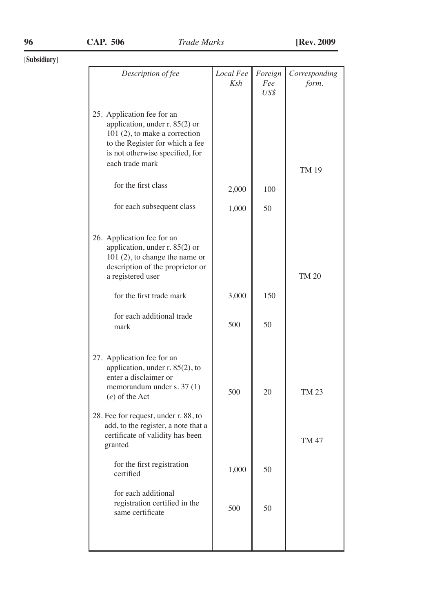| Description of fee                                                                                                                                                                                                                                          | Local Fee<br>Ksh | Foreign<br>Fee<br>US\$ | Corresponding<br>form. |
|-------------------------------------------------------------------------------------------------------------------------------------------------------------------------------------------------------------------------------------------------------------|------------------|------------------------|------------------------|
| 25. Application fee for an<br>application, under r. 85(2) or<br>$101(2)$ , to make a correction<br>to the Register for which a fee<br>is not otherwise specified, for<br>each trade mark                                                                    |                  |                        | TM 19                  |
| for the first class                                                                                                                                                                                                                                         | 2,000            | 100                    |                        |
| for each subsequent class                                                                                                                                                                                                                                   | 1,000            | 50                     |                        |
| 26. Application fee for an<br>application, under r. 85(2) or<br>$101(2)$ , to change the name or<br>description of the proprietor or<br>a registered user                                                                                                   |                  |                        | TM 20                  |
| for the first trade mark                                                                                                                                                                                                                                    | 3,000            | 150                    |                        |
| for each additional trade<br>mark                                                                                                                                                                                                                           | 500              | 50                     |                        |
| 27. Application fee for an<br>application, under r. 85(2), to<br>enter a disclaimer or<br>memorandum under s. 37 (1)<br>$(e)$ of the Act<br>28. Fee for request, under r. 88, to<br>add, to the register, a note that a<br>certificate of validity has been | 500              | 20                     | TM 23                  |
| granted                                                                                                                                                                                                                                                     |                  |                        | <b>TM 47</b>           |
| for the first registration<br>certified                                                                                                                                                                                                                     | 1,000            | 50                     |                        |
| for each additional<br>registration certified in the<br>same certificate                                                                                                                                                                                    | 500              | 50                     |                        |
|                                                                                                                                                                                                                                                             |                  |                        |                        |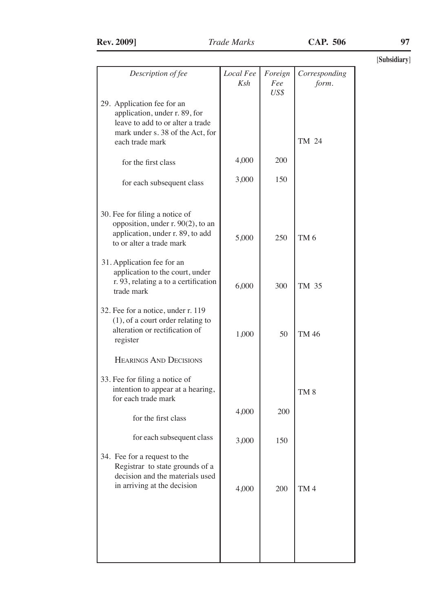|  | <b>Rev. 2009</b> |
|--|------------------|
|--|------------------|

| Description of fee                                                                                                                  | Local Fee<br>Ksh | Foreign<br>Fee<br>US\$ | Corresponding<br>form. |
|-------------------------------------------------------------------------------------------------------------------------------------|------------------|------------------------|------------------------|
| 29. Application fee for an<br>application, under r. 89, for<br>leave to add to or alter a trade<br>mark under s. 38 of the Act, for |                  |                        |                        |
| each trade mark                                                                                                                     |                  |                        | TM 24                  |
| for the first class                                                                                                                 | 4,000            | 200                    |                        |
| for each subsequent class                                                                                                           | 3,000            | 150                    |                        |
| 30. Fee for filing a notice of<br>opposition, under r. 90(2), to an<br>application, under r. 89, to add<br>to or alter a trade mark | 5,000            | 250                    | TM <sub>6</sub>        |
| 31. Application fee for an<br>application to the court, under<br>r. 93, relating a to a certification<br>trade mark                 | 6,000            | 300                    | TM 35                  |
| 32. Fee for a notice, under r. 119<br>$(1)$ , of a court order relating to<br>alteration or rectification of<br>register            | 1,000            | 50                     | TM 46                  |
| <b>HEARINGS AND DECISIONS</b>                                                                                                       |                  |                        |                        |
| 33. Fee for filing a notice of<br>intention to appear at a hearing,<br>for each trade mark                                          |                  |                        | TM <sub>8</sub>        |
| for the first class                                                                                                                 | 4,000            | 200                    |                        |
| for each subsequent class                                                                                                           | 3,000            | 150                    |                        |
| 34. Fee for a request to the<br>Registrar to state grounds of a<br>decision and the materials used<br>in arriving at the decision   | 4,000            | 200                    | TM <sub>4</sub>        |
|                                                                                                                                     |                  |                        |                        |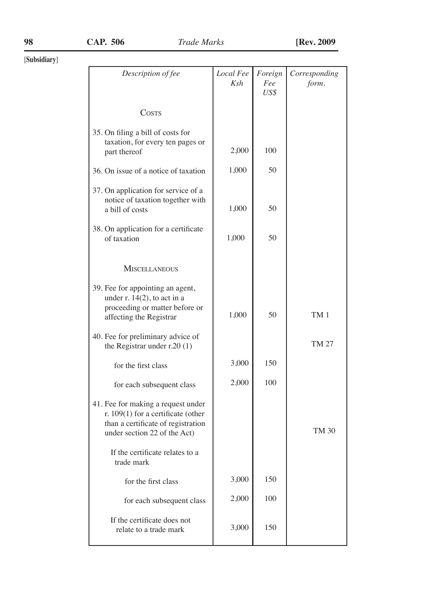Ī

| Description of fee                                                                                                                             | Local Fee<br>Ksh | Foreign<br>Fee<br>US\$ | Corresponding<br>form. |
|------------------------------------------------------------------------------------------------------------------------------------------------|------------------|------------------------|------------------------|
| COSTS                                                                                                                                          |                  |                        |                        |
| 35. On filing a bill of costs for<br>taxation, for every ten pages or<br>part thereof                                                          | 2,000            | 100                    |                        |
| 36. On issue of a notice of taxation                                                                                                           | 1,000            | 50                     |                        |
| 37. On application for service of a<br>notice of taxation together with<br>a bill of costs                                                     | 1,000            | 50                     |                        |
| 38. On application for a certificate<br>of taxation                                                                                            | 1,000            | 50                     |                        |
| <b>MISCELLANEOUS</b>                                                                                                                           |                  |                        |                        |
| 39. Fee for appointing an agent,<br>under $r. 14(2)$ , to act in a<br>proceeding or matter before or<br>affecting the Registrar                | 1,000            | 50                     | TM 1                   |
| 40. Fee for preliminary advice of<br>the Registrar under r.20 (1)                                                                              |                  |                        | TM 27                  |
| for the first class                                                                                                                            | 3,000            | 150                    |                        |
| for each subsequent class                                                                                                                      | 2,000            | 100                    |                        |
| 41. Fee for making a request under<br>r. 109(1) for a certificate (other<br>than a certificate of registration<br>under section 22 of the Act) |                  |                        | TM 30                  |
| If the certificate relates to a<br>trade mark                                                                                                  |                  |                        |                        |
| for the first class                                                                                                                            | 3,000            | 150                    |                        |
| for each subsequent class                                                                                                                      | 2,000            | 100                    |                        |
| If the certificate does not<br>relate to a trade mark                                                                                          | 3,000            | 150                    |                        |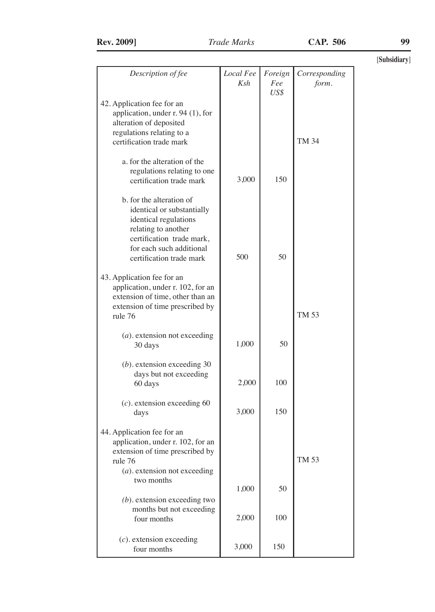| Description of fee                                                                                                                                                                          | Local Fee<br>Ksh | Foreign<br>Fee<br>US\$ | Corresponding<br>form. |
|---------------------------------------------------------------------------------------------------------------------------------------------------------------------------------------------|------------------|------------------------|------------------------|
| 42. Application fee for an<br>application, under r. 94 (1), for<br>alteration of deposited<br>regulations relating to a<br>certification trade mark                                         |                  |                        | <b>TM 34</b>           |
| a, for the alteration of the<br>regulations relating to one<br>certification trade mark                                                                                                     | 3,000            | 150                    |                        |
| b. for the alteration of<br>identical or substantially<br>identical regulations<br>relating to another<br>certification trade mark.<br>for each such additional<br>certification trade mark | 500              | 50                     |                        |
| 43. Application fee for an<br>application, under r. 102, for an<br>extension of time, other than an<br>extension of time prescribed by<br>rule 76                                           |                  |                        | TM 53                  |
| $(a)$ . extension not exceeding<br>30 days                                                                                                                                                  | 1,000            | 50                     |                        |
| $(b)$ . extension exceeding 30<br>days but not exceeding<br>60 days                                                                                                                         | 2,000            | 100                    |                        |
| $(c)$ . extension exceeding 60<br>days                                                                                                                                                      | 3,000            | 150                    |                        |
| 44. Application fee for an<br>application, under r. 102, for an<br>extension of time prescribed by<br>rule 76<br>$(a)$ . extension not exceeding                                            |                  |                        | TM 53                  |
| two months                                                                                                                                                                                  | 1,000            | 50                     |                        |
| $(b)$ . extension exceeding two<br>months but not exceeding<br>four months                                                                                                                  | 2,000            | 100                    |                        |
| $(c)$ . extension exceeding<br>four months                                                                                                                                                  | 3,000            | 150                    |                        |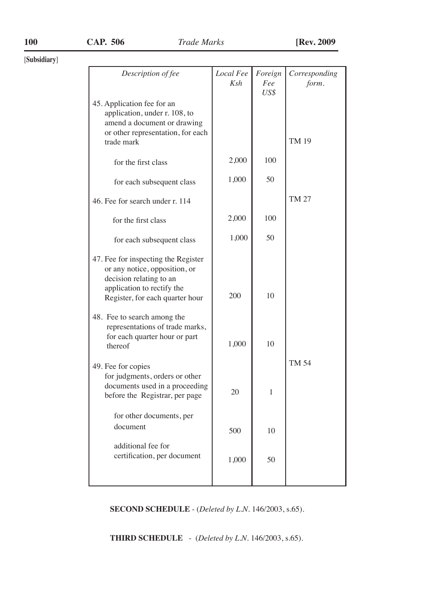| Description of fee                                                                                                                                               | Local Fee | Foreign     | Corresponding |
|------------------------------------------------------------------------------------------------------------------------------------------------------------------|-----------|-------------|---------------|
|                                                                                                                                                                  | Ksh       | Fee<br>US\$ | form.         |
| 45. Application fee for an<br>application, under r. 108, to<br>amend a document or drawing<br>or other representation, for each                                  |           |             |               |
| trade mark                                                                                                                                                       |           |             | <b>TM 19</b>  |
| for the first class                                                                                                                                              | 2,000     | 100         |               |
| for each subsequent class                                                                                                                                        | 1,000     | 50          |               |
| 46. Fee for search under r. 114                                                                                                                                  |           |             | TM 27         |
| for the first class                                                                                                                                              | 2,000     | 100         |               |
| for each subsequent class                                                                                                                                        | 1,000     | 50          |               |
| 47. Fee for inspecting the Register<br>or any notice, opposition, or<br>decision relating to an<br>application to rectify the<br>Register, for each quarter hour | 200       | 10          |               |
| 48. Fee to search among the<br>representations of trade marks,<br>for each quarter hour or part<br>thereof                                                       | 1,000     | 10          |               |
| 49. Fee for copies<br>for judgments, orders or other<br>documents used in a proceeding<br>before the Registrar, per page                                         | 20        | 1           | TM 54         |
| for other documents, per<br>document                                                                                                                             | 500       | 10          |               |
| additional fee for<br>certification, per document                                                                                                                | 1,000     | 50          |               |
|                                                                                                                                                                  |           |             |               |

**SECOND SCHEDULE** - (*Deleted by L.N.* 146/2003, s.65).

**THIRD SCHEDULE** - (*Deleted by L.N.* 146/2003, s.65).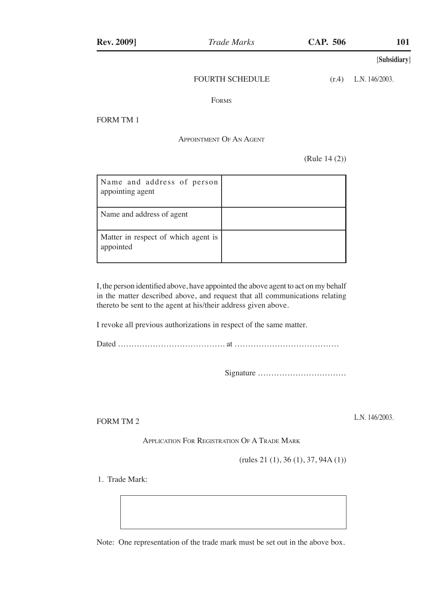#### FOURTH SCHEDULE

 $(r.4)$  L.N. 146/2003.

Forms

FORM TM 1

## Appointment Of An Agent

(Rule 14 (2))

| Name and address of person<br>appointing agent   |  |
|--------------------------------------------------|--|
| Name and address of agent                        |  |
| Matter in respect of which agent is<br>appointed |  |

I, the person identified above, have appointed the above agent to act on my behalf in the matter described above, and request that all communications relating thereto be sent to the agent at his/their address given above.

I revoke all previous authorizations in respect of the same matter.

Dated …………………………………. at …………………………………

Signature ……………………………

FORM TM 2

L.N. 146/2003.

Application For Registration Of A Trade Mark

(rules 21 (1), 36 (1), 37, 94A (1))

1. Trade Mark:

Note: One representation of the trade mark must be set out in the above box.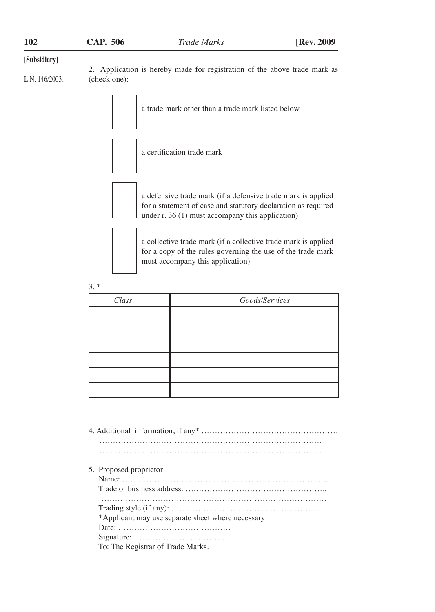| 102            | CAP. 506     | Trade Marks                                                                                                                                                                        | [Rev. 2009] |
|----------------|--------------|------------------------------------------------------------------------------------------------------------------------------------------------------------------------------------|-------------|
| [Subsidiary]   |              |                                                                                                                                                                                    |             |
| L.N. 146/2003. | (check one): | 2. Application is hereby made for registration of the above trade mark as                                                                                                          |             |
|                |              | a trade mark other than a trade mark listed below                                                                                                                                  |             |
|                |              | a certification trade mark                                                                                                                                                         |             |
|                |              | a defensive trade mark (if a defensive trade mark is applied<br>for a statement of case and statutory declaration as required<br>under $r. 36(1)$ must accompany this application) |             |
|                |              | a collective trade mark (if a collective trade mark is applied<br>for a copy of the rules governing the use of the trade mark<br>must accompany this application)                  |             |
|                | $3.*$        |                                                                                                                                                                                    |             |

| Class | Goods/Services |
|-------|----------------|
|       |                |
|       |                |
|       |                |
|       |                |
|       |                |
|       |                |

- 4. Additional information, if any\* …………………………………………… ………………………………………………………………………… …………………………………………………………………………
- 5. Proposed proprietor

| *Applicant may use separate sheet where necessary |
|---------------------------------------------------|
|                                                   |
|                                                   |
| To: The Registrar of Trade Marks.                 |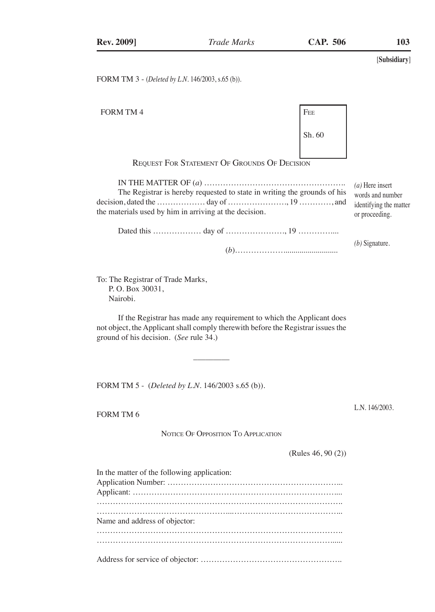FORM TM 3 - (*Deleted by L.N.* 146/2003, s.65 (b)).

[**Subsidiary**] FORM TM 4 FEE Sh. 60 Request For Statement Of Grounds Of Decision IN THE MATTER OF (*a*) …………………………………………….. The Registrar is hereby requested to state in writing the grounds of his decision, dated the ……………… day of …………………., 19 …………, and the materials used by him in arriving at the decision. Dated this ……………… day of …………………., 19 ………….... (*b*)………………........................... *(a)* Here insert words and number identifying the matter or proceeding. *(b)* Signature.

If the Registrar has made any requirement to which the Applicant does not object, the Applicant shall comply therewith before the Registrar issues the ground of his decision. (*See* rule 34.)

FORM TM 5 - (*Deleted by L.N.* 146/2003 s.65 (b)).

 $\mathcal{L}_\text{max}$  and  $\mathcal{L}_\text{max}$  and  $\mathcal{L}_\text{max}$ 

To: The Registrar of Trade Marks,

 P. O. Box 30031, Nairobi.

FORM TM 6

NOTICE OF OPPOSITION TO APPLICATION

(Rules 46, 90 (2))

L.N. 146/2003.

| In the matter of the following application: |
|---------------------------------------------|
|                                             |
|                                             |
|                                             |
| Name and address of objector:               |
|                                             |
|                                             |
|                                             |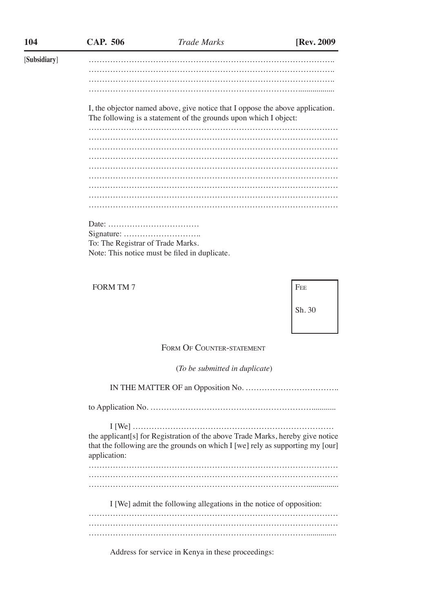| 104          | CAP. 506                                                                                                                                                                         | <b>Trade Marks</b>                                                                                                                                | [Rev. 2009] |  |  |  |  |  |  |  |  |  |  |  |
|--------------|----------------------------------------------------------------------------------------------------------------------------------------------------------------------------------|---------------------------------------------------------------------------------------------------------------------------------------------------|-------------|--|--|--|--|--|--|--|--|--|--|--|
| [Subsidiary] |                                                                                                                                                                                  |                                                                                                                                                   |             |  |  |  |  |  |  |  |  |  |  |  |
|              |                                                                                                                                                                                  |                                                                                                                                                   |             |  |  |  |  |  |  |  |  |  |  |  |
|              |                                                                                                                                                                                  |                                                                                                                                                   |             |  |  |  |  |  |  |  |  |  |  |  |
|              |                                                                                                                                                                                  |                                                                                                                                                   |             |  |  |  |  |  |  |  |  |  |  |  |
|              |                                                                                                                                                                                  | I, the objector named above, give notice that I oppose the above application.<br>The following is a statement of the grounds upon which I object: |             |  |  |  |  |  |  |  |  |  |  |  |
|              |                                                                                                                                                                                  |                                                                                                                                                   |             |  |  |  |  |  |  |  |  |  |  |  |
|              |                                                                                                                                                                                  |                                                                                                                                                   |             |  |  |  |  |  |  |  |  |  |  |  |
|              |                                                                                                                                                                                  |                                                                                                                                                   |             |  |  |  |  |  |  |  |  |  |  |  |
|              |                                                                                                                                                                                  |                                                                                                                                                   |             |  |  |  |  |  |  |  |  |  |  |  |
|              |                                                                                                                                                                                  |                                                                                                                                                   |             |  |  |  |  |  |  |  |  |  |  |  |
|              |                                                                                                                                                                                  |                                                                                                                                                   |             |  |  |  |  |  |  |  |  |  |  |  |
|              |                                                                                                                                                                                  |                                                                                                                                                   |             |  |  |  |  |  |  |  |  |  |  |  |
|              |                                                                                                                                                                                  |                                                                                                                                                   |             |  |  |  |  |  |  |  |  |  |  |  |
|              |                                                                                                                                                                                  |                                                                                                                                                   |             |  |  |  |  |  |  |  |  |  |  |  |
|              |                                                                                                                                                                                  |                                                                                                                                                   |             |  |  |  |  |  |  |  |  |  |  |  |
|              |                                                                                                                                                                                  |                                                                                                                                                   |             |  |  |  |  |  |  |  |  |  |  |  |
|              | To: The Registrar of Trade Marks.                                                                                                                                                |                                                                                                                                                   |             |  |  |  |  |  |  |  |  |  |  |  |
|              |                                                                                                                                                                                  | Note: This notice must be filed in duplicate.                                                                                                     |             |  |  |  |  |  |  |  |  |  |  |  |
|              |                                                                                                                                                                                  |                                                                                                                                                   |             |  |  |  |  |  |  |  |  |  |  |  |
|              | <b>FORM TM 7</b>                                                                                                                                                                 |                                                                                                                                                   | FEE         |  |  |  |  |  |  |  |  |  |  |  |
|              |                                                                                                                                                                                  |                                                                                                                                                   | Sh. 30      |  |  |  |  |  |  |  |  |  |  |  |
|              |                                                                                                                                                                                  |                                                                                                                                                   |             |  |  |  |  |  |  |  |  |  |  |  |
|              |                                                                                                                                                                                  |                                                                                                                                                   |             |  |  |  |  |  |  |  |  |  |  |  |
|              |                                                                                                                                                                                  | FORM OF COUNTER-STATEMENT                                                                                                                         |             |  |  |  |  |  |  |  |  |  |  |  |
|              |                                                                                                                                                                                  | (To be submitted in duplicate)                                                                                                                    |             |  |  |  |  |  |  |  |  |  |  |  |
|              |                                                                                                                                                                                  |                                                                                                                                                   |             |  |  |  |  |  |  |  |  |  |  |  |
|              |                                                                                                                                                                                  |                                                                                                                                                   |             |  |  |  |  |  |  |  |  |  |  |  |
|              | the applicant[s] for Registration of the above Trade Marks, hereby give notice<br>that the following are the grounds on which I [we] rely as supporting my [our]<br>application: |                                                                                                                                                   |             |  |  |  |  |  |  |  |  |  |  |  |
|              |                                                                                                                                                                                  |                                                                                                                                                   |             |  |  |  |  |  |  |  |  |  |  |  |
|              |                                                                                                                                                                                  |                                                                                                                                                   |             |  |  |  |  |  |  |  |  |  |  |  |
|              |                                                                                                                                                                                  | I [We] admit the following allegations in the notice of opposition:                                                                               |             |  |  |  |  |  |  |  |  |  |  |  |
|              |                                                                                                                                                                                  |                                                                                                                                                   |             |  |  |  |  |  |  |  |  |  |  |  |
|              |                                                                                                                                                                                  |                                                                                                                                                   |             |  |  |  |  |  |  |  |  |  |  |  |

Address for service in Kenya in these proceedings:

………………………………………………………………………...............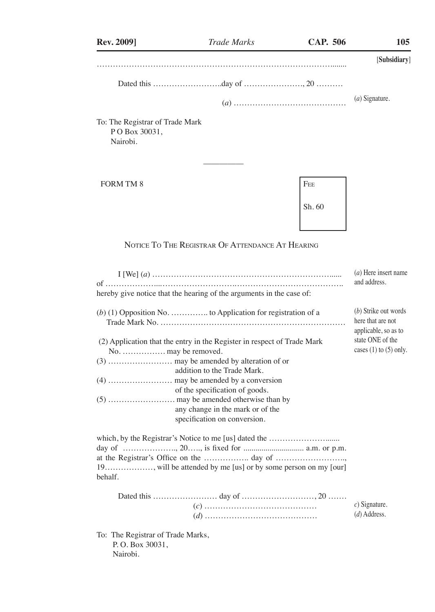| <b>Rev. 2009]</b>                                                | <b>Trade Marks</b>                                                                                                                                                                                                                                                             | <b>CAP. 506</b> | 105                                                                                                                 |
|------------------------------------------------------------------|--------------------------------------------------------------------------------------------------------------------------------------------------------------------------------------------------------------------------------------------------------------------------------|-----------------|---------------------------------------------------------------------------------------------------------------------|
|                                                                  |                                                                                                                                                                                                                                                                                |                 | [Subsidiary]                                                                                                        |
|                                                                  |                                                                                                                                                                                                                                                                                |                 |                                                                                                                     |
|                                                                  |                                                                                                                                                                                                                                                                                |                 | $(a)$ Signature.                                                                                                    |
| To: The Registrar of Trade Mark<br>PO Box 30031,<br>Nairobi.     |                                                                                                                                                                                                                                                                                |                 |                                                                                                                     |
| <b>FORM TM 8</b>                                                 |                                                                                                                                                                                                                                                                                | FEE<br>Sh. 60   |                                                                                                                     |
|                                                                  | NOTICE TO THE REGISTRAR OF ATTENDANCE AT HEARING                                                                                                                                                                                                                               |                 |                                                                                                                     |
|                                                                  |                                                                                                                                                                                                                                                                                |                 | (a) Here insert name<br>and address.                                                                                |
|                                                                  | hereby give notice that the hearing of the arguments in the case of:                                                                                                                                                                                                           |                 |                                                                                                                     |
| No.  may be removed.                                             | $(b)$ (1) Opposition No.  to Application for registration of a<br>(2) Application that the entry in the Register in respect of Trade Mark<br>addition to the Trade Mark.<br>of the specification of goods.<br>any change in the mark or of the<br>specification on conversion. |                 | (b) Strike out words<br>here that are not<br>applicable, so as to<br>state ONE of the<br>cases $(1)$ to $(5)$ only. |
| behalf.                                                          | day of , 20, is fixed for  a.m. or p.m.                                                                                                                                                                                                                                        |                 |                                                                                                                     |
|                                                                  |                                                                                                                                                                                                                                                                                |                 | $c)$ Signature.<br>$(d)$ Address.                                                                                   |
| To: The Registrar of Trade Marks,<br>P.O. Box 30031,<br>Nairobi. |                                                                                                                                                                                                                                                                                |                 |                                                                                                                     |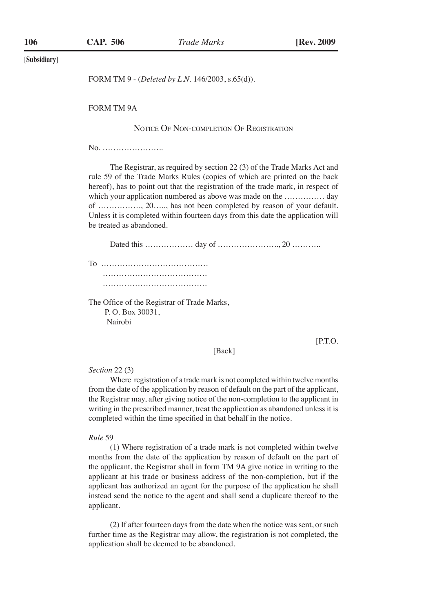FORM TM 9 - (*Deleted by L.N.* 146/2003, s.65(d)).

FORM TM 9A

## Notice Of Non-completion Of Registration

No. …………………..

The Registrar, as required by section 22 (3) of the Trade Marks Act and rule 59 of the Trade Marks Rules (copies of which are printed on the back hereof), has to point out that the registration of the trade mark, in respect of which your application numbered as above was made on the …………… day of ……………., 20….., has not been completed by reason of your default. Unless it is completed within fourteen days from this date the application will be treated as abandoned.

Dated this ……………… day of ………………….., 20 ………..

To …………………………………. ………………………………… …………………………………

The Office of the Registrar of Trade Marks, P. O. Box 30031, Nairobi

[P.T.O.

#### [Back]

*Section* 22 (3)

Where registration of a trade mark is not completed within twelve months from the date of the application by reason of default on the part of the applicant, the Registrar may, after giving notice of the non-completion to the applicant in writing in the prescribed manner, treat the application as abandoned unless it is completed within the time specified in that behalf in the notice.

## *Rule* 59

(1) Where registration of a trade mark is not completed within twelve months from the date of the application by reason of default on the part of the applicant, the Registrar shall in form TM 9A give notice in writing to the applicant at his trade or business address of the non-completion, but if the applicant has authorized an agent for the purpose of the application he shall instead send the notice to the agent and shall send a duplicate thereof to the applicant.

(2) If after fourteen days from the date when the notice was sent, or such further time as the Registrar may allow, the registration is not completed, the application shall be deemed to be abandoned.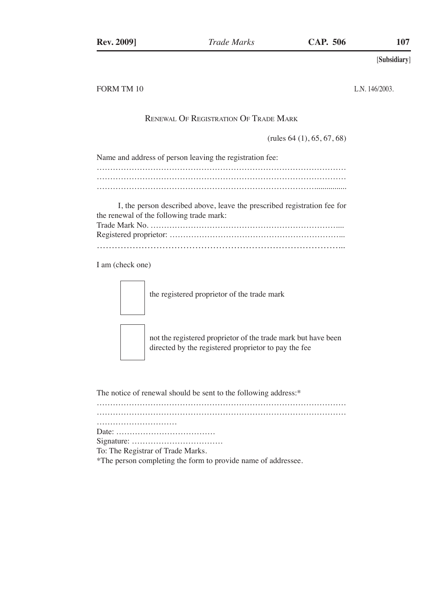FORM TM 10

L.N. 146/2003.

## Renewal Of Registration Of Trade Mark

(rules 64 (1), 65, 67, 68)

| Name and address of person leaving the registration fee: |  |
|----------------------------------------------------------|--|
|                                                          |  |
|                                                          |  |
|                                                          |  |

I, the person described above, leave the prescribed registration fee for the renewal of the following trade mark:<br>Trade Mark Ne

I am (check one)

the registered proprietor of the trade mark



not the registered proprietor of the trade mark but have been directed by the registered proprietor to pay the fee

The notice of renewal should be sent to the following address:\*

Signature: …………………………….

To: The Registrar of Trade Marks.

\*The person completing the form to provide name of addressee.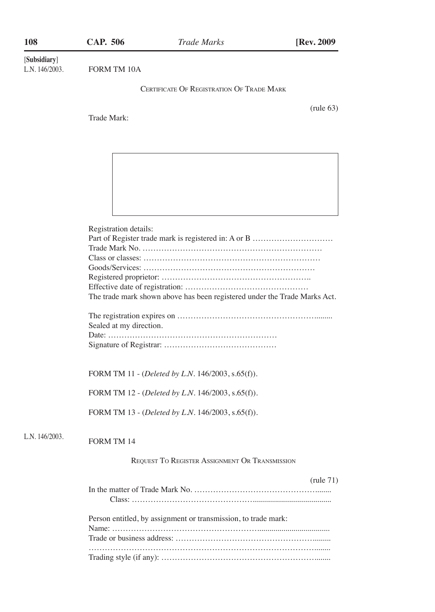| 108                            | <b>CAP. 506</b>                                       | <b>Trade Marks</b>                                                        | [Rev. 2009          |
|--------------------------------|-------------------------------------------------------|---------------------------------------------------------------------------|---------------------|
| [Subsidiary]<br>L.N. 146/2003. | FORM TM 10A                                           |                                                                           |                     |
|                                | <b>CERTIFICATE OF REGISTRATION OF TRADE MARK</b>      |                                                                           |                     |
|                                | Trade Mark:                                           |                                                                           | $(\text{rule } 63)$ |
|                                |                                                       |                                                                           |                     |
|                                |                                                       |                                                                           |                     |
|                                | Registration details:                                 |                                                                           |                     |
|                                |                                                       |                                                                           |                     |
|                                |                                                       |                                                                           |                     |
|                                |                                                       |                                                                           |                     |
|                                |                                                       |                                                                           |                     |
|                                |                                                       | The trade mark shown above has been registered under the Trade Marks Act. |                     |
|                                |                                                       |                                                                           |                     |
|                                | Sealed at my direction.                               |                                                                           |                     |
|                                |                                                       |                                                                           |                     |
|                                |                                                       | FORM TM 11 - (Deleted by L.N. 146/2003, s.65(f)).                         |                     |
|                                |                                                       | FORM TM 12 - (Deleted by L.N. 146/2003, s.65(f)).                         |                     |
|                                |                                                       | FORM TM 13 - (Deleted by L.N. 146/2003, s.65(f)).                         |                     |
| L.N. 146/2003.                 | <b>FORM TM 14</b>                                     |                                                                           |                     |
|                                | <b>REQUEST TO REGISTER ASSIGNMENT OR TRANSMISSION</b> |                                                                           |                     |
|                                |                                                       |                                                                           | (rule 71)           |
|                                |                                                       | Person entitled, by assignment or transmission, to trade mark:            |                     |
|                                |                                                       |                                                                           |                     |
|                                |                                                       |                                                                           |                     |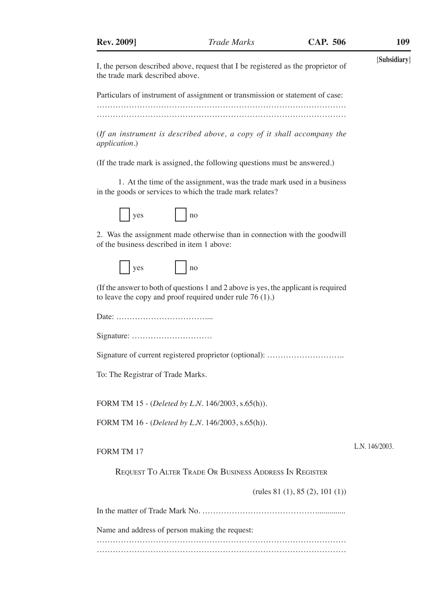[**Subsidiary**] I, the person described above, request that I be registered as the proprietor of the trade mark described above.

Particulars of instrument of assignment or transmission or statement of case:

………………………………………………………………………………… …………………………………………………………………………………

(*If an instrument is described above, a copy of it shall accompany the application.*)

(If the trade mark is assigned, the following questions must be answered.)

1. At the time of the assignment, was the trade mark used in a business in the goods or services to which the trade mark relates?



2. Was the assignment made otherwise than in connection with the goodwill of the business described in item 1 above:

|  | $\sim$ $\sim$<br>، م ر |  |  | ּ<br>T16 |
|--|------------------------|--|--|----------|
|--|------------------------|--|--|----------|

(If the answer to both of questions 1 and 2 above is yes, the applicant is required to leave the copy and proof required under rule 76 (1).)

Date: ……………………………....

Signature: …………………………

Signature of current registered proprietor (optional): ………………………..

To: The Registrar of Trade Marks.

FORM TM 15 - (*Deleted by L.N.* 146/2003, s.65(h)).

FORM TM 16 - (*Deleted by L.N.* 146/2003, s.65(h)).

## FORM TM 17

L.N. 146/2003.

Request To Alter Trade Or Business Address In Register

(rules 81 (1), 85 (2), 101 (1))

In the matter of Trade Mark No. ……………………………………...............

Name and address of person making the request:

………………………………………………………………………………… …………………………………………………………………………………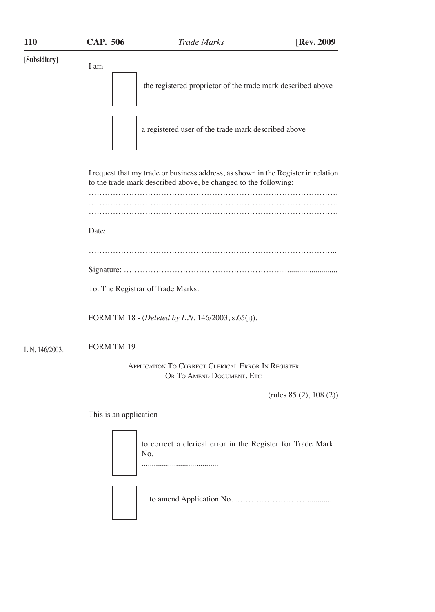[**Subsidiary**] I am the registered proprietor of the trade mark described above a registered user of the trade mark described above I request that my trade or business address, as shown in the Register in relation to the trade mark described above, be changed to the following: ………………………………………………………………………………… ………………………………………………………………………………… ………………………………………………………………………………… Date: ………………………………………………………………………………... Signature: ………………………………………………….............................. To: The Registrar of Trade Marks. FORM TM 18 - (*Deleted by L.N.* 146/2003, s.65(j)). FORM TM 19 Application To Correct Clerical Error In Register OR TO AMEND DOCUMENT, ETC (rules 85 (2), 108 (2)) This is an application to correct a clerical error in the Register for Trade Mark No. ...................................... L.N. 146/2003.

to amend Application No. ………………………............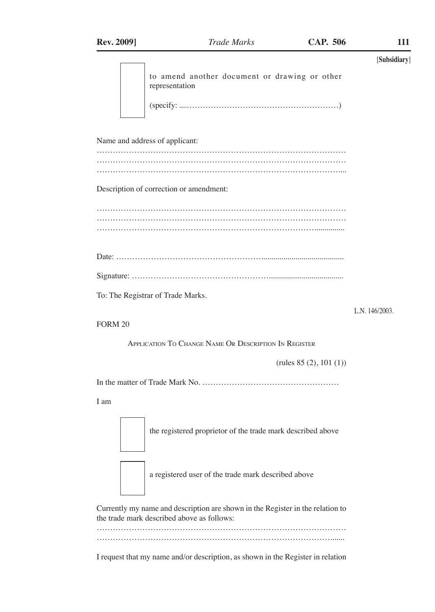|                                                                 | [Subsidiary]   |
|-----------------------------------------------------------------|----------------|
| to amend another document or drawing or other<br>representation |                |
| (specificity: 1)                                                |                |
| Name and address of applicant:                                  |                |
|                                                                 |                |
| Description of correction or amendment:                         |                |
|                                                                 |                |
|                                                                 |                |
|                                                                 |                |
| To: The Registrar of Trade Marks.                               |                |
| FORM <sub>20</sub>                                              | L.N. 146/2003. |
| APPLICATION TO CHANGE NAME OR DESCRIPTION IN REGISTER           |                |
| (rules $85(2), 101(1)$ )                                        |                |
|                                                                 |                |
| I am                                                            |                |
| the registered proprietor of the trade mark described above     |                |
| a registered user of the trade mark described above             |                |

Currently my name and description are shown in the Register in the relation to the trade mark described above as follows:

………………………………………………………………………………… …………………………………………………………………………….......

I request that my name and/or description, as shown in the Register in relation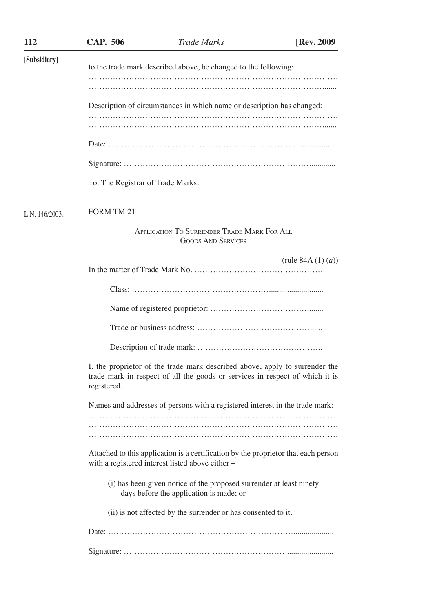| 112            | <b>CAP. 506</b>                                                 | <b>Trade Marks</b>                                                                                                                                          | [Rev. 2009          |  |
|----------------|-----------------------------------------------------------------|-------------------------------------------------------------------------------------------------------------------------------------------------------------|---------------------|--|
| [Subsidiary]   | to the trade mark described above, be changed to the following: |                                                                                                                                                             |                     |  |
|                |                                                                 |                                                                                                                                                             |                     |  |
|                |                                                                 | Description of circumstances in which name or description has changed:                                                                                      |                     |  |
|                |                                                                 |                                                                                                                                                             |                     |  |
|                |                                                                 |                                                                                                                                                             |                     |  |
|                |                                                                 |                                                                                                                                                             |                     |  |
|                | To: The Registrar of Trade Marks.                               |                                                                                                                                                             |                     |  |
| L.N. 146/2003. | <b>FORM TM 21</b>                                               |                                                                                                                                                             |                     |  |
|                |                                                                 | <b>APPLICATION TO SURRENDER TRADE MARK FOR ALL</b><br><b>GOODS AND SERVICES</b>                                                                             |                     |  |
|                |                                                                 |                                                                                                                                                             | (rule $84A(1)(a)$ ) |  |
|                |                                                                 |                                                                                                                                                             |                     |  |
|                |                                                                 |                                                                                                                                                             |                     |  |
|                |                                                                 |                                                                                                                                                             |                     |  |
|                |                                                                 |                                                                                                                                                             |                     |  |
|                | registered.                                                     | I, the proprietor of the trade mark described above, apply to surrender the<br>trade mark in respect of all the goods or services in respect of which it is |                     |  |
|                |                                                                 | Names and addresses of persons with a registered interest in the trade mark:                                                                                |                     |  |
|                |                                                                 |                                                                                                                                                             |                     |  |
|                |                                                                 |                                                                                                                                                             |                     |  |
|                |                                                                 | Attached to this application is a certification by the proprietor that each person<br>with a registered interest listed above either -                      |                     |  |
|                |                                                                 | (i) has been given notice of the proposed surrender at least ninety<br>days before the application is made; or                                              |                     |  |
|                |                                                                 | (ii) is not affected by the surrender or has consented to it.                                                                                               |                     |  |
|                |                                                                 |                                                                                                                                                             |                     |  |
|                |                                                                 |                                                                                                                                                             |                     |  |
|                |                                                                 |                                                                                                                                                             |                     |  |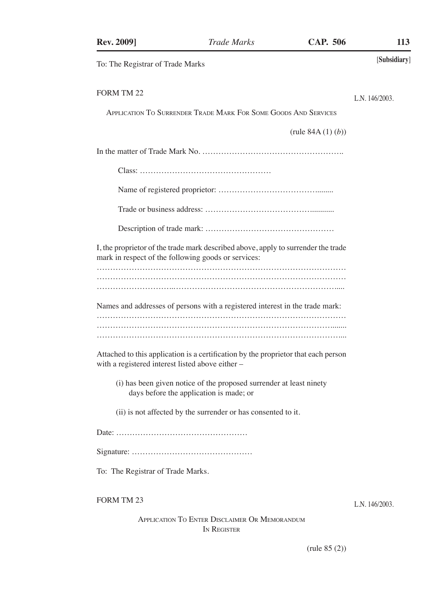| <b>Rev. 2009]</b>                                | <b>Trade Marks</b>                                                                                                                                                 | <b>CAP. 506</b>         | 113            |
|--------------------------------------------------|--------------------------------------------------------------------------------------------------------------------------------------------------------------------|-------------------------|----------------|
| To: The Registrar of Trade Marks                 |                                                                                                                                                                    |                         | [Subsidiary]   |
| FORM TM 22                                       |                                                                                                                                                                    |                         | L.N. 146/2003. |
|                                                  | APPLICATION TO SURRENDER TRADE MARK FOR SOME GOODS AND SERVICES                                                                                                    |                         |                |
|                                                  |                                                                                                                                                                    | (rule $84A(1)(b)$ )     |                |
|                                                  |                                                                                                                                                                    |                         |                |
|                                                  |                                                                                                                                                                    |                         |                |
|                                                  |                                                                                                                                                                    |                         |                |
|                                                  |                                                                                                                                                                    |                         |                |
|                                                  |                                                                                                                                                                    |                         |                |
|                                                  | I, the proprietor of the trade mark described above, apply to surrender the trade<br>mark in respect of the following goods or services:                           |                         |                |
|                                                  |                                                                                                                                                                    |                         |                |
| with a registered interest listed above either - | Names and addresses of persons with a registered interest in the trade mark:<br>Attached to this application is a certification by the proprietor that each person |                         |                |
|                                                  | (i) has been given notice of the proposed surrender at least ninety<br>days before the application is made; or                                                     |                         |                |
|                                                  | (ii) is not affected by the surrender or has consented to it.                                                                                                      |                         |                |
|                                                  |                                                                                                                                                                    |                         |                |
|                                                  |                                                                                                                                                                    |                         |                |
| To: The Registrar of Trade Marks.                |                                                                                                                                                                    |                         |                |
| <b>FORM TM 23</b>                                |                                                                                                                                                                    |                         | L.N. 146/2003. |
|                                                  | APPLICATION TO ENTER DISCLAIMER OR MEMORANDUM<br>IN REGISTER                                                                                                       |                         |                |
|                                                  |                                                                                                                                                                    | $(\text{rule } 85 (2))$ |                |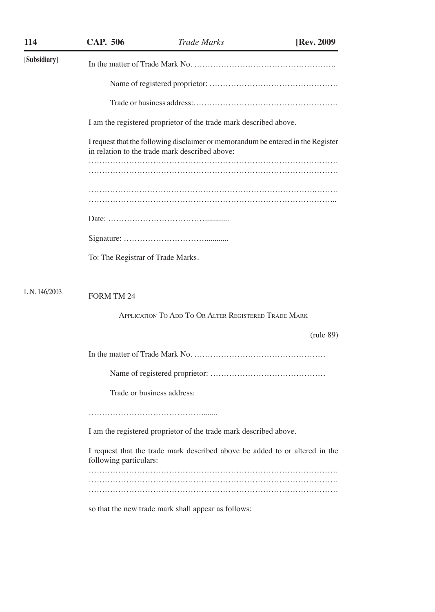| 114            | <b>CAP. 506</b>                   | <b>Trade Marks</b>                                                                                                                 | [Rev. 2009] |
|----------------|-----------------------------------|------------------------------------------------------------------------------------------------------------------------------------|-------------|
| [Subsidiary]   |                                   |                                                                                                                                    |             |
|                |                                   |                                                                                                                                    |             |
|                |                                   |                                                                                                                                    |             |
|                |                                   | I am the registered proprietor of the trade mark described above.                                                                  |             |
|                |                                   | I request that the following disclaimer or memorandum be entered in the Register<br>in relation to the trade mark described above: |             |
|                |                                   |                                                                                                                                    |             |
|                |                                   |                                                                                                                                    |             |
|                |                                   |                                                                                                                                    |             |
|                |                                   |                                                                                                                                    |             |
|                | To: The Registrar of Trade Marks. |                                                                                                                                    |             |
| L.N. 146/2003. | <b>FORM TM 24</b>                 |                                                                                                                                    |             |
|                |                                   | APPLICATION TO ADD TO OR ALTER REGISTERED TRADE MARK                                                                               |             |
|                |                                   |                                                                                                                                    | (rule 89)   |
|                |                                   |                                                                                                                                    |             |
|                |                                   |                                                                                                                                    |             |
|                | Trade or business address:        |                                                                                                                                    |             |
|                |                                   |                                                                                                                                    |             |
|                |                                   | I am the registered proprietor of the trade mark described above.                                                                  |             |
|                | following particulars:            | I request that the trade mark described above be added to or altered in the                                                        |             |
|                |                                   |                                                                                                                                    |             |
|                |                                   |                                                                                                                                    |             |
|                |                                   | so that the new trade mark shall appear as follows:                                                                                |             |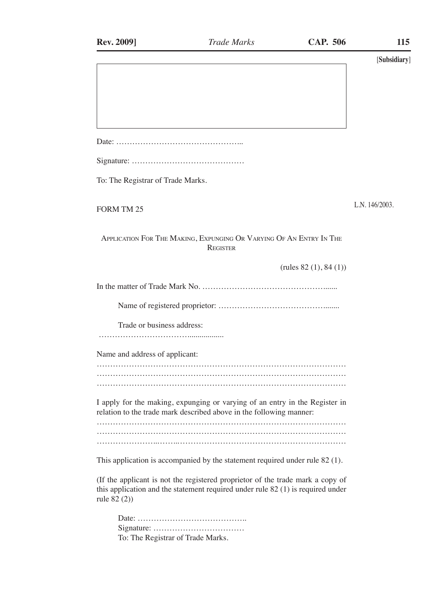| <b>Rev. 2009]</b>                 | <b>Trade Marks</b>                                                                                                                                                  | <b>CAP. 506</b>         | 115            |
|-----------------------------------|---------------------------------------------------------------------------------------------------------------------------------------------------------------------|-------------------------|----------------|
|                                   |                                                                                                                                                                     |                         | [Subsidiary]   |
|                                   |                                                                                                                                                                     |                         |                |
|                                   |                                                                                                                                                                     |                         |                |
|                                   |                                                                                                                                                                     |                         |                |
|                                   |                                                                                                                                                                     |                         |                |
|                                   |                                                                                                                                                                     |                         |                |
| To: The Registrar of Trade Marks. |                                                                                                                                                                     |                         |                |
| <b>FORM TM 25</b>                 |                                                                                                                                                                     |                         | L.N. 146/2003. |
|                                   | APPLICATION FOR THE MAKING, EXPUNGING OR VARYING OF AN ENTRY IN THE<br><b>REGISTER</b>                                                                              |                         |                |
|                                   |                                                                                                                                                                     | (rules $82(1), 84(1)$ ) |                |
|                                   |                                                                                                                                                                     |                         |                |
|                                   |                                                                                                                                                                     |                         |                |
| Trade or business address:        |                                                                                                                                                                     |                         |                |
| Name and address of applicant:    |                                                                                                                                                                     |                         |                |
|                                   |                                                                                                                                                                     |                         |                |
|                                   |                                                                                                                                                                     |                         |                |
|                                   | I apply for the making, expunging or varying of an entry in the Register in<br>relation to the trade mark described above in the following manner:                  |                         |                |
|                                   |                                                                                                                                                                     |                         |                |
|                                   | This application is accompanied by the statement required under rule 82 (1).                                                                                        |                         |                |
| rule 82 (2))                      | (If the applicant is not the registered proprietor of the trade mark a copy of<br>this application and the statement required under rule $82$ (1) is required under |                         |                |
|                                   |                                                                                                                                                                     |                         |                |
| To: The Registrar of Trade Marks. |                                                                                                                                                                     |                         |                |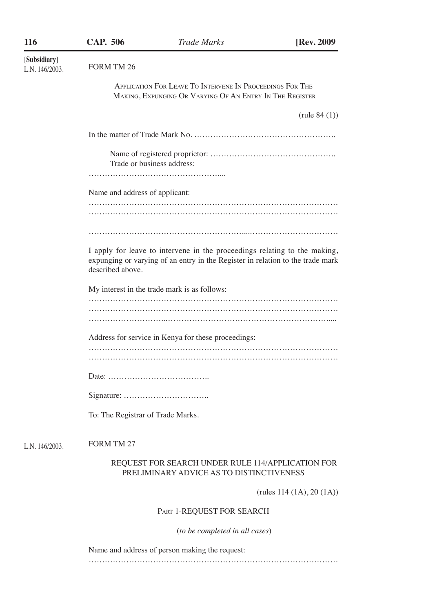| 116                            | <b>CAP. 506</b>                   | <b>Trade Marks</b>                                                                                                                                          | [Rev. 2009                   |
|--------------------------------|-----------------------------------|-------------------------------------------------------------------------------------------------------------------------------------------------------------|------------------------------|
| [Subsidiary]<br>L.N. 146/2003. | FORM TM 26                        |                                                                                                                                                             |                              |
|                                |                                   | APPLICATION FOR LEAVE TO INTERVENE IN PROCEEDINGS FOR THE<br>MAKING, EXPUNGING OR VARYING OF AN ENTRY IN THE REGISTER                                       |                              |
|                                |                                   |                                                                                                                                                             | (rule $84(1)$ )              |
|                                |                                   |                                                                                                                                                             |                              |
|                                | Trade or business address:        |                                                                                                                                                             |                              |
|                                | Name and address of applicant:    |                                                                                                                                                             |                              |
|                                |                                   |                                                                                                                                                             |                              |
|                                | described above.                  | I apply for leave to intervene in the proceedings relating to the making,<br>expunging or varying of an entry in the Register in relation to the trade mark |                              |
|                                |                                   | My interest in the trade mark is as follows:                                                                                                                |                              |
|                                |                                   |                                                                                                                                                             |                              |
|                                |                                   | Address for service in Kenya for these proceedings:                                                                                                         |                              |
|                                |                                   |                                                                                                                                                             |                              |
|                                |                                   |                                                                                                                                                             |                              |
|                                |                                   |                                                                                                                                                             |                              |
|                                | To: The Registrar of Trade Marks. |                                                                                                                                                             |                              |
| L.N. 146/2003.                 | <b>FORM TM 27</b>                 |                                                                                                                                                             |                              |
|                                |                                   | REQUEST FOR SEARCH UNDER RULE 114/APPLICATION FOR<br>PRELIMINARY ADVICE AS TO DISTINCTIVENESS                                                               |                              |
|                                |                                   |                                                                                                                                                             | (rules $114 (1A), 20 (1A)$ ) |
|                                |                                   | PART 1-REQUEST FOR SEARCH                                                                                                                                   |                              |
|                                |                                   | (to be completed in all cases)                                                                                                                              |                              |
|                                |                                   | Name and address of person making the request:                                                                                                              |                              |
|                                |                                   |                                                                                                                                                             |                              |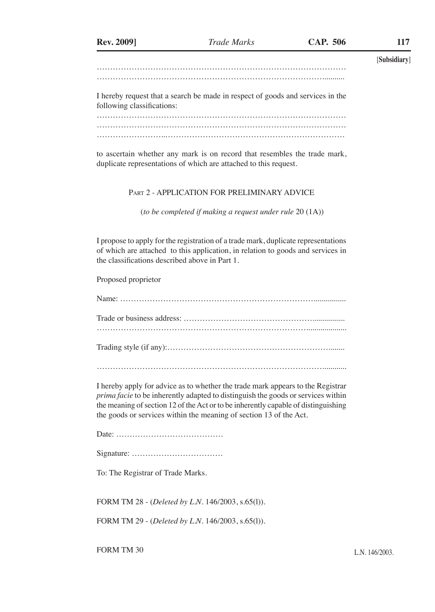[**Subsidiary**] ………………………………………………………………………………… …………………………………………………………………………...........

I hereby request that a search be made in respect of goods and services in the following classifications:

………………………………………………………………………………… ………………………………………………………………………………… ……………………..………………………………………………………….

to ascertain whether any mark is on record that resembles the trade mark, duplicate representations of which are attached to this request.

## Part 2 - APPLICATION FOR PRELIMINARY ADVICE

(*to be completed if making a request under rule* 20 (1A))

I propose to apply for the registration of a trade mark, duplicate representations of which are attached to this application, in relation to goods and services in the classifications described above in Part 1.

Proposed proprietor

Name: ………………………………………………………………................ Trade or business address: …………………………………………................ …………………………………………………………………….................... Trading style (if any):……………………………………………………........ …………………………………………………………………………............

I hereby apply for advice as to whether the trade mark appears to the Registrar *prima facie* to be inherently adapted to distinguish the goods or services within the meaning of section 12 of the Act or to be inherently capable of distinguishing the goods or services within the meaning of section 13 of the Act.

Date: ………………………………….

Signature: …………………………….

To: The Registrar of Trade Marks.

FORM TM 28 - (*Deleted by L.N.* 146/2003, s.65(l)).

FORM TM 29 - (*Deleted by L.N.* 146/2003, s.65(l)).

FORM TM 30 L.N. 146/2003.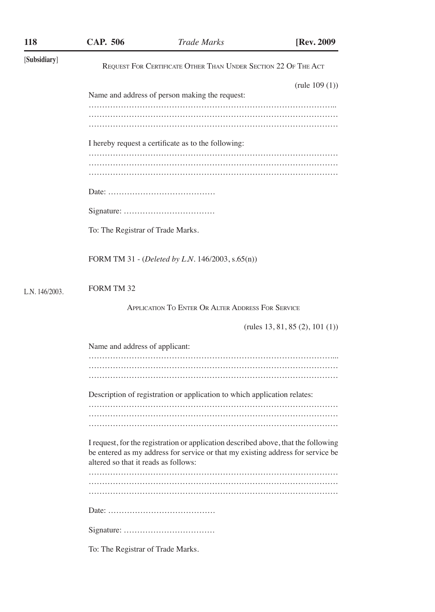| 118            | <b>CAP. 506</b>                      | <b>Trade Marks</b>                                                                                                                                                    | [Rev. 2009                                |
|----------------|--------------------------------------|-----------------------------------------------------------------------------------------------------------------------------------------------------------------------|-------------------------------------------|
| [Subsidiary]   |                                      | REQUEST FOR CERTIFICATE OTHER THAN UNDER SECTION 22 OF THE ACT                                                                                                        |                                           |
|                |                                      | Name and address of person making the request:                                                                                                                        | (rule 109(1))                             |
|                |                                      |                                                                                                                                                                       |                                           |
|                |                                      | I hereby request a certificate as to the following:                                                                                                                   |                                           |
|                |                                      |                                                                                                                                                                       |                                           |
|                |                                      |                                                                                                                                                                       |                                           |
|                | To: The Registrar of Trade Marks.    |                                                                                                                                                                       |                                           |
|                |                                      | FORM TM 31 - (Deleted by L.N. 146/2003, s.65(n))                                                                                                                      |                                           |
| L.N. 146/2003. | <b>FORM TM 32</b>                    |                                                                                                                                                                       |                                           |
|                |                                      | <b>APPLICATION TO ENTER OR ALTER ADDRESS FOR SERVICE</b>                                                                                                              |                                           |
|                |                                      |                                                                                                                                                                       | $(\text{rules } 13, 81, 85 (2), 101 (1))$ |
|                | Name and address of applicant:       |                                                                                                                                                                       |                                           |
|                |                                      |                                                                                                                                                                       |                                           |
|                |                                      | Description of registration or application to which application relates:                                                                                              |                                           |
|                |                                      |                                                                                                                                                                       |                                           |
|                | altered so that it reads as follows: | I request, for the registration or application described above, that the following<br>be entered as my address for service or that my existing address for service be |                                           |
|                |                                      |                                                                                                                                                                       |                                           |
|                |                                      |                                                                                                                                                                       |                                           |
|                |                                      |                                                                                                                                                                       |                                           |
|                | To: The Registrar of Trade Marks.    |                                                                                                                                                                       |                                           |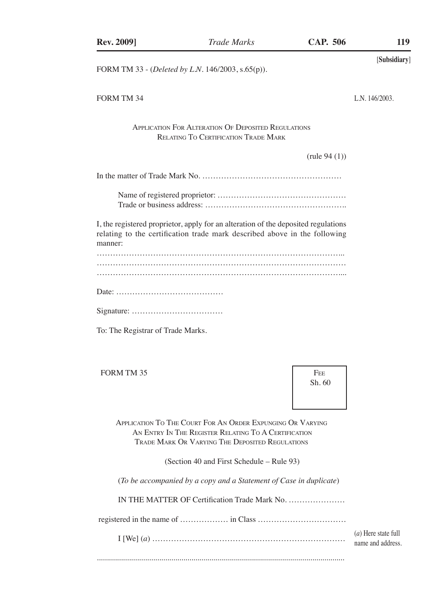| <b>Rev. 2009]</b>                 | <b>Trade Marks</b>                                                                                                                                                    | <b>CAP. 506</b>         | 119                                      |
|-----------------------------------|-----------------------------------------------------------------------------------------------------------------------------------------------------------------------|-------------------------|------------------------------------------|
|                                   | FORM TM 33 - (Deleted by L.N. 146/2003, s.65(p)).                                                                                                                     |                         | [Subsidiary]                             |
| FORM TM 34                        |                                                                                                                                                                       |                         | L.N. 146/2003.                           |
|                                   | <b>APPLICATION FOR ALTERATION OF DEPOSITED REGULATIONS</b><br><b>RELATING TO CERTIFICATION TRADE MARK</b>                                                             |                         |                                          |
|                                   |                                                                                                                                                                       | $(\text{rule } 94 (1))$ |                                          |
|                                   |                                                                                                                                                                       |                         |                                          |
|                                   |                                                                                                                                                                       |                         |                                          |
| manner:                           | I, the registered proprietor, apply for an alteration of the deposited regulations<br>relating to the certification trade mark described above in the following       |                         |                                          |
|                                   |                                                                                                                                                                       |                         |                                          |
|                                   |                                                                                                                                                                       |                         |                                          |
|                                   |                                                                                                                                                                       |                         |                                          |
| To: The Registrar of Trade Marks. |                                                                                                                                                                       |                         |                                          |
| FORM TM 35                        |                                                                                                                                                                       | <b>FEE</b><br>Sh. 60    |                                          |
|                                   | APPLICATION TO THE COURT FOR AN ORDER EXPUNGING OR VARYING<br>AN ENTRY IN THE REGISTER RELATING TO A CERTIFICATION<br>TRADE MARK OR VARYING THE DEPOSITED REGULATIONS |                         |                                          |
|                                   | (Section 40 and First Schedule – Rule 93)                                                                                                                             |                         |                                          |
|                                   | (To be accompanied by a copy and a Statement of Case in duplicate)                                                                                                    |                         |                                          |
|                                   | IN THE MATTER OF Certification Trade Mark No.                                                                                                                         |                         |                                          |
|                                   |                                                                                                                                                                       |                         |                                          |
|                                   |                                                                                                                                                                       |                         | (a) Here state full<br>name and address. |
|                                   |                                                                                                                                                                       |                         |                                          |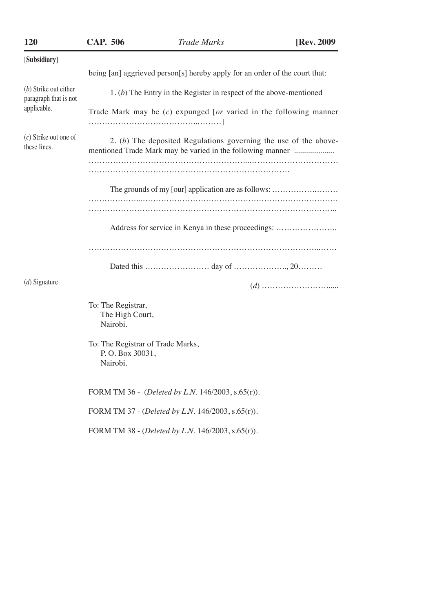| 120                                            | <b>CAP. 506</b>                                                  | <b>Trade Marks</b>                                                                                                             | [Rev. 2009] |
|------------------------------------------------|------------------------------------------------------------------|--------------------------------------------------------------------------------------------------------------------------------|-------------|
| [Subsidiary]                                   |                                                                  |                                                                                                                                |             |
|                                                |                                                                  | being [an] aggrieved person[s] hereby apply for an order of the court that:                                                    |             |
| (b) Strike out either<br>paragraph that is not |                                                                  | 1. (b) The Entry in the Register in respect of the above-mentioned                                                             |             |
| applicable.                                    |                                                                  | Trade Mark may be $(c)$ expunged [or varied in the following manner                                                            |             |
| $(c)$ Strike out one of<br>these lines.        |                                                                  | 2. (b) The deposited Regulations governing the use of the above-<br>mentioned Trade Mark may be varied in the following manner |             |
|                                                |                                                                  |                                                                                                                                |             |
|                                                |                                                                  | The grounds of my [our] application are as follows:                                                                            |             |
|                                                |                                                                  |                                                                                                                                |             |
|                                                |                                                                  | Address for service in Kenya in these proceedings:                                                                             |             |
|                                                |                                                                  |                                                                                                                                |             |
|                                                |                                                                  |                                                                                                                                |             |
| $(d)$ Signature.                               |                                                                  |                                                                                                                                |             |
|                                                | To: The Registrar,<br>The High Court,<br>Nairobi.                |                                                                                                                                |             |
|                                                | To: The Registrar of Trade Marks,<br>P.O. Box 30031,<br>Nairobi. |                                                                                                                                |             |
|                                                |                                                                  | FORM TM 36 - (Deleted by L.N. 146/2003, s.65(r)).                                                                              |             |
|                                                |                                                                  | FORM TM 37 - (Deleted by L.N. 146/2003, s.65(r)).                                                                              |             |
|                                                |                                                                  | FORM TM 38 - (Deleted by L.N. 146/2003, s.65(r)).                                                                              |             |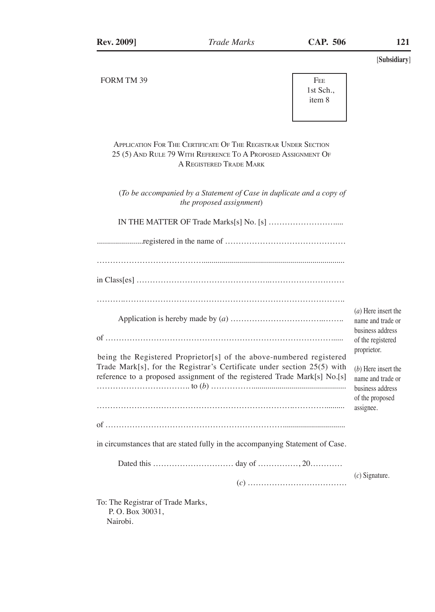

Application For The Certificate Of The Registrar Under Section 25 (5) And Rule 79 With Reference To A Proposed Assignment Of A Registered Trade Mark

(*To be accompanied by a Statement of Case in duplicate and a copy of the proposed assignment*)

IN THE MATTER OF Trade Marks[s] No. [s] …………………….....

|--|--|

………………………………….......................................................................

| $^{\circ}$ |
|------------|
|            |
| $\sim$     |

(*a*) Here insert the name and trade or business address of the registered proprietor.

| being the Registered Proprietor [s] of the above-numbered registered      |
|---------------------------------------------------------------------------|
| Trade Mark[s], for the Registrar's Certificate under section 25(5) with   |
| reference to a proposed assignment of the registered Trade Mark[s] No.[s] |
|                                                                           |
|                                                                           |
|                                                                           |
|                                                                           |

(*b*) Here insert the name and trade or business address of the proposed assignee.

in circumstances that are stated fully in the accompanying Statement of Case.

of …………………………………………………………...............................

Dated this ………………………… day of ……………, 20…………

(*c*) ……………………………….

(*c*) Signature.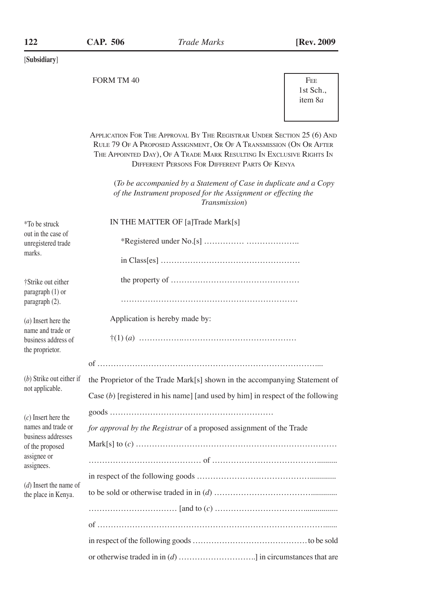FORM TM 40

| <b>FEE</b>      |
|-----------------|
| 1st Sch         |
| item 8 <i>a</i> |
|                 |

Application For The Approval By The Registrar Under Section 25 (6) And Rule 79 Of A Proposed Assignment, Or Of A Transmission (On Or After The Appointed Day), Of A Trade Mark Resulting In Exclusive Rights In Different Persons For Different Parts Of Kenya

(*To be accompanied by a Statement of Case in duplicate and a Copy of the Instrument proposed for the Assignment or effecting the Transmission*)

| *To be struck                                               | IN THE MATTER OF [a]Trade Mark[s]                                                 |  |  |  |  |
|-------------------------------------------------------------|-----------------------------------------------------------------------------------|--|--|--|--|
| out in the case of<br>unregistered trade                    |                                                                                   |  |  |  |  |
| marks.                                                      |                                                                                   |  |  |  |  |
| †Strike out either<br>paragraph (1) or                      |                                                                                   |  |  |  |  |
| paragraph (2).                                              |                                                                                   |  |  |  |  |
| $(a)$ Insert here the                                       | Application is hereby made by:                                                    |  |  |  |  |
| name and trade or<br>business address of<br>the proprietor. |                                                                                   |  |  |  |  |
|                                                             |                                                                                   |  |  |  |  |
| (b) Strike out either if                                    | the Proprietor of the Trade Mark[s] shown in the accompanying Statement of        |  |  |  |  |
| not applicable.                                             | Case $(b)$ [registered in his name] [and used by him] in respect of the following |  |  |  |  |
| $(c)$ Insert here the                                       |                                                                                   |  |  |  |  |
| names and trade or                                          | for approval by the Registrar of a proposed assignment of the Trade               |  |  |  |  |
| business addresses<br>of the proposed                       |                                                                                   |  |  |  |  |
| assignee or<br>assignees.                                   |                                                                                   |  |  |  |  |
|                                                             |                                                                                   |  |  |  |  |
| $(d)$ Insert the name of<br>the place in Kenya.             |                                                                                   |  |  |  |  |
|                                                             |                                                                                   |  |  |  |  |
|                                                             |                                                                                   |  |  |  |  |
|                                                             |                                                                                   |  |  |  |  |
|                                                             |                                                                                   |  |  |  |  |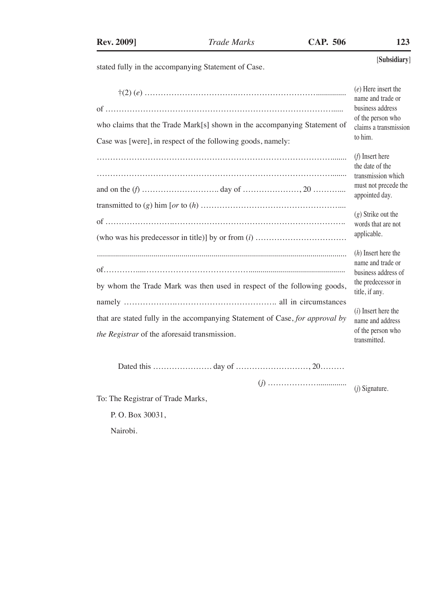stated fully in the accompanying Statement of Case.

|                                                                                                                                         | $(e)$ Here insert the<br>name and trade or<br>business address                                            |
|-----------------------------------------------------------------------------------------------------------------------------------------|-----------------------------------------------------------------------------------------------------------|
| who claims that the Trade Mark[s] shown in the accompanying Statement of<br>Case was [were], in respect of the following goods, namely: | of the person who<br>claims a transmission<br>to him.                                                     |
|                                                                                                                                         | $(f)$ Insert here<br>the date of the<br>transmission which<br>must not precede the<br>appointed day.      |
|                                                                                                                                         | $(g)$ Strike out the<br>words that are not<br>applicable.                                                 |
| by whom the Trade Mark was then used in respect of the following goods,                                                                 | $(h)$ Insert here the<br>name and trade or<br>business address of<br>the predecessor in<br>title, if any. |
| that are stated fully in the accompanying Statement of Case, for approval by<br>the Registrar of the aforesaid transmission.            | $(i)$ Insert here the<br>name and address<br>of the person who<br>transmitted.                            |

Dated this …………………. day of ………………………, 20………

 (*j*) ………………............... (*j*) Signature.

To: The Registrar of Trade Marks,

P. O. Box 30031,

Nairobi.

[**Subsidiary**]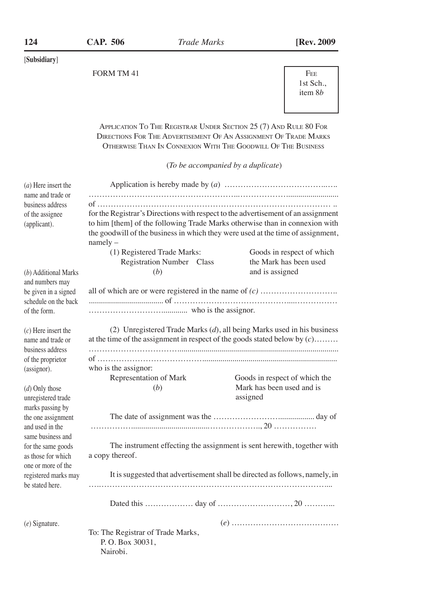FORM TM 41 FEE

 1st Sch., item 8*b*

Application To The Registrar Under Section 25 (7) And Rule 80 For Directions For The Advertisement Of An Assignment Of Trade Marks Otherwise Than In Connexion With The Goodwill Of The Business

(*To be accompanied by a duplicate*)

| $(a)$ Here insert the                  |                                                                         |                                                                                   |  |  |  |
|----------------------------------------|-------------------------------------------------------------------------|-----------------------------------------------------------------------------------|--|--|--|
| name and trade or                      |                                                                         |                                                                                   |  |  |  |
| business address                       |                                                                         |                                                                                   |  |  |  |
| of the assignee                        |                                                                         | for the Registrar's Directions with respect to the advertisement of an assignment |  |  |  |
| (applicant).                           |                                                                         | to him [them] of the following Trade Marks otherwise than in connexion with       |  |  |  |
|                                        | $namely -$                                                              | the goodwill of the business in which they were used at the time of assignment,   |  |  |  |
|                                        | (1) Registered Trade Marks:                                             | Goods in respect of which                                                         |  |  |  |
|                                        | Registration Number Class                                               | the Mark has been used                                                            |  |  |  |
| (b) Additional Marks                   | (b)                                                                     | and is assigned                                                                   |  |  |  |
| and numbers may                        |                                                                         |                                                                                   |  |  |  |
| be given in a signed                   |                                                                         |                                                                                   |  |  |  |
| schedule on the back                   |                                                                         |                                                                                   |  |  |  |
| of the form.                           |                                                                         |                                                                                   |  |  |  |
| $(c)$ Here insert the                  |                                                                         | (2) Unregistered Trade Marks $(d)$ , all being Marks used in his business         |  |  |  |
| name and trade or                      |                                                                         | at the time of the assignment in respect of the goods stated below by $(c)$       |  |  |  |
| business address                       |                                                                         |                                                                                   |  |  |  |
| of the proprietor                      |                                                                         |                                                                                   |  |  |  |
| (assignor).                            | who is the assignor:                                                    |                                                                                   |  |  |  |
|                                        | Representation of Mark                                                  | Goods in respect of which the                                                     |  |  |  |
| (d) Only those                         | (b)                                                                     | Mark has been used and is                                                         |  |  |  |
| unregistered trade                     |                                                                         | assigned                                                                          |  |  |  |
| marks passing by<br>the one assignment |                                                                         |                                                                                   |  |  |  |
| and used in the                        |                                                                         |                                                                                   |  |  |  |
| same business and                      |                                                                         |                                                                                   |  |  |  |
| for the same goods                     | The instrument effecting the assignment is sent herewith, together with |                                                                                   |  |  |  |
| as those for which                     | a copy thereof.                                                         |                                                                                   |  |  |  |
| one or more of the                     |                                                                         |                                                                                   |  |  |  |
| registered marks may                   |                                                                         | It is suggested that advertisement shall be directed as follows, namely, in       |  |  |  |
| be stated here.                        |                                                                         |                                                                                   |  |  |  |
|                                        |                                                                         |                                                                                   |  |  |  |
| $(e)$ Signature.                       |                                                                         |                                                                                   |  |  |  |
|                                        | To: The Registrar of Trade Marks,                                       |                                                                                   |  |  |  |
|                                        | P.O. Box 30031,                                                         |                                                                                   |  |  |  |
|                                        | Nairobi.                                                                |                                                                                   |  |  |  |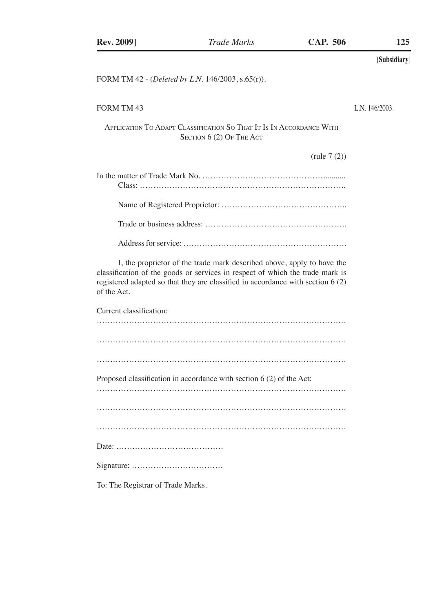FORM TM 42 - (*Deleted by L.N.* 146/2003, s.65(r)).

## FORM TM 43

L.N. 146/2003.

Application To Adapt Classification So That It Is In Accordance With SECTION  $6(2)$  Of The Act

(rule 7 (2))

| In the matter of Trade Mark No. $\ldots$ $\ldots$ $\ldots$ $\ldots$ $\ldots$ $\ldots$ $\ldots$ $\ldots$ $\ldots$ $\ldots$ $\ldots$ $\ldots$ $\ldots$ $\ldots$ $\ldots$ $\ldots$ $\ldots$ $\ldots$ $\ldots$ $\ldots$ $\ldots$ $\ldots$ $\ldots$ $\ldots$ $\ldots$ $\ldots$ $\ldots$ $\ldots$ $\ldots$ $\ldots$ $\ldots$ $\ld$ |
|------------------------------------------------------------------------------------------------------------------------------------------------------------------------------------------------------------------------------------------------------------------------------------------------------------------------------|
|                                                                                                                                                                                                                                                                                                                              |
|                                                                                                                                                                                                                                                                                                                              |
|                                                                                                                                                                                                                                                                                                                              |

I, the proprietor of the trade mark described above, apply to have the classification of the goods or services in respect of which the trade mark is registered adapted so that they are classified in accordance with section 6 (2) of the Act.

Current classification:

| Proposed classification in accordance with section 6 (2) of the Act: |
|----------------------------------------------------------------------|
|                                                                      |
|                                                                      |
|                                                                      |
|                                                                      |
|                                                                      |

To: The Registrar of Trade Marks.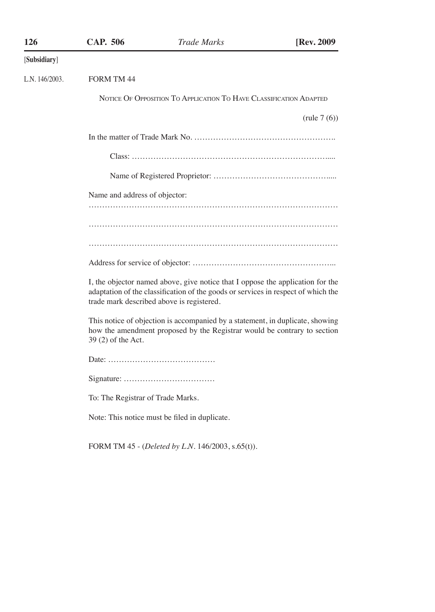| 126            | <b>CAP. 506</b>                   | <b>Trade Marks</b>                                                                                                                                                                                               | [Rev. 2009     |
|----------------|-----------------------------------|------------------------------------------------------------------------------------------------------------------------------------------------------------------------------------------------------------------|----------------|
| [Subsidiary]   |                                   |                                                                                                                                                                                                                  |                |
| L.N. 146/2003. | <b>FORM TM 44</b>                 |                                                                                                                                                                                                                  |                |
|                |                                   | NOTICE OF OPPOSITION TO APPLICATION TO HAVE CLASSIFICATION ADAPTED                                                                                                                                               |                |
|                |                                   |                                                                                                                                                                                                                  | (rule $7(6)$ ) |
|                |                                   |                                                                                                                                                                                                                  |                |
|                |                                   |                                                                                                                                                                                                                  |                |
|                |                                   |                                                                                                                                                                                                                  |                |
|                | Name and address of objector:     |                                                                                                                                                                                                                  |                |
|                |                                   |                                                                                                                                                                                                                  |                |
|                |                                   |                                                                                                                                                                                                                  |                |
|                |                                   |                                                                                                                                                                                                                  |                |
|                |                                   |                                                                                                                                                                                                                  |                |
|                |                                   | I, the objector named above, give notice that I oppose the application for the<br>adaptation of the classification of the goods or services in respect of which the<br>trade mark described above is registered. |                |
|                | 39 (2) of the Act.                | This notice of objection is accompanied by a statement, in duplicate, showing<br>how the amendment proposed by the Registrar would be contrary to section                                                        |                |
|                |                                   |                                                                                                                                                                                                                  |                |
|                |                                   |                                                                                                                                                                                                                  |                |
|                | To: The Registrar of Trade Marks. |                                                                                                                                                                                                                  |                |
|                |                                   | Note: This notice must be filed in duplicate.                                                                                                                                                                    |                |
|                |                                   | FORM TM 45 - (Deleted by L.N. 146/2003, s.65(t)).                                                                                                                                                                |                |
|                |                                   |                                                                                                                                                                                                                  |                |
|                |                                   |                                                                                                                                                                                                                  |                |
|                |                                   |                                                                                                                                                                                                                  |                |
|                |                                   |                                                                                                                                                                                                                  |                |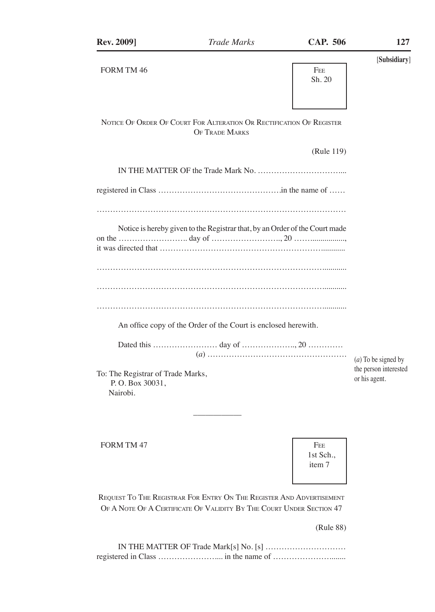| <b>Trade Marks</b>                | <b>CAP. 506</b>      | 127                                                                                                                                                                                                                   |
|-----------------------------------|----------------------|-----------------------------------------------------------------------------------------------------------------------------------------------------------------------------------------------------------------------|
|                                   | <b>FEE</b><br>Sh. 20 | [Subsidiary]                                                                                                                                                                                                          |
| <b>OF TRADE MARKS</b>             |                      |                                                                                                                                                                                                                       |
|                                   | (Rule 119)           |                                                                                                                                                                                                                       |
|                                   |                      |                                                                                                                                                                                                                       |
|                                   |                      |                                                                                                                                                                                                                       |
|                                   |                      |                                                                                                                                                                                                                       |
|                                   |                      |                                                                                                                                                                                                                       |
|                                   |                      | $(a)$ To be signed by                                                                                                                                                                                                 |
| To: The Registrar of Trade Marks, |                      | the person interested<br>or his agent.                                                                                                                                                                                |
|                                   |                      | NOTICE OF ORDER OF COURT FOR ALTERATION OR RECTIFICATION OF REGISTER<br>Notice is hereby given to the Registrar that, by an Order of the Court made<br>An office copy of the Order of the Court is enclosed herewith. |

FORM TM 47 FEE

 1st Sch., item 7

Request To The Registrar For Entry On The Register And Advertisement OF A NOTE OF A CERTIFICATE OF VALIDITY BY THE COURT UNDER SECTION 47

(Rule 88)

IN THE MATTER OF Trade Mark[s] No. [s] ………………………… registered in Class ………………….... in the name of …………………........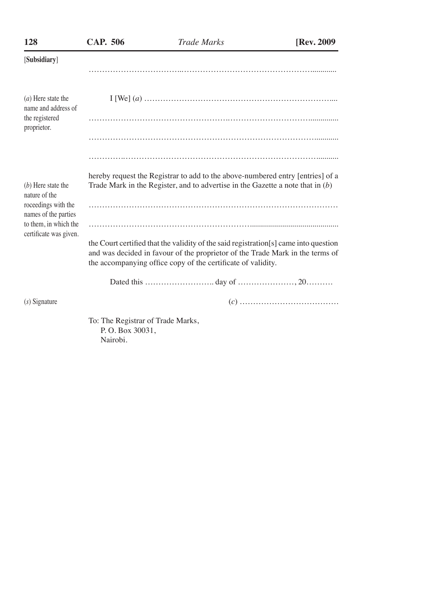| 128                                             | <b>CAP. 506</b>                                                  | <b>Trade Marks</b>                                                                                                                                                                                                                     | [Rev. 2009] |
|-------------------------------------------------|------------------------------------------------------------------|----------------------------------------------------------------------------------------------------------------------------------------------------------------------------------------------------------------------------------------|-------------|
| [Subsidiary]                                    |                                                                  |                                                                                                                                                                                                                                        |             |
|                                                 |                                                                  |                                                                                                                                                                                                                                        |             |
| $(a)$ Here state the<br>name and address of     |                                                                  |                                                                                                                                                                                                                                        |             |
| the registered<br>proprietor.                   |                                                                  |                                                                                                                                                                                                                                        |             |
|                                                 |                                                                  |                                                                                                                                                                                                                                        |             |
|                                                 |                                                                  |                                                                                                                                                                                                                                        |             |
| $(b)$ Here state the<br>nature of the           |                                                                  | hereby request the Registrar to add to the above-numbered entry [entries] of a<br>Trade Mark in the Register, and to advertise in the Gazette a note that in $(b)$                                                                     |             |
| roceedings with the<br>names of the parties     |                                                                  |                                                                                                                                                                                                                                        |             |
| to them, in which the<br>certificate was given. |                                                                  |                                                                                                                                                                                                                                        |             |
|                                                 |                                                                  | the Court certified that the validity of the said registration [s] came into question<br>and was decided in favour of the proprietor of the Trade Mark in the terms of<br>the accompanying office copy of the certificate of validity. |             |
|                                                 |                                                                  |                                                                                                                                                                                                                                        |             |
| $(s)$ Signature                                 |                                                                  |                                                                                                                                                                                                                                        |             |
|                                                 | To: The Registrar of Trade Marks,<br>P.O. Box 30031,<br>Nairobi. |                                                                                                                                                                                                                                        |             |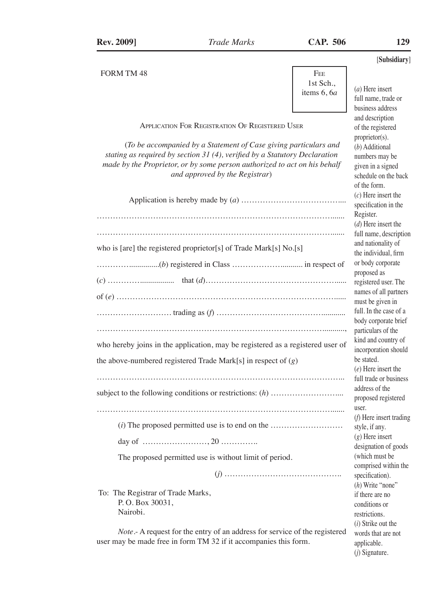(*a*) Here insert full name, trade or business address and description of the registered proprietor(s). (*b*) Additional numbers may be given in a signed schedule on the back of the form.

words that are not applicable. (*j*) Signature.

FORM TM 48 FEE

 1st Sch., items 6, 6*a*

Application For Registration Of Registered User

(*To be accompanied by a Statement of Case giving particulars and stating as required by section 31 (4), verified by a Statutory Declaration made by the Proprietor, or by some person authorized to act on his behalf and approved by the Registrar*)

|                                                                                | $(c)$ Here insert the<br>specification in the |
|--------------------------------------------------------------------------------|-----------------------------------------------|
|                                                                                | Register.                                     |
|                                                                                | $(d)$ Here insert the                         |
|                                                                                | full name, description                        |
|                                                                                | and nationality of                            |
| who is [are] the registered proprietor[s] of Trade Mark[s] No.[s]              | the individual, firm                          |
|                                                                                | or body corporate                             |
|                                                                                | proposed as                                   |
|                                                                                | registered user. The                          |
|                                                                                | names of all partners                         |
|                                                                                | must be given in                              |
|                                                                                | full. In the case of a                        |
|                                                                                | body corporate brief                          |
|                                                                                | particulars of the                            |
|                                                                                | kind and country of                           |
| who hereby joins in the application, may be registered as a registered user of | incorporation should                          |
| the above-numbered registered Trade Mark $[s]$ in respect of $(g)$             | be stated.                                    |
|                                                                                | $(e)$ Here insert the                         |
|                                                                                | full trade or business                        |
|                                                                                | address of the                                |
|                                                                                | proposed registered                           |
|                                                                                | user.                                         |
|                                                                                | $(f)$ Here insert trading                     |
|                                                                                | style, if any.                                |
|                                                                                | $(g)$ Here insert                             |
|                                                                                | designation of goods                          |
| The proposed permitted use is without limit of period.                         | (which must be                                |
|                                                                                | comprised within the                          |
|                                                                                | specification).                               |
|                                                                                | $(h)$ Write "none"                            |
| To: The Registrar of Trade Marks,                                              | if there are no                               |
| P.O. Box 30031,                                                                | conditions or                                 |
| Nairobi.                                                                       | restrictions.                                 |
|                                                                                | $(i)$ Strike out the                          |

*Note*.- A request for the entry of an address for service of the registered user may be made free in form TM 32 if it accompanies this form.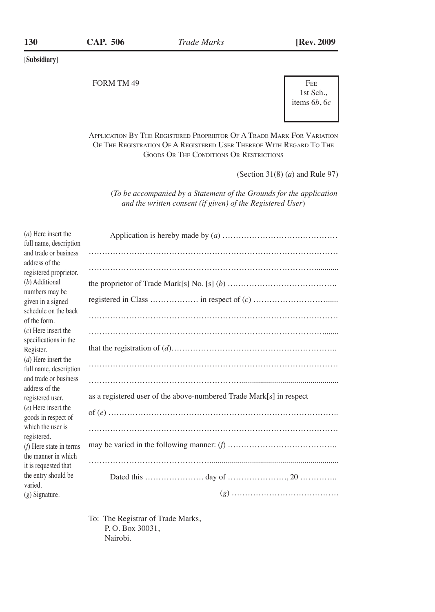FORM TM 49 FEE

 1st Sch., items 6*b*, 6*c*

Application By The Registered Proprietor Of A Trade Mark For Variation Of The Registration Of A Registered User Thereof With Regard To The Goods Or The Conditions Or Restrictions

(Section 31(8) (*a*) and Rule 97)

(*To be accompanied by a Statement of the Grounds for the application and the written consent (if given) of the Registered User*)

| $(a)$ Here insert the     |                                                                     |
|---------------------------|---------------------------------------------------------------------|
| full name, description    |                                                                     |
| and trade or business     |                                                                     |
| address of the            |                                                                     |
| registered proprietor.    |                                                                     |
| (b) Additional            |                                                                     |
| numbers may be            |                                                                     |
| given in a signed         |                                                                     |
| schedule on the back      |                                                                     |
| of the form.              |                                                                     |
| $(c)$ Here insert the     |                                                                     |
| specifications in the     |                                                                     |
| Register.                 |                                                                     |
| $(d)$ Here insert the     |                                                                     |
| full name, description    |                                                                     |
| and trade or business     |                                                                     |
| address of the            |                                                                     |
| registered user.          | as a registered user of the above-numbered Trade Mark[s] in respect |
| $(e)$ Here insert the     |                                                                     |
| goods in respect of       |                                                                     |
| which the user is         |                                                                     |
| registered.               |                                                                     |
| $(f)$ Here state in terms |                                                                     |
| the manner in which       |                                                                     |
| it is requested that      |                                                                     |
| the entry should be       |                                                                     |
| varied.                   |                                                                     |
| $(g)$ Signature.          |                                                                     |
|                           |                                                                     |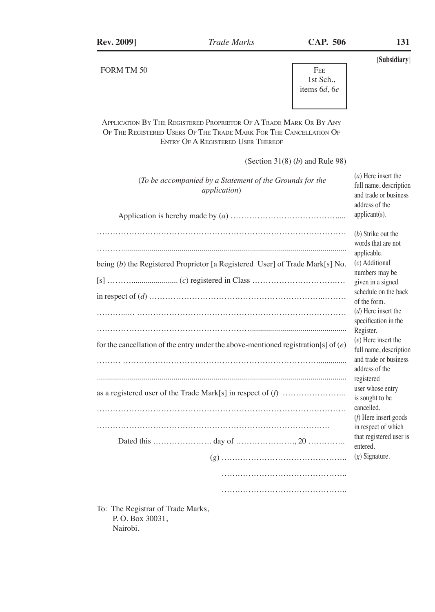FORM TM 50 FEE



Application By The Registered Proprietor Of A Trade Mark Or By Any Of The Registered Users Of The Trade Mark For The Cancellation Of Entry Of A Registered User Thereof

(Section 31(8) (*b*) and Rule 98)

| (To be accompanied by a Statement of the Grounds for the<br><i>application</i> )     | $(a)$ Here insert the<br>full name, description<br>and trade or business<br>address of the<br>applicant(s). |
|--------------------------------------------------------------------------------------|-------------------------------------------------------------------------------------------------------------|
|                                                                                      |                                                                                                             |
|                                                                                      | (b) Strike out the<br>words that are not                                                                    |
| being (b) the Registered Proprietor [a Registered User] of Trade Mark[s] No.         | applicable.<br>$(c)$ Additional<br>numbers may be                                                           |
|                                                                                      | given in a signed                                                                                           |
|                                                                                      | schedule on the back<br>of the form.                                                                        |
|                                                                                      | $(d)$ Here insert the<br>specification in the                                                               |
|                                                                                      | Register.                                                                                                   |
| for the cancellation of the entry under the above-mentioned registration[s] of $(e)$ | $(e)$ Here insert the<br>full name, description                                                             |
|                                                                                      | and trade or business<br>address of the<br>registered                                                       |
|                                                                                      | user whose entry<br>is sought to be                                                                         |
|                                                                                      | cancelled.<br>(f) Here insert goods                                                                         |
|                                                                                      | in respect of which                                                                                         |
|                                                                                      | that registered user is<br>entered.                                                                         |
|                                                                                      | $(g)$ Signature.                                                                                            |
|                                                                                      |                                                                                                             |
|                                                                                      |                                                                                                             |
| To: The Registrar of Trade Marks                                                     |                                                                                                             |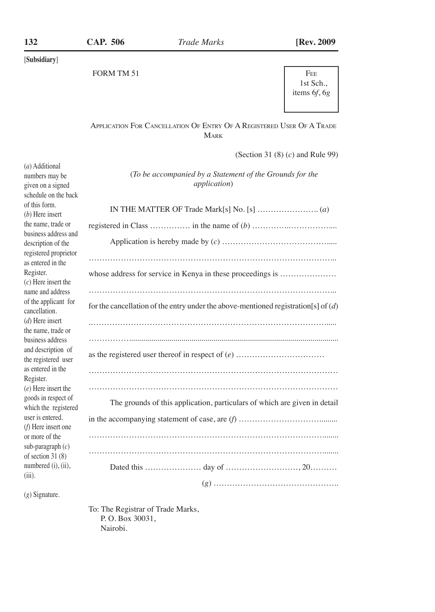1st Sch., items 6*f*, 6*g*

# Application For Cancellation Of Entry Of A Registered User Of A Trade **MARK**

(Section 31 (8) (*c*) and Rule 99)

| (a) Additional        |                                                                                       |
|-----------------------|---------------------------------------------------------------------------------------|
| numbers may be        | (To be accompanied by a Statement of the Grounds for the                              |
| given on a signed     | <i>application</i> )                                                                  |
| schedule on the back  |                                                                                       |
| of this form.         |                                                                                       |
| $(b)$ Here insert     |                                                                                       |
| the name, trade or    |                                                                                       |
| business address and  |                                                                                       |
| description of the    |                                                                                       |
| registered proprietor |                                                                                       |
| as entered in the     |                                                                                       |
| Register.             | whose address for service in Kenya in these proceedings is                            |
| $(c)$ Here insert the |                                                                                       |
| name and address      |                                                                                       |
| of the applicant for  |                                                                                       |
| cancellation.         | for the cancellation of the entry under the above-mentioned registration [s] of $(d)$ |
| $(d)$ Here insert     |                                                                                       |
| the name, trade or    |                                                                                       |
| business address      |                                                                                       |
|                       |                                                                                       |
| and description of    |                                                                                       |
| the registered user   |                                                                                       |
| as entered in the     |                                                                                       |
| Register.             |                                                                                       |
| $(e)$ Here insert the |                                                                                       |
| goods in respect of   | The grounds of this application, particulars of which are given in detail             |
| which the registered  |                                                                                       |
| user is entered.      |                                                                                       |
| $(f)$ Here insert one |                                                                                       |
| or more of the        |                                                                                       |
| sub-paragraph $(c)$   |                                                                                       |
| of section 31 (8)     |                                                                                       |
| numbered (i), (ii),   |                                                                                       |
| $(iii)$ .             |                                                                                       |
|                       |                                                                                       |

(*g*) Signature.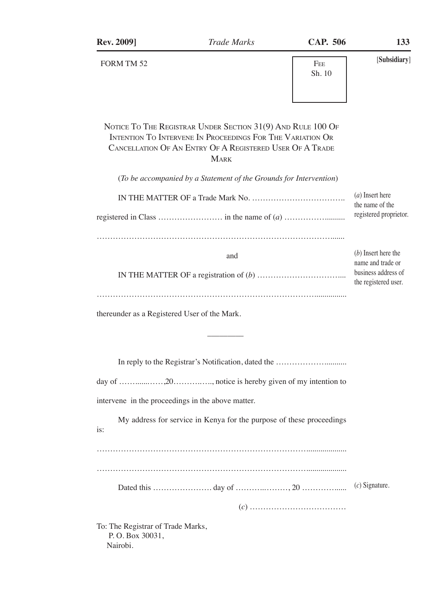| <b>Rev. 2009]</b>                                                | <b>Trade Marks</b>                                                                                                                                                                                                                                                         | <b>CAP. 506</b>                                                      | 133                                                                                       |
|------------------------------------------------------------------|----------------------------------------------------------------------------------------------------------------------------------------------------------------------------------------------------------------------------------------------------------------------------|----------------------------------------------------------------------|-------------------------------------------------------------------------------------------|
| FORM TM 52                                                       |                                                                                                                                                                                                                                                                            | FEE<br>Sh. 10                                                        | [Subsidiary]                                                                              |
|                                                                  | NOTICE TO THE REGISTRAR UNDER SECTION 31(9) AND RULE 100 OF<br>INTENTION TO INTERVENE IN PROCEEDINGS FOR THE VARIATION OR<br>CANCELLATION OF AN ENTRY OF A REGISTERED USER OF A TRADE<br><b>MARK</b><br>(To be accompanied by a Statement of the Grounds for Intervention) |                                                                      | $(a)$ Insert here                                                                         |
|                                                                  |                                                                                                                                                                                                                                                                            |                                                                      | the name of the<br>registered proprietor.                                                 |
|                                                                  | and                                                                                                                                                                                                                                                                        |                                                                      | $(b)$ Insert here the<br>name and trade or<br>business address of<br>the registered user. |
| thereunder as a Registered User of the Mark.                     |                                                                                                                                                                                                                                                                            |                                                                      |                                                                                           |
|                                                                  |                                                                                                                                                                                                                                                                            | In reply to the Registrar's Notification, dated the                  |                                                                                           |
| intervene in the proceedings in the above matter.                |                                                                                                                                                                                                                                                                            | day of 20, notice is hereby given of my intention to                 |                                                                                           |
| is:                                                              |                                                                                                                                                                                                                                                                            | My address for service in Kenya for the purpose of these proceedings |                                                                                           |
|                                                                  |                                                                                                                                                                                                                                                                            |                                                                      |                                                                                           |
|                                                                  |                                                                                                                                                                                                                                                                            |                                                                      | $(c)$ Signature.                                                                          |
|                                                                  |                                                                                                                                                                                                                                                                            |                                                                      |                                                                                           |
| To: The Registrar of Trade Marks,<br>P.O. Box 30031,<br>Nairobi. |                                                                                                                                                                                                                                                                            |                                                                      |                                                                                           |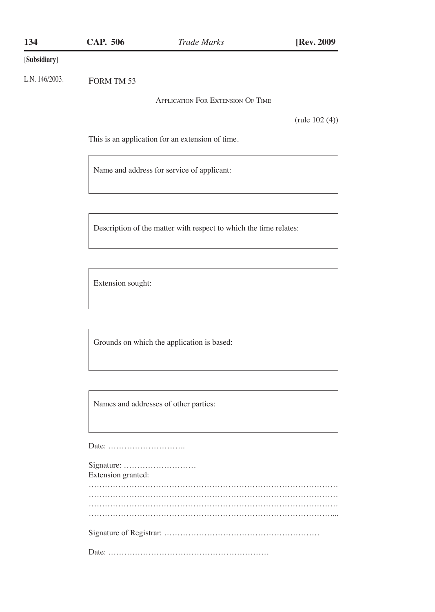| 134          | CAP. 506 | Trade Marks | [Rev. 2009] |
|--------------|----------|-------------|-------------|
| [Subsidiary] |          |             |             |

FORM TM 53 L.N. 146/2003.

Application For Extension Of Time

(rule 102 (4))

This is an application for an extension of time.

Name and address for service of applicant:

Description of the matter with respect to which the time relates:

Extension sought:

Grounds on which the application is based:

Names and addresses of other parties:

Date: ………………………..

| Extension granted: |  |  |  |
|--------------------|--|--|--|
|                    |  |  |  |
|                    |  |  |  |
|                    |  |  |  |
|                    |  |  |  |
|                    |  |  |  |
|                    |  |  |  |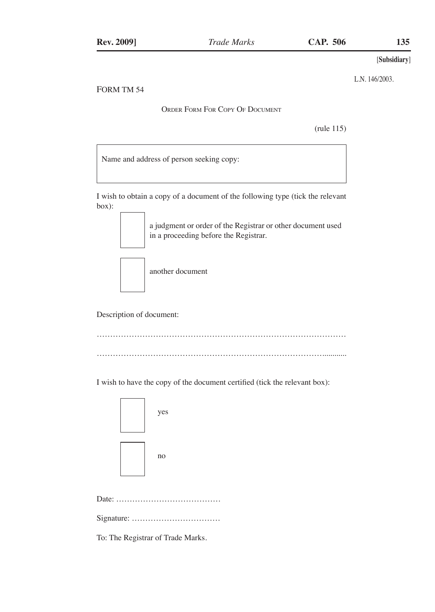L.N. 146/2003.

# FORM TM 54

Order Form For Copy Of Document

(rule 115)

Name and address of person seeking copy:

I wish to obtain a copy of a document of the following type (tick the relevant box):

> a judgment or order of the Registrar or other document used in a proceeding before the Registrar.

another document

Description of document:

………………………………………………………………………………… …………………………………………………………………………............

I wish to have the copy of the document certified (tick the relevant box):

| yes |
|-----|
| no  |

|--|--|--|--|--|

Signature: ……………………………

To: The Registrar of Trade Marks.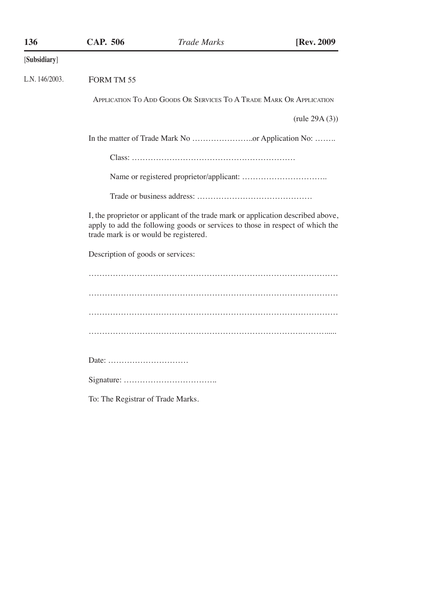| 136               | <b>CAP. 506</b>                       | <b>Trade Marks</b>                                                                                                                                                | [Rev. 2009]      |
|-------------------|---------------------------------------|-------------------------------------------------------------------------------------------------------------------------------------------------------------------|------------------|
| [Subsidiary]      |                                       |                                                                                                                                                                   |                  |
| L.N. $146/2003$ . | FORM TM 55                            |                                                                                                                                                                   |                  |
|                   |                                       | APPLICATION TO ADD GOODS OR SERVICES TO A TRADE MARK OR APPLICATION                                                                                               |                  |
|                   |                                       |                                                                                                                                                                   | (rule $29A(3)$ ) |
|                   |                                       |                                                                                                                                                                   |                  |
|                   |                                       |                                                                                                                                                                   |                  |
|                   |                                       |                                                                                                                                                                   |                  |
|                   |                                       |                                                                                                                                                                   |                  |
|                   | trade mark is or would be registered. | I, the proprietor or applicant of the trade mark or application described above,<br>apply to add the following goods or services to those in respect of which the |                  |
|                   | Description of goods or services:     |                                                                                                                                                                   |                  |
|                   |                                       |                                                                                                                                                                   |                  |
|                   |                                       |                                                                                                                                                                   |                  |
|                   |                                       |                                                                                                                                                                   |                  |
|                   |                                       |                                                                                                                                                                   |                  |
|                   | Date:                                 |                                                                                                                                                                   |                  |
|                   |                                       |                                                                                                                                                                   |                  |
|                   | To: The Registrar of Trade Marks.     |                                                                                                                                                                   |                  |
|                   |                                       |                                                                                                                                                                   |                  |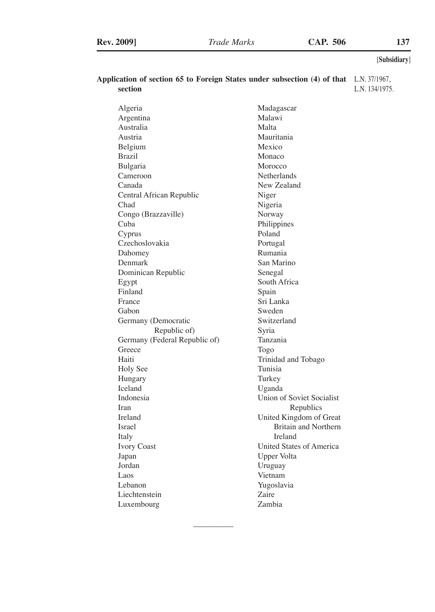| Application of section 65 to Foreign States under subsection $(4)$ of that L.N.37/1967, |                |
|-----------------------------------------------------------------------------------------|----------------|
| section                                                                                 | L.N. 134/1975. |

| Algeria                       | Madagascar                  |
|-------------------------------|-----------------------------|
| Argentina                     | Malawi                      |
| Australia                     | Malta                       |
| Austria                       | Mauritania                  |
| Belgium                       | Mexico                      |
| Brazil                        | Monaco                      |
|                               | Morocco                     |
| Bulgaria                      |                             |
| Cameroon                      | Netherlands<br>New Zealand  |
| Canada                        |                             |
| Central African Republic      | Niger                       |
| Chad                          | Nigeria                     |
| Congo (Brazzaville)           | Norway                      |
| Cuba                          | Philippines                 |
| Cyprus                        | Poland                      |
| Czechoslovakia                | Portugal                    |
| Dahomey                       | Rumania                     |
| Denmark                       | San Marino                  |
| Dominican Republic            | Senegal                     |
| Egypt                         | South Africa                |
| Finland                       | Spain                       |
| France                        | Sri Lanka                   |
| Gabon                         | Sweden                      |
| Germany (Democratic           | Switzerland                 |
| Republic of)                  | Syria                       |
| Germany (Federal Republic of) | Tanzania                    |
| Greece                        | Togo                        |
| Haiti                         | Trinidad and Tobago         |
| Holy See                      | Tunisia                     |
| Hungary                       | Turkey                      |
| Iceland                       | Uganda                      |
| Indonesia                     | Union of Soviet Socialist   |
| Iran                          | Republics                   |
| Ireland                       | United Kingdom of Great     |
| Israel                        | <b>Britain and Northern</b> |
| Italy                         | Ireland                     |
| <b>Ivory Coast</b>            | United States of America    |
| Japan                         | Upper Volta                 |
| Jordan                        | Uruguay                     |
| Laos                          | Vietnam                     |
| Lebanon                       | Yugoslavia                  |
| Liechtenstein                 | Zaire                       |
| Luxembourg                    | Zambia                      |
|                               |                             |

 $\mathcal{L}_\text{max}$  and  $\mathcal{L}_\text{max}$  and  $\mathcal{L}_\text{max}$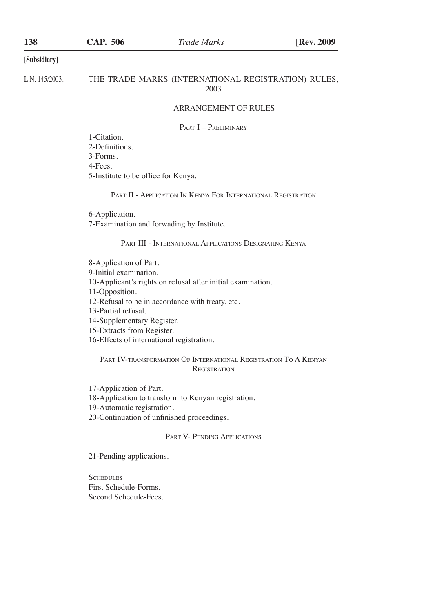# **CAP. 506 138** *Trade Marks* **[Rev. 2009**

#### [**Subsidiary**]

L.N. 145/2003.

## THE TRADE MARKS (INTERNATIONAL REGISTRATION) RULES, 2003

## ARRANGEMENT OF RULES

PART I – PRELIMINARY

1-Citation. 2-Definitions. 3-Forms. 4-Fees. 5-Institute to be office for Kenya.

Part II - Application In Kenya For International Registration

6-Application. 7-Examination and forwading by Institute.

### Part III - International Applications Designating Kenya

8-Application of Part. 9-Initial examination. 10-Applicant's rights on refusal after initial examination. 11-Opposition. 12-Refusal to be in accordance with treaty, etc. 13-Partial refusal. 14-Supplementary Register.

15-Extracts from Register.

16-Effects of international registration.

Part IV-transformation Of International Registration To A Kenyan **REGISTRATION** 

17-Application of Part.

18-Application to transform to Kenyan registration.

19-Automatic registration.

20-Continuation of unfinished proceedings.

#### PART V- PENDING APPLICATIONS

21-Pending applications.

**SCHEDULES** First Schedule-Forms. Second Schedule-Fees.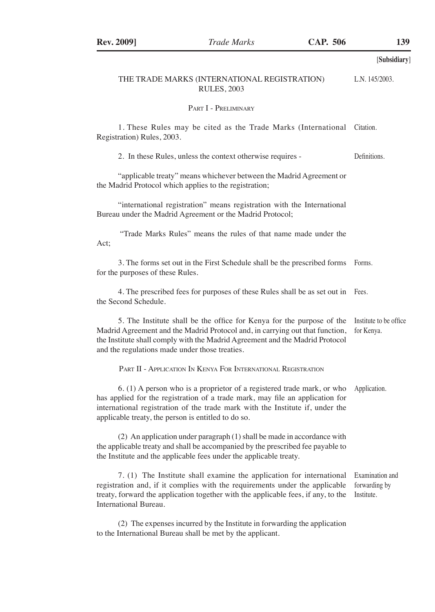|                                                                                                                                                                                                                                                                                                 | [Subsidiary]                                   |
|-------------------------------------------------------------------------------------------------------------------------------------------------------------------------------------------------------------------------------------------------------------------------------------------------|------------------------------------------------|
| THE TRADE MARKS (INTERNATIONAL REGISTRATION)<br><b>RULES, 2003</b>                                                                                                                                                                                                                              | L.N. 145/2003.                                 |
| PART I - PRELIMINARY                                                                                                                                                                                                                                                                            |                                                |
| 1. These Rules may be cited as the Trade Marks (International Citation.<br>Registration) Rules, 2003.                                                                                                                                                                                           |                                                |
| 2. In these Rules, unless the context otherwise requires -                                                                                                                                                                                                                                      | Definitions.                                   |
| "applicable treaty" means whichever between the Madrid Agreement or<br>the Madrid Protocol which applies to the registration;                                                                                                                                                                   |                                                |
| "international registration" means registration with the International<br>Bureau under the Madrid Agreement or the Madrid Protocol;                                                                                                                                                             |                                                |
| "Trade Marks Rules" means the rules of that name made under the<br>Act;                                                                                                                                                                                                                         |                                                |
| 3. The forms set out in the First Schedule shall be the prescribed forms<br>for the purposes of these Rules.                                                                                                                                                                                    | Forms.                                         |
| 4. The prescribed fees for purposes of these Rules shall be as set out in Fees.<br>the Second Schedule.                                                                                                                                                                                         |                                                |
| 5. The Institute shall be the office for Kenya for the purpose of the<br>Madrid Agreement and the Madrid Protocol and, in carrying out that function,<br>the Institute shall comply with the Madrid Agreement and the Madrid Protocol<br>and the regulations made under those treaties.         | Institute to be office<br>for Kenya.           |
| PART II - APPLICATION IN KENYA FOR INTERNATIONAL REGISTRATION                                                                                                                                                                                                                                   |                                                |
| 6. (1) A person who is a proprietor of a registered trade mark, or who<br>has applied for the registration of a trade mark, may file an application for<br>international registration of the trade mark with the Institute if, under the<br>applicable treaty, the person is entitled to do so. | Application.                                   |
| $(2)$ An application under paragraph $(1)$ shall be made in accordance with<br>the applicable treaty and shall be accompanied by the prescribed fee payable to<br>the Institute and the applicable fees under the applicable treaty.                                                            |                                                |
| 7. (1) The Institute shall examine the application for international<br>registration and, if it complies with the requirements under the applicable<br>treaty, forward the application together with the applicable fees, if any, to the<br>International Bureau.                               | Examination and<br>forwarding by<br>Institute. |
| (2) The expenses incurred by the Institute in forwarding the application<br>to the International Bureau shall be met by the applicant.                                                                                                                                                          |                                                |

**Rev. 2009** *Trade Marks* **<b>CAP. 506** 139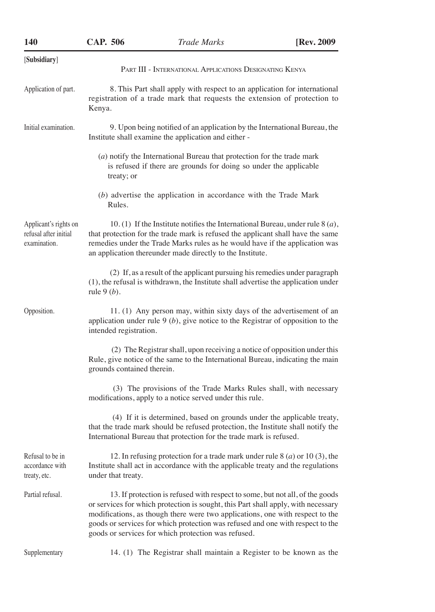| 140                                                            | <b>CAP. 506</b>                                                                                                                                                                                                                                                                                                                                                                             | <b>Trade Marks</b>                                                                                                                                                                                                                                                                                                   | [Rev. 2009] |  |  |
|----------------------------------------------------------------|---------------------------------------------------------------------------------------------------------------------------------------------------------------------------------------------------------------------------------------------------------------------------------------------------------------------------------------------------------------------------------------------|----------------------------------------------------------------------------------------------------------------------------------------------------------------------------------------------------------------------------------------------------------------------------------------------------------------------|-------------|--|--|
| [Subsidiary]                                                   |                                                                                                                                                                                                                                                                                                                                                                                             |                                                                                                                                                                                                                                                                                                                      |             |  |  |
|                                                                |                                                                                                                                                                                                                                                                                                                                                                                             | PART III - INTERNATIONAL APPLICATIONS DESIGNATING KENYA                                                                                                                                                                                                                                                              |             |  |  |
| Application of part.                                           | 8. This Part shall apply with respect to an application for international<br>registration of a trade mark that requests the extension of protection to<br>Kenya.                                                                                                                                                                                                                            |                                                                                                                                                                                                                                                                                                                      |             |  |  |
| Initial examination.                                           |                                                                                                                                                                                                                                                                                                                                                                                             | 9. Upon being notified of an application by the International Bureau, the<br>Institute shall examine the application and either -                                                                                                                                                                                    |             |  |  |
|                                                                | treaty; or                                                                                                                                                                                                                                                                                                                                                                                  | (a) notify the International Bureau that protection for the trade mark<br>is refused if there are grounds for doing so under the applicable                                                                                                                                                                          |             |  |  |
|                                                                | Rules.                                                                                                                                                                                                                                                                                                                                                                                      | (b) advertise the application in accordance with the Trade Mark                                                                                                                                                                                                                                                      |             |  |  |
| Applicant's rights on<br>refusal after initial<br>examination. |                                                                                                                                                                                                                                                                                                                                                                                             | 10. (1) If the Institute notifies the International Bureau, under rule $\delta(a)$ ,<br>that protection for the trade mark is refused the applicant shall have the same<br>remedies under the Trade Marks rules as he would have if the application was<br>an application thereunder made directly to the Institute. |             |  |  |
|                                                                | rule $9(b)$ .                                                                                                                                                                                                                                                                                                                                                                               | (2) If, as a result of the applicant pursuing his remedies under paragraph<br>(1), the refusal is withdrawn, the Institute shall advertise the application under                                                                                                                                                     |             |  |  |
| Opposition.                                                    | intended registration.                                                                                                                                                                                                                                                                                                                                                                      | 11. (1) Any person may, within sixty days of the advertisement of an<br>application under rule $9(b)$ , give notice to the Registrar of opposition to the                                                                                                                                                            |             |  |  |
|                                                                | grounds contained therein.                                                                                                                                                                                                                                                                                                                                                                  | (2) The Registrar shall, upon receiving a notice of opposition under this<br>Rule, give notice of the same to the International Bureau, indicating the main                                                                                                                                                          |             |  |  |
|                                                                |                                                                                                                                                                                                                                                                                                                                                                                             | (3) The provisions of the Trade Marks Rules shall, with necessary<br>modifications, apply to a notice served under this rule.                                                                                                                                                                                        |             |  |  |
|                                                                |                                                                                                                                                                                                                                                                                                                                                                                             | (4) If it is determined, based on grounds under the applicable treaty,<br>that the trade mark should be refused protection, the Institute shall notify the<br>International Bureau that protection for the trade mark is refused.                                                                                    |             |  |  |
| Refusal to be in<br>accordance with<br>treaty, etc.            | 12. In refusing protection for a trade mark under rule $8(a)$ or $10(3)$ , the<br>Institute shall act in accordance with the applicable treaty and the regulations<br>under that treaty.                                                                                                                                                                                                    |                                                                                                                                                                                                                                                                                                                      |             |  |  |
| Partial refusal.                                               | 13. If protection is refused with respect to some, but not all, of the goods<br>or services for which protection is sought, this Part shall apply, with necessary<br>modifications, as though there were two applications, one with respect to the<br>goods or services for which protection was refused and one with respect to the<br>goods or services for which protection was refused. |                                                                                                                                                                                                                                                                                                                      |             |  |  |
| Supplementary                                                  |                                                                                                                                                                                                                                                                                                                                                                                             | 14. (1) The Registrar shall maintain a Register to be known as the                                                                                                                                                                                                                                                   |             |  |  |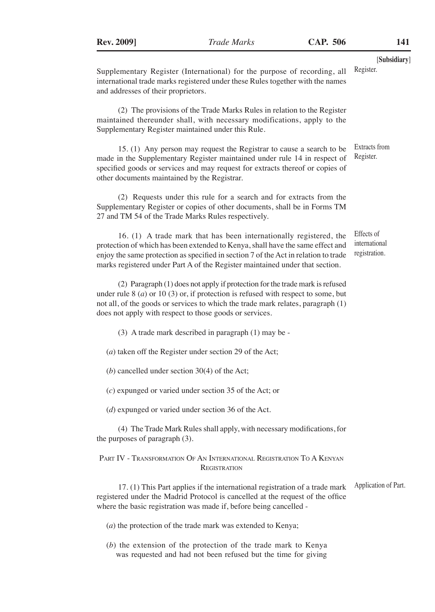[**Subsidiary**] Register.

Supplementary Register (International) for the purpose of recording, all international trade marks registered under these Rules together with the names and addresses of their proprietors.

(2) The provisions of the Trade Marks Rules in relation to the Register maintained thereunder shall, with necessary modifications, apply to the Supplementary Register maintained under this Rule.

15. (1) Any person may request the Registrar to cause a search to be made in the Supplementary Register maintained under rule 14 in respect of specified goods or services and may request for extracts thereof or copies of other documents maintained by the Registrar. Extracts from Register.

(2) Requests under this rule for a search and for extracts from the Supplementary Register or copies of other documents, shall be in Forms TM 27 and TM 54 of the Trade Marks Rules respectively.

16. (1) A trade mark that has been internationally registered, the protection of which has been extended to Kenya, shall have the same effect and enjoy the same protection as specified in section 7 of the Act in relation to trade marks registered under Part A of the Register maintained under that section. Effects of international registration.

(2) Paragraph (1) does not apply if protection for the trade mark is refused under rule 8 (*a*) or 10 (3) or, if protection is refused with respect to some, but not all, of the goods or services to which the trade mark relates, paragraph (1) does not apply with respect to those goods or services.

(3) A trade mark described in paragraph (1) may be -

(*a*) taken off the Register under section 29 of the Act;

(*b*) cancelled under section 30(4) of the Act;

(*c*) expunged or varied under section 35 of the Act; or

(*d*) expunged or varied under section 36 of the Act.

(4) The Trade Mark Rules shall apply, with necessary modifications, for the purposes of paragraph (3).

Part IV - Transformation Of An International Registration To A Kenyan **REGISTRATION** 

17. (1) This Part applies if the international registration of a trade mark registered under the Madrid Protocol is cancelled at the request of the office where the basic registration was made if, before being cancelled -

Application of Part.

(*a*) the protection of the trade mark was extended to Kenya;

(*b*) the extension of the protection of the trade mark to Kenya was requested and had not been refused but the time for giving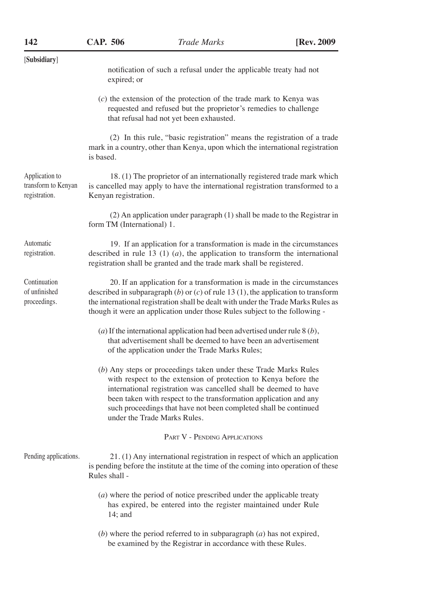| [Subsidiary]                                           | notification of such a refusal under the applicable treaty had not<br>expired; or                                                                                                                                                                                                                                                                                                |  |  |
|--------------------------------------------------------|----------------------------------------------------------------------------------------------------------------------------------------------------------------------------------------------------------------------------------------------------------------------------------------------------------------------------------------------------------------------------------|--|--|
|                                                        | $(c)$ the extension of the protection of the trade mark to Kenya was<br>requested and refused but the proprietor's remedies to challenge<br>that refusal had not yet been exhausted.                                                                                                                                                                                             |  |  |
|                                                        | (2) In this rule, "basic registration" means the registration of a trade<br>mark in a country, other than Kenya, upon which the international registration<br>is based.                                                                                                                                                                                                          |  |  |
| Application to<br>transform to Kenyan<br>registration. | 18. (1) The proprietor of an internationally registered trade mark which<br>is cancelled may apply to have the international registration transformed to a<br>Kenyan registration.                                                                                                                                                                                               |  |  |
|                                                        | (2) An application under paragraph (1) shall be made to the Registrar in<br>form TM (International) 1.                                                                                                                                                                                                                                                                           |  |  |
| Automatic<br>registration.                             | 19. If an application for a transformation is made in the circumstances<br>described in rule 13 (1) $(a)$ , the application to transform the international<br>registration shall be granted and the trade mark shall be registered.                                                                                                                                              |  |  |
| Continuation<br>of unfinished<br>proceedings.          | 20. If an application for a transformation is made in the circumstances<br>described in subparagraph $(b)$ or $(c)$ of rule 13 $(1)$ , the application to transform<br>the international registration shall be dealt with under the Trade Marks Rules as<br>though it were an application under those Rules subject to the following -                                           |  |  |
|                                                        | (a) If the international application had been advertised under rule $8(b)$ ,<br>that advertisement shall be deemed to have been an advertisement<br>of the application under the Trade Marks Rules;                                                                                                                                                                              |  |  |
|                                                        | (b) Any steps or proceedings taken under these Trade Marks Rules<br>with respect to the extension of protection to Kenya before the<br>international registration was cancelled shall be deemed to have<br>been taken with respect to the transformation application and any<br>such proceedings that have not been completed shall be continued<br>under the Trade Marks Rules. |  |  |
|                                                        | PART V - PENDING APPLICATIONS                                                                                                                                                                                                                                                                                                                                                    |  |  |
| Pending applications.                                  | 21. (1) Any international registration in respect of which an application<br>is pending before the institute at the time of the coming into operation of these<br>Rules shall -                                                                                                                                                                                                  |  |  |
|                                                        | $(a)$ where the period of notice prescribed under the applicable treaty<br>has expired, be entered into the register maintained under Rule<br>$14$ ; and                                                                                                                                                                                                                         |  |  |
|                                                        | (b) where the period referred to in subparagraph $(a)$ has not expired,<br>be examined by the Registrar in accordance with these Rules.                                                                                                                                                                                                                                          |  |  |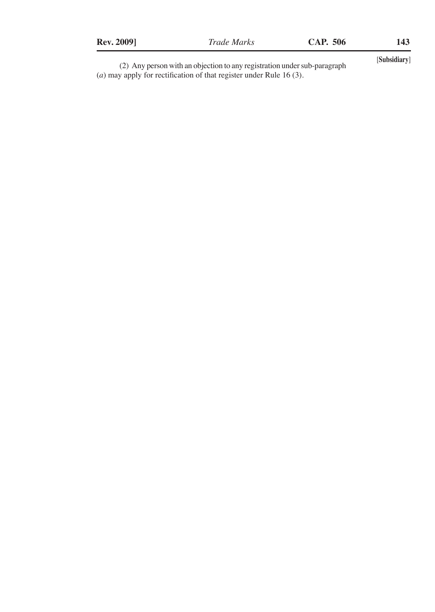| (2) Any person with an objection to any registration under sub-paragraph     | [Subsidiary] |
|------------------------------------------------------------------------------|--------------|
| ( <i>a</i> ) may apply for rectification of that register under Rule 16 (3). |              |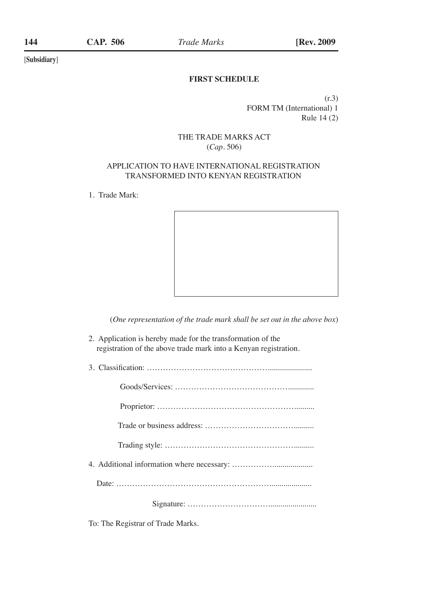## **FIRST SCHEDULE**

(r.3) FORM TM (International) 1 Rule 14 (2)

## THE TRADE MARKS ACT (*Cap*. 506)

## APPLICATION TO HAVE INTERNATIONAL REGISTRATION TRANSFORMED INTO KENYAN REGISTRATION

1. Trade Mark:



(*One representation of the trade mark shall be set out in the above box*)

- 2. Application is hereby made for the transformation of the registration of the above trade mark into a Kenyan registration.
- 3. Classification: ………………………………………......................      Goods/Services: …………………………………….............    Proprietor: ……………………………………………..........   Trade or business address: ……………………………..........     Trading style: ………………………………………….......... 4. Additional information where necessary: ……………....................     Date: ………………………………………………….....................           Signature: …………………………........................

To: The Registrar of Trade Marks.